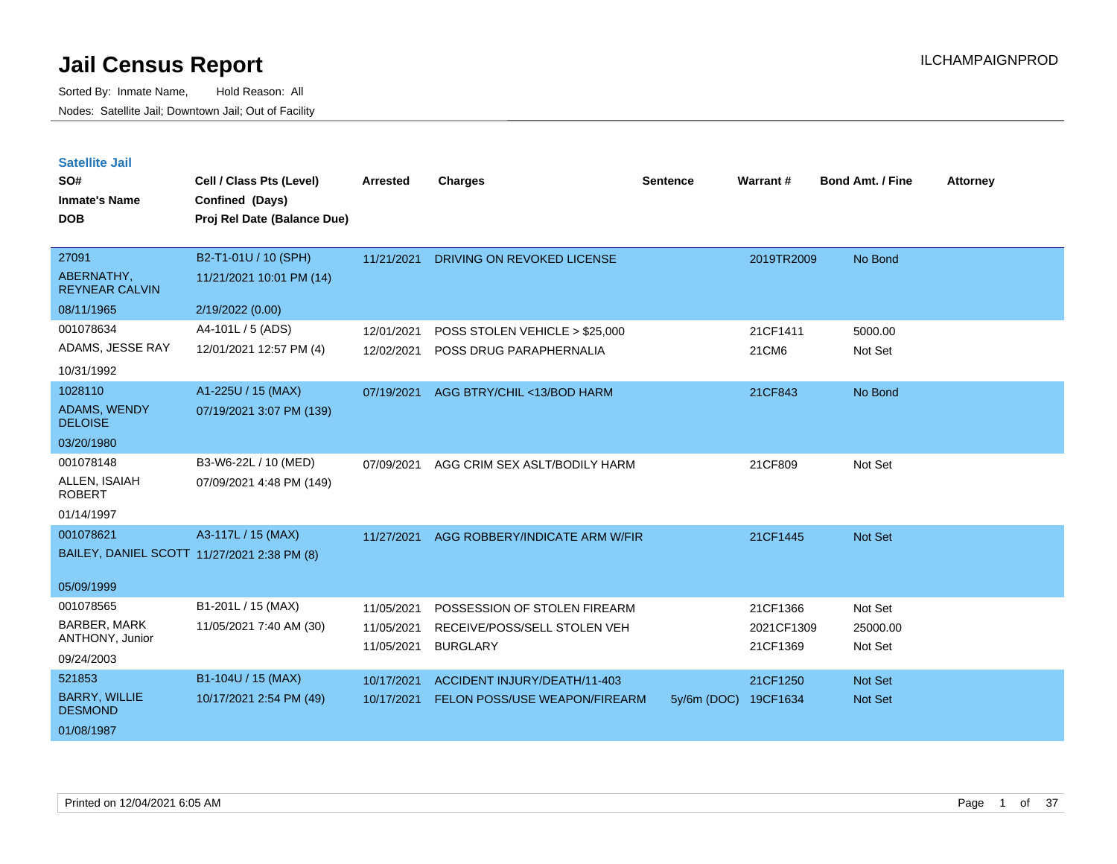| <b>Satellite Jail</b> |  |
|-----------------------|--|
|                       |  |

| SO#<br><b>Inmate's Name</b><br><b>DOB</b> | Cell / Class Pts (Level)<br>Confined (Days)<br>Proj Rel Date (Balance Due) | <b>Arrested</b> | <b>Charges</b>                 | <b>Sentence</b> | Warrant#   | <b>Bond Amt. / Fine</b> | <b>Attorney</b> |
|-------------------------------------------|----------------------------------------------------------------------------|-----------------|--------------------------------|-----------------|------------|-------------------------|-----------------|
| 27091                                     | B2-T1-01U / 10 (SPH)                                                       | 11/21/2021      | DRIVING ON REVOKED LICENSE     |                 | 2019TR2009 | No Bond                 |                 |
| ABERNATHY,<br><b>REYNEAR CALVIN</b>       | 11/21/2021 10:01 PM (14)                                                   |                 |                                |                 |            |                         |                 |
| 08/11/1965                                | 2/19/2022 (0.00)                                                           |                 |                                |                 |            |                         |                 |
| 001078634                                 | A4-101L / 5 (ADS)                                                          | 12/01/2021      | POSS STOLEN VEHICLE > \$25,000 |                 | 21CF1411   | 5000.00                 |                 |
| ADAMS, JESSE RAY                          | 12/01/2021 12:57 PM (4)                                                    | 12/02/2021      | POSS DRUG PARAPHERNALIA        |                 | 21CM6      | Not Set                 |                 |
| 10/31/1992                                |                                                                            |                 |                                |                 |            |                         |                 |
| 1028110                                   | A1-225U / 15 (MAX)                                                         | 07/19/2021      | AGG BTRY/CHIL <13/BOD HARM     |                 | 21CF843    | No Bond                 |                 |
| <b>ADAMS, WENDY</b><br><b>DELOISE</b>     | 07/19/2021 3:07 PM (139)                                                   |                 |                                |                 |            |                         |                 |
| 03/20/1980                                |                                                                            |                 |                                |                 |            |                         |                 |
| 001078148                                 | B3-W6-22L / 10 (MED)                                                       | 07/09/2021      | AGG CRIM SEX ASLT/BODILY HARM  |                 | 21CF809    | Not Set                 |                 |
| ALLEN, ISAIAH<br><b>ROBERT</b>            | 07/09/2021 4:48 PM (149)                                                   |                 |                                |                 |            |                         |                 |
| 01/14/1997                                |                                                                            |                 |                                |                 |            |                         |                 |
| 001078621                                 | A3-117L / 15 (MAX)                                                         | 11/27/2021      | AGG ROBBERY/INDICATE ARM W/FIR |                 | 21CF1445   | Not Set                 |                 |
|                                           | BAILEY, DANIEL SCOTT 11/27/2021 2:38 PM (8)                                |                 |                                |                 |            |                         |                 |
| 05/09/1999                                |                                                                            |                 |                                |                 |            |                         |                 |
| 001078565                                 | B1-201L / 15 (MAX)                                                         | 11/05/2021      | POSSESSION OF STOLEN FIREARM   |                 | 21CF1366   | Not Set                 |                 |
| <b>BARBER, MARK</b>                       | 11/05/2021 7:40 AM (30)                                                    | 11/05/2021      | RECEIVE/POSS/SELL STOLEN VEH   |                 | 2021CF1309 | 25000.00                |                 |
| ANTHONY, Junior                           |                                                                            | 11/05/2021      | <b>BURGLARY</b>                |                 | 21CF1369   | Not Set                 |                 |
| 09/24/2003                                |                                                                            |                 |                                |                 |            |                         |                 |
| 521853                                    | B1-104U / 15 (MAX)                                                         | 10/17/2021      | ACCIDENT INJURY/DEATH/11-403   |                 | 21CF1250   | Not Set                 |                 |
| <b>BARRY, WILLIE</b><br><b>DESMOND</b>    | 10/17/2021 2:54 PM (49)                                                    | 10/17/2021      | FELON POSS/USE WEAPON/FIREARM  | $5y/6m$ (DOC)   | 19CF1634   | Not Set                 |                 |
| 01/08/1987                                |                                                                            |                 |                                |                 |            |                         |                 |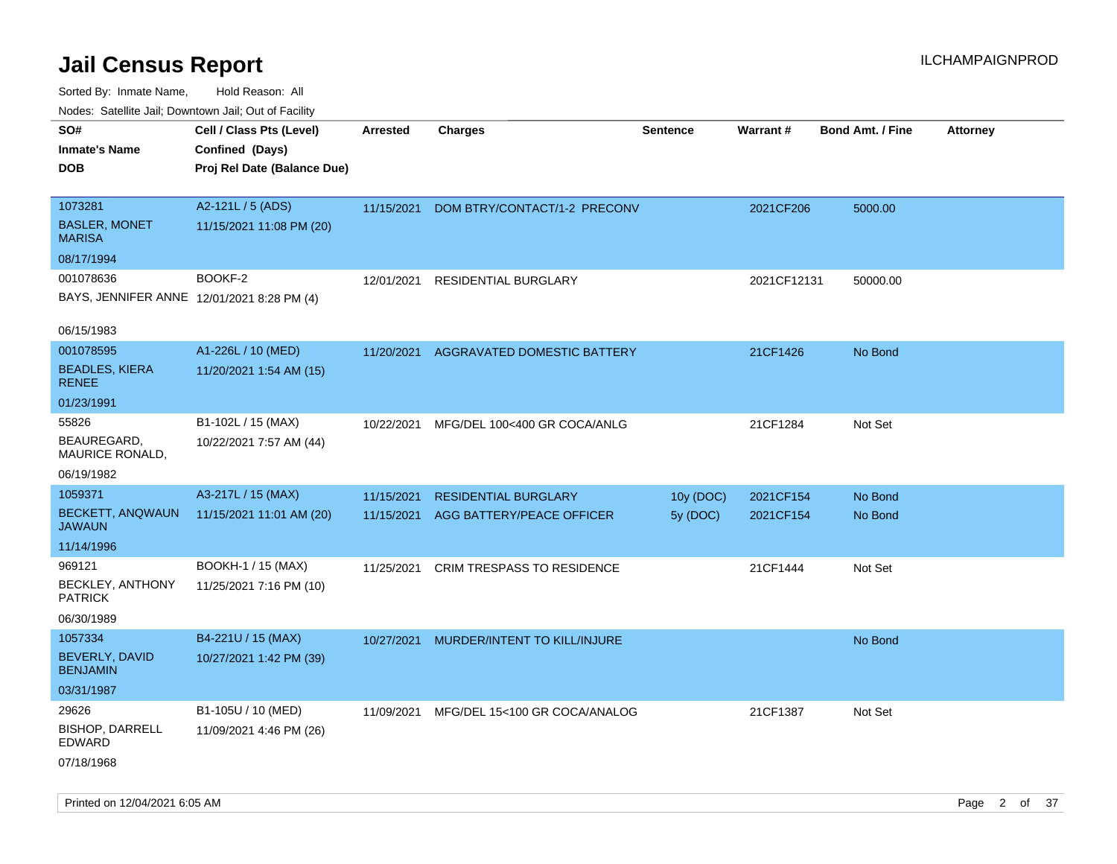Sorted By: Inmate Name, Hold Reason: All Nodes: Satellite Jail; Downtown Jail; Out of Facility

| Nudes. Satellite Jali, Downtown Jali, Out of Facility |                             |                 |                                   |                       |             |                         |                 |
|-------------------------------------------------------|-----------------------------|-----------------|-----------------------------------|-----------------------|-------------|-------------------------|-----------------|
| SO#                                                   | Cell / Class Pts (Level)    | <b>Arrested</b> | <b>Charges</b>                    | <b>Sentence</b>       | Warrant#    | <b>Bond Amt. / Fine</b> | <b>Attorney</b> |
| <b>Inmate's Name</b>                                  | Confined (Days)             |                 |                                   |                       |             |                         |                 |
| DOB                                                   | Proj Rel Date (Balance Due) |                 |                                   |                       |             |                         |                 |
| 1073281                                               | A2-121L / 5 (ADS)           |                 |                                   |                       |             |                         |                 |
| <b>BASLER, MONET</b>                                  | 11/15/2021 11:08 PM (20)    | 11/15/2021      | DOM BTRY/CONTACT/1-2 PRECONV      |                       | 2021CF206   | 5000.00                 |                 |
| MARISA                                                |                             |                 |                                   |                       |             |                         |                 |
| 08/17/1994                                            |                             |                 |                                   |                       |             |                         |                 |
| 001078636                                             | BOOKF-2                     | 12/01/2021      | <b>RESIDENTIAL BURGLARY</b>       |                       | 2021CF12131 | 50000.00                |                 |
| BAYS, JENNIFER ANNE 12/01/2021 8:28 PM (4)            |                             |                 |                                   |                       |             |                         |                 |
|                                                       |                             |                 |                                   |                       |             |                         |                 |
| 06/15/1983                                            |                             |                 |                                   |                       |             |                         |                 |
| 001078595                                             | A1-226L / 10 (MED)          | 11/20/2021      | AGGRAVATED DOMESTIC BATTERY       |                       | 21CF1426    | No Bond                 |                 |
| <b>BEADLES, KIERA</b>                                 | 11/20/2021 1:54 AM (15)     |                 |                                   |                       |             |                         |                 |
| <b>RENEE</b>                                          |                             |                 |                                   |                       |             |                         |                 |
| 01/23/1991                                            |                             |                 |                                   |                       |             |                         |                 |
| 55826                                                 | B1-102L / 15 (MAX)          | 10/22/2021      | MFG/DEL 100<400 GR COCA/ANLG      |                       | 21CF1284    | Not Set                 |                 |
| BEAUREGARD.<br>MAURICE RONALD,                        | 10/22/2021 7:57 AM (44)     |                 |                                   |                       |             |                         |                 |
| 06/19/1982                                            |                             |                 |                                   |                       |             |                         |                 |
| 1059371                                               | A3-217L / 15 (MAX)          | 11/15/2021      | <b>RESIDENTIAL BURGLARY</b>       |                       | 2021CF154   | No Bond                 |                 |
| <b>BECKETT, ANQWAUN</b>                               | 11/15/2021 11:01 AM (20)    | 11/15/2021      | AGG BATTERY/PEACE OFFICER         | 10y (DOC)<br>5y (DOC) | 2021CF154   | No Bond                 |                 |
| JAWAUN                                                |                             |                 |                                   |                       |             |                         |                 |
| 11/14/1996                                            |                             |                 |                                   |                       |             |                         |                 |
| 969121                                                | BOOKH-1 / 15 (MAX)          | 11/25/2021      | <b>CRIM TRESPASS TO RESIDENCE</b> |                       | 21CF1444    | Not Set                 |                 |
| <b>BECKLEY, ANTHONY</b>                               | 11/25/2021 7:16 PM (10)     |                 |                                   |                       |             |                         |                 |
| <b>PATRICK</b>                                        |                             |                 |                                   |                       |             |                         |                 |
| 06/30/1989                                            |                             |                 |                                   |                       |             |                         |                 |
| 1057334                                               | B4-221U / 15 (MAX)          | 10/27/2021      | MURDER/INTENT TO KILL/INJURE      |                       |             | No Bond                 |                 |
| BEVERLY, DAVID<br><b>BENJAMIN</b>                     | 10/27/2021 1:42 PM (39)     |                 |                                   |                       |             |                         |                 |
| 03/31/1987                                            |                             |                 |                                   |                       |             |                         |                 |
| 29626                                                 | B1-105U / 10 (MED)          | 11/09/2021      | MFG/DEL 15<100 GR COCA/ANALOG     |                       | 21CF1387    | Not Set                 |                 |
| <b>BISHOP, DARRELL</b><br>EDWARD                      | 11/09/2021 4:46 PM (26)     |                 |                                   |                       |             |                         |                 |
| 07/18/1968                                            |                             |                 |                                   |                       |             |                         |                 |
|                                                       |                             |                 |                                   |                       |             |                         |                 |

Printed on 12/04/2021 6:05 AM **Page 2 of 37**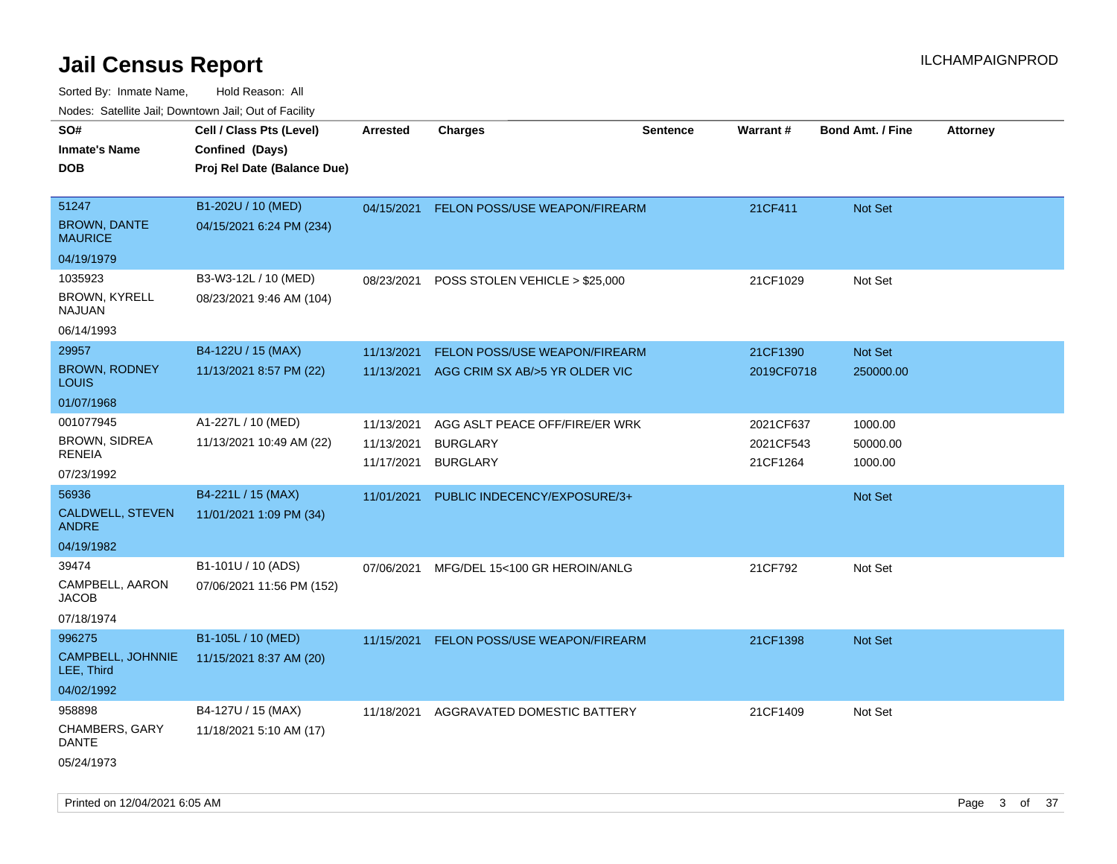| ivouss. Satellite Jali, Downtown Jali, Out of Facility |                             |                          |                                          |                 |                       |                         |                 |
|--------------------------------------------------------|-----------------------------|--------------------------|------------------------------------------|-----------------|-----------------------|-------------------------|-----------------|
| SO#                                                    | Cell / Class Pts (Level)    | <b>Arrested</b>          | <b>Charges</b>                           | <b>Sentence</b> | <b>Warrant#</b>       | <b>Bond Amt. / Fine</b> | <b>Attorney</b> |
| Inmate's Name                                          | Confined (Days)             |                          |                                          |                 |                       |                         |                 |
| <b>DOB</b>                                             | Proj Rel Date (Balance Due) |                          |                                          |                 |                       |                         |                 |
| 51247                                                  | B1-202U / 10 (MED)          |                          | 04/15/2021 FELON POSS/USE WEAPON/FIREARM |                 | 21CF411               | <b>Not Set</b>          |                 |
| <b>BROWN, DANTE</b><br>MAURICE                         | 04/15/2021 6:24 PM (234)    |                          |                                          |                 |                       |                         |                 |
| 04/19/1979                                             |                             |                          |                                          |                 |                       |                         |                 |
| 1035923                                                | B3-W3-12L / 10 (MED)        | 08/23/2021               | POSS STOLEN VEHICLE > \$25,000           |                 | 21CF1029              | Not Set                 |                 |
| BROWN, KYRELL<br>NAJUAN                                | 08/23/2021 9:46 AM (104)    |                          |                                          |                 |                       |                         |                 |
| 06/14/1993                                             |                             |                          |                                          |                 |                       |                         |                 |
| 29957                                                  | B4-122U / 15 (MAX)          | 11/13/2021               | FELON POSS/USE WEAPON/FIREARM            |                 | 21CF1390              | Not Set                 |                 |
| <b>BROWN, RODNEY</b><br>Louis                          | 11/13/2021 8:57 PM (22)     | 11/13/2021               | AGG CRIM SX AB/>5 YR OLDER VIC           |                 | 2019CF0718            | 250000.00               |                 |
| 01/07/1968                                             |                             |                          |                                          |                 |                       |                         |                 |
| 001077945                                              | A1-227L / 10 (MED)          | 11/13/2021               | AGG ASLT PEACE OFF/FIRE/ER WRK           |                 | 2021CF637             | 1000.00                 |                 |
| <b>BROWN, SIDREA</b><br>RENEIA                         | 11/13/2021 10:49 AM (22)    | 11/13/2021<br>11/17/2021 | <b>BURGLARY</b><br><b>BURGLARY</b>       |                 | 2021CF543<br>21CF1264 | 50000.00<br>1000.00     |                 |
| 07/23/1992                                             |                             |                          |                                          |                 |                       |                         |                 |
| 56936                                                  | B4-221L / 15 (MAX)          | 11/01/2021               | PUBLIC INDECENCY/EXPOSURE/3+             |                 |                       | <b>Not Set</b>          |                 |
| CALDWELL, STEVEN<br>ANDRE                              | 11/01/2021 1:09 PM (34)     |                          |                                          |                 |                       |                         |                 |
| 04/19/1982                                             |                             |                          |                                          |                 |                       |                         |                 |
| 39474                                                  | B1-101U / 10 (ADS)          | 07/06/2021               | MFG/DEL 15<100 GR HEROIN/ANLG            |                 | 21CF792               | Not Set                 |                 |
| CAMPBELL, AARON<br>JACOB                               | 07/06/2021 11:56 PM (152)   |                          |                                          |                 |                       |                         |                 |
| 07/18/1974                                             |                             |                          |                                          |                 |                       |                         |                 |
| 996275                                                 | B1-105L / 10 (MED)          | 11/15/2021               | FELON POSS/USE WEAPON/FIREARM            |                 | 21CF1398              | <b>Not Set</b>          |                 |
| CAMPBELL, JOHNNIE<br>LEE, Third                        | 11/15/2021 8:37 AM (20)     |                          |                                          |                 |                       |                         |                 |
| 04/02/1992                                             |                             |                          |                                          |                 |                       |                         |                 |
| 958898                                                 | B4-127U / 15 (MAX)          | 11/18/2021               | AGGRAVATED DOMESTIC BATTERY              |                 | 21CF1409              | Not Set                 |                 |
| CHAMBERS, GARY<br>DANTE                                | 11/18/2021 5:10 AM (17)     |                          |                                          |                 |                       |                         |                 |
| 05/24/1973                                             |                             |                          |                                          |                 |                       |                         |                 |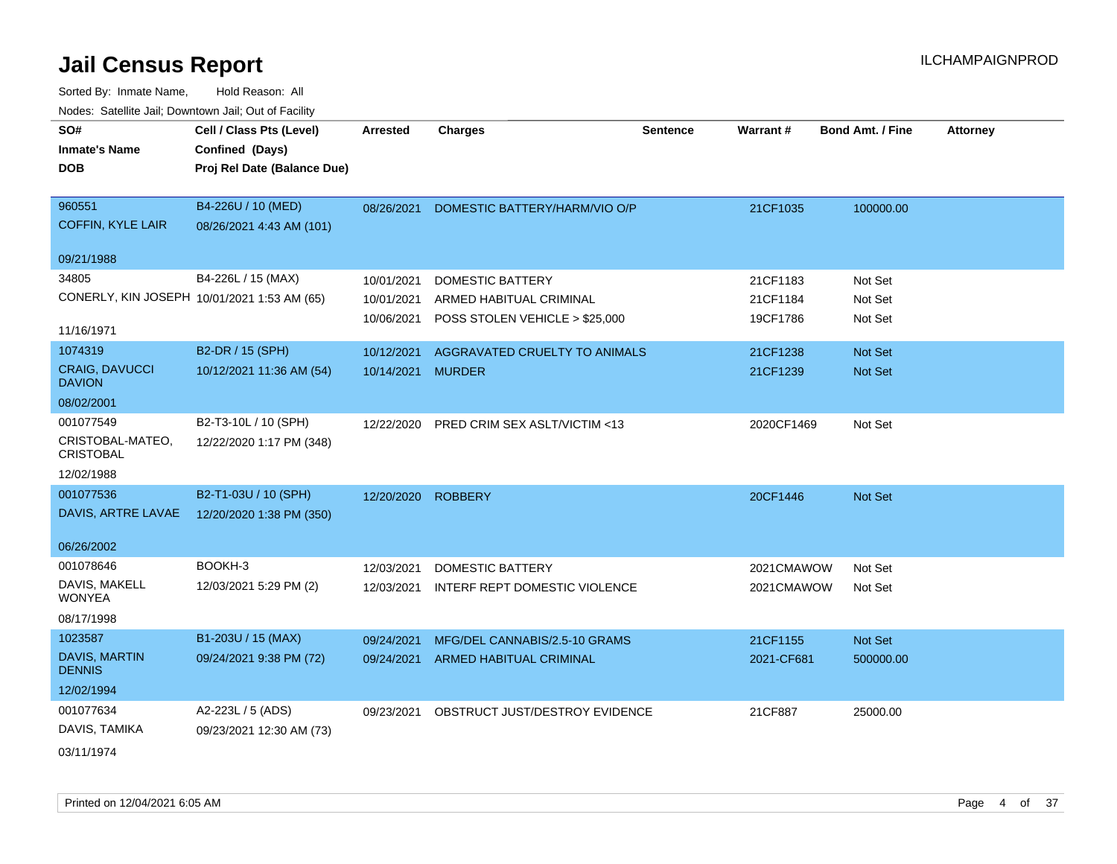| SO#                                  | Cell / Class Pts (Level)                    | <b>Arrested</b>    | <b>Charges</b>                           | <b>Sentence</b> | Warrant#   | <b>Bond Amt. / Fine</b> | <b>Attorney</b> |
|--------------------------------------|---------------------------------------------|--------------------|------------------------------------------|-----------------|------------|-------------------------|-----------------|
| <b>Inmate's Name</b>                 | Confined (Days)                             |                    |                                          |                 |            |                         |                 |
| <b>DOB</b>                           | Proj Rel Date (Balance Due)                 |                    |                                          |                 |            |                         |                 |
|                                      |                                             |                    |                                          |                 |            |                         |                 |
| 960551                               | B4-226U / 10 (MED)                          |                    | 08/26/2021 DOMESTIC BATTERY/HARM/VIO O/P |                 | 21CF1035   | 100000.00               |                 |
| <b>COFFIN, KYLE LAIR</b>             | 08/26/2021 4:43 AM (101)                    |                    |                                          |                 |            |                         |                 |
| 09/21/1988                           |                                             |                    |                                          |                 |            |                         |                 |
| 34805                                | B4-226L / 15 (MAX)                          | 10/01/2021         | <b>DOMESTIC BATTERY</b>                  |                 | 21CF1183   | Not Set                 |                 |
|                                      | CONERLY, KIN JOSEPH 10/01/2021 1:53 AM (65) | 10/01/2021         | ARMED HABITUAL CRIMINAL                  |                 | 21CF1184   | Not Set                 |                 |
| 11/16/1971                           |                                             | 10/06/2021         | POSS STOLEN VEHICLE > \$25,000           |                 | 19CF1786   | Not Set                 |                 |
| 1074319                              | B2-DR / 15 (SPH)                            | 10/12/2021         | AGGRAVATED CRUELTY TO ANIMALS            |                 | 21CF1238   | Not Set                 |                 |
| CRAIG, DAVUCCI<br><b>DAVION</b>      | 10/12/2021 11:36 AM (54)                    | 10/14/2021 MURDER  |                                          |                 | 21CF1239   | Not Set                 |                 |
| 08/02/2001                           |                                             |                    |                                          |                 |            |                         |                 |
| 001077549                            | B2-T3-10L / 10 (SPH)                        | 12/22/2020         | <b>PRED CRIM SEX ASLT/VICTIM &lt;13</b>  |                 | 2020CF1469 | Not Set                 |                 |
| CRISTOBAL-MATEO,<br><b>CRISTOBAL</b> | 12/22/2020 1:17 PM (348)                    |                    |                                          |                 |            |                         |                 |
| 12/02/1988                           |                                             |                    |                                          |                 |            |                         |                 |
| 001077536                            | B2-T1-03U / 10 (SPH)                        | 12/20/2020 ROBBERY |                                          |                 | 20CF1446   | Not Set                 |                 |
| DAVIS, ARTRE LAVAE                   | 12/20/2020 1:38 PM (350)                    |                    |                                          |                 |            |                         |                 |
| 06/26/2002                           |                                             |                    |                                          |                 |            |                         |                 |
| 001078646                            | BOOKH-3                                     | 12/03/2021         | <b>DOMESTIC BATTERY</b>                  |                 | 2021CMAWOW | Not Set                 |                 |
| DAVIS, MAKELL<br><b>WONYEA</b>       | 12/03/2021 5:29 PM (2)                      | 12/03/2021         | INTERF REPT DOMESTIC VIOLENCE            |                 | 2021CMAWOW | Not Set                 |                 |
| 08/17/1998                           |                                             |                    |                                          |                 |            |                         |                 |
| 1023587                              | B1-203U / 15 (MAX)                          | 09/24/2021         | MFG/DEL CANNABIS/2.5-10 GRAMS            |                 | 21CF1155   | Not Set                 |                 |
| DAVIS, MARTIN<br><b>DENNIS</b>       | 09/24/2021 9:38 PM (72)                     |                    | 09/24/2021 ARMED HABITUAL CRIMINAL       |                 | 2021-CF681 | 500000.00               |                 |
| 12/02/1994                           |                                             |                    |                                          |                 |            |                         |                 |
| 001077634                            | A2-223L / 5 (ADS)                           | 09/23/2021         | OBSTRUCT JUST/DESTROY EVIDENCE           |                 | 21CF887    | 25000.00                |                 |
| DAVIS, TAMIKA                        | 09/23/2021 12:30 AM (73)                    |                    |                                          |                 |            |                         |                 |
| 03/11/1974                           |                                             |                    |                                          |                 |            |                         |                 |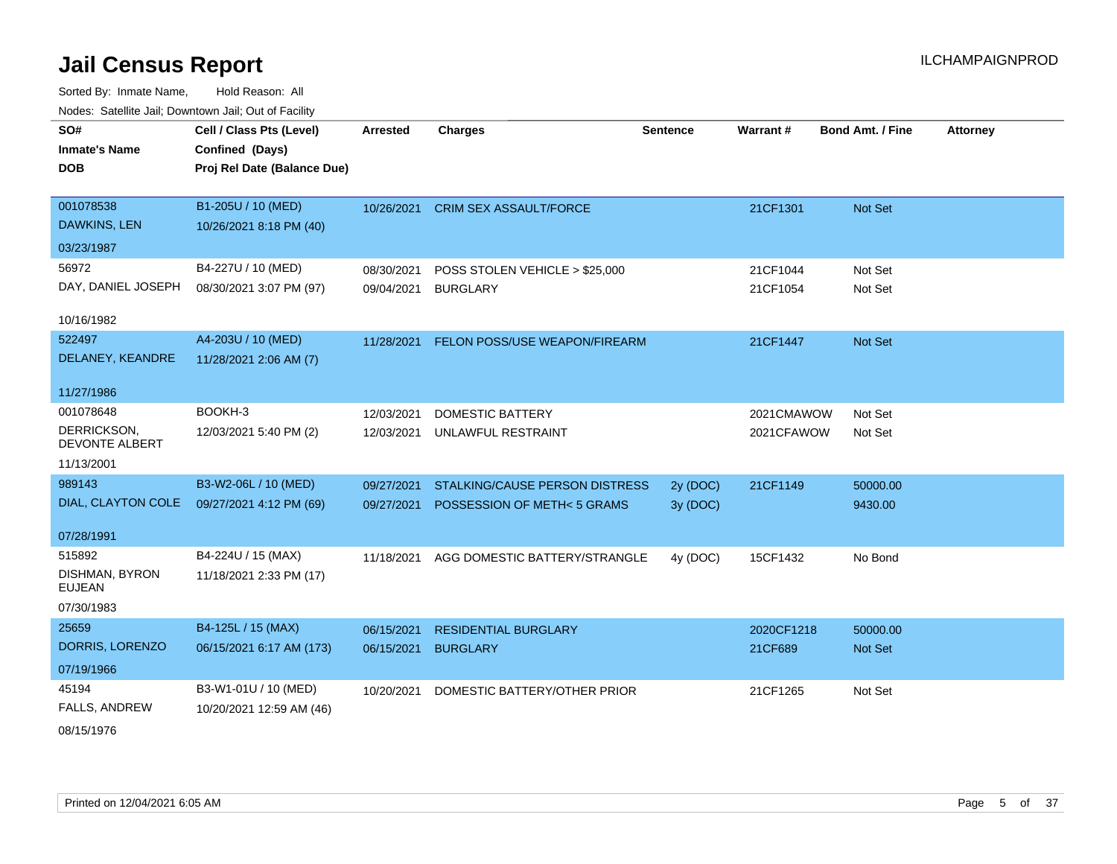Sorted By: Inmate Name, Hold Reason: All Nodes: Satellite Jail; Downtown Jail; Out of Facility

| roaco. Calcinio can, Downlown can, Out or Facility |                             |                 |                                |                 |            |                         |                 |
|----------------------------------------------------|-----------------------------|-----------------|--------------------------------|-----------------|------------|-------------------------|-----------------|
| SO#                                                | Cell / Class Pts (Level)    | <b>Arrested</b> | <b>Charges</b>                 | <b>Sentence</b> | Warrant#   | <b>Bond Amt. / Fine</b> | <b>Attorney</b> |
| <b>Inmate's Name</b>                               | Confined (Days)             |                 |                                |                 |            |                         |                 |
| <b>DOB</b>                                         | Proj Rel Date (Balance Due) |                 |                                |                 |            |                         |                 |
|                                                    |                             |                 |                                |                 |            |                         |                 |
| 001078538                                          | B1-205U / 10 (MED)          | 10/26/2021      | <b>CRIM SEX ASSAULT/FORCE</b>  |                 | 21CF1301   | Not Set                 |                 |
| DAWKINS, LEN                                       | 10/26/2021 8:18 PM (40)     |                 |                                |                 |            |                         |                 |
| 03/23/1987                                         |                             |                 |                                |                 |            |                         |                 |
| 56972                                              | B4-227U / 10 (MED)          | 08/30/2021      | POSS STOLEN VEHICLE > \$25,000 |                 | 21CF1044   | Not Set                 |                 |
| DAY, DANIEL JOSEPH                                 | 08/30/2021 3:07 PM (97)     | 09/04/2021      | <b>BURGLARY</b>                |                 | 21CF1054   | Not Set                 |                 |
|                                                    |                             |                 |                                |                 |            |                         |                 |
| 10/16/1982                                         |                             |                 |                                |                 |            |                         |                 |
| 522497                                             | A4-203U / 10 (MED)          | 11/28/2021      | FELON POSS/USE WEAPON/FIREARM  |                 | 21CF1447   | Not Set                 |                 |
| DELANEY, KEANDRE                                   | 11/28/2021 2:06 AM (7)      |                 |                                |                 |            |                         |                 |
| 11/27/1986                                         |                             |                 |                                |                 |            |                         |                 |
| 001078648                                          | BOOKH-3                     | 12/03/2021      | <b>DOMESTIC BATTERY</b>        |                 | 2021CMAWOW | Not Set                 |                 |
| DERRICKSON,                                        | 12/03/2021 5:40 PM (2)      | 12/03/2021      | UNLAWFUL RESTRAINT             |                 | 2021CFAWOW | Not Set                 |                 |
| <b>DEVONTE ALBERT</b>                              |                             |                 |                                |                 |            |                         |                 |
| 11/13/2001                                         |                             |                 |                                |                 |            |                         |                 |
| 989143                                             | B3-W2-06L / 10 (MED)        | 09/27/2021      | STALKING/CAUSE PERSON DISTRESS | 2y (DOC)        | 21CF1149   | 50000.00                |                 |
| DIAL, CLAYTON COLE                                 | 09/27/2021 4:12 PM (69)     | 09/27/2021      | POSSESSION OF METH<5 GRAMS     | 3y(DOC)         |            | 9430.00                 |                 |
|                                                    |                             |                 |                                |                 |            |                         |                 |
| 07/28/1991                                         |                             |                 |                                |                 |            |                         |                 |
| 515892                                             | B4-224U / 15 (MAX)          | 11/18/2021      | AGG DOMESTIC BATTERY/STRANGLE  | 4y (DOC)        | 15CF1432   | No Bond                 |                 |
| DISHMAN, BYRON<br><b>EUJEAN</b>                    | 11/18/2021 2:33 PM (17)     |                 |                                |                 |            |                         |                 |
| 07/30/1983                                         |                             |                 |                                |                 |            |                         |                 |
|                                                    |                             |                 |                                |                 |            |                         |                 |
| 25659                                              | B4-125L / 15 (MAX)          | 06/15/2021      | <b>RESIDENTIAL BURGLARY</b>    |                 | 2020CF1218 | 50000.00                |                 |
| DORRIS, LORENZO                                    | 06/15/2021 6:17 AM (173)    | 06/15/2021      | <b>BURGLARY</b>                |                 | 21CF689    | Not Set                 |                 |
| 07/19/1966                                         |                             |                 |                                |                 |            |                         |                 |
| 45194                                              | B3-W1-01U / 10 (MED)        | 10/20/2021      | DOMESTIC BATTERY/OTHER PRIOR   |                 | 21CF1265   | Not Set                 |                 |
| <b>FALLS, ANDREW</b>                               | 10/20/2021 12:59 AM (46)    |                 |                                |                 |            |                         |                 |
|                                                    |                             |                 |                                |                 |            |                         |                 |

08/15/1976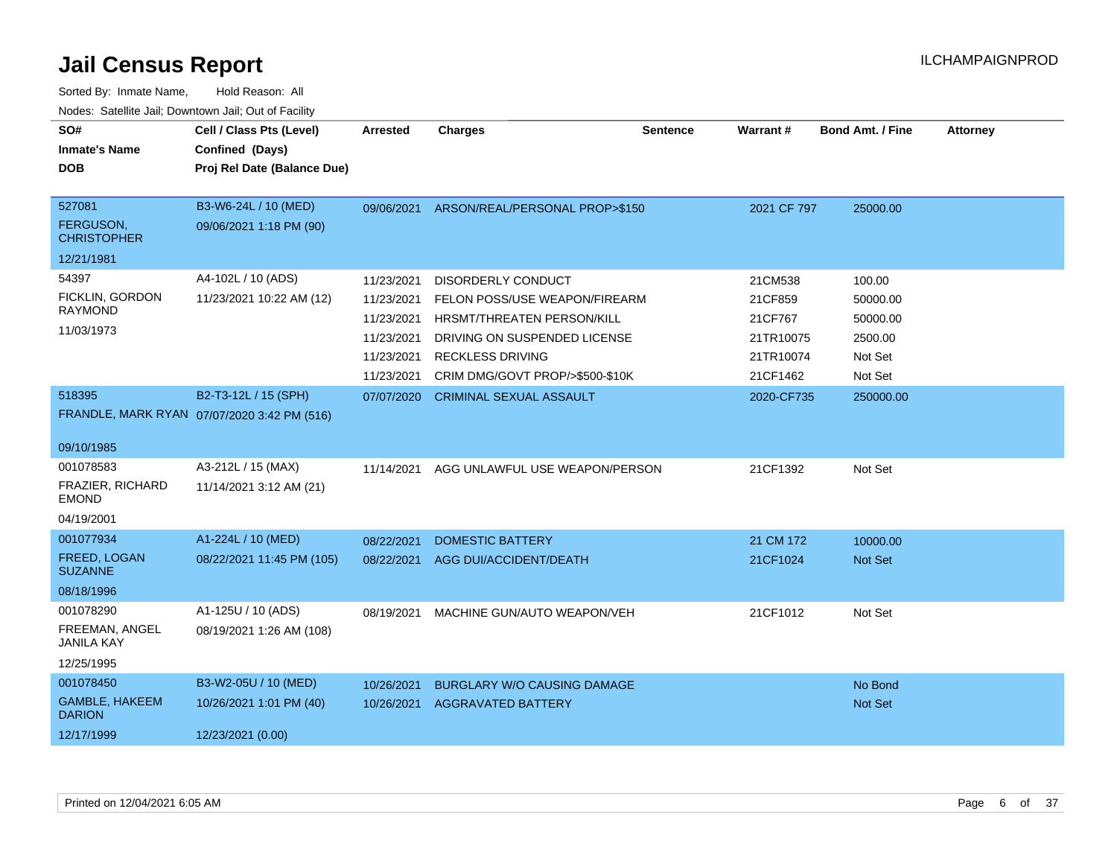| SO#<br><b>Inmate's Name</b><br><b>DOB</b>                      | Cell / Class Pts (Level)<br>Confined (Days)<br>Proj Rel Date (Balance Due) | <b>Arrested</b>                                                                  | <b>Charges</b>                                                                                                                                                                  | <b>Sentence</b> | Warrant#                                                            | <b>Bond Amt. / Fine</b>                                         | <b>Attorney</b> |
|----------------------------------------------------------------|----------------------------------------------------------------------------|----------------------------------------------------------------------------------|---------------------------------------------------------------------------------------------------------------------------------------------------------------------------------|-----------------|---------------------------------------------------------------------|-----------------------------------------------------------------|-----------------|
| 527081<br>FERGUSON,<br><b>CHRISTOPHER</b>                      | B3-W6-24L / 10 (MED)<br>09/06/2021 1:18 PM (90)                            |                                                                                  | 09/06/2021 ARSON/REAL/PERSONAL PROP>\$150                                                                                                                                       |                 | 2021 CF 797                                                         | 25000.00                                                        |                 |
| 12/21/1981                                                     |                                                                            |                                                                                  |                                                                                                                                                                                 |                 |                                                                     |                                                                 |                 |
| 54397<br>FICKLIN, GORDON<br><b>RAYMOND</b><br>11/03/1973       | A4-102L / 10 (ADS)<br>11/23/2021 10:22 AM (12)                             | 11/23/2021<br>11/23/2021<br>11/23/2021<br>11/23/2021<br>11/23/2021<br>11/23/2021 | DISORDERLY CONDUCT<br>FELON POSS/USE WEAPON/FIREARM<br>HRSMT/THREATEN PERSON/KILL<br>DRIVING ON SUSPENDED LICENSE<br><b>RECKLESS DRIVING</b><br>CRIM DMG/GOVT PROP/>\$500-\$10K |                 | 21CM538<br>21CF859<br>21CF767<br>21TR10075<br>21TR10074<br>21CF1462 | 100.00<br>50000.00<br>50000.00<br>2500.00<br>Not Set<br>Not Set |                 |
| 518395<br>09/10/1985                                           | B2-T3-12L / 15 (SPH)<br>FRANDLE, MARK RYAN 07/07/2020 3:42 PM (516)        | 07/07/2020                                                                       | <b>CRIMINAL SEXUAL ASSAULT</b>                                                                                                                                                  |                 | 2020-CF735                                                          | 250000.00                                                       |                 |
| 001078583<br>FRAZIER, RICHARD<br><b>EMOND</b><br>04/19/2001    | A3-212L / 15 (MAX)<br>11/14/2021 3:12 AM (21)                              | 11/14/2021                                                                       | AGG UNLAWFUL USE WEAPON/PERSON                                                                                                                                                  |                 | 21CF1392                                                            | Not Set                                                         |                 |
| 001077934<br>FREED, LOGAN<br><b>SUZANNE</b><br>08/18/1996      | A1-224L / 10 (MED)<br>08/22/2021 11:45 PM (105)                            | 08/22/2021<br>08/22/2021                                                         | <b>DOMESTIC BATTERY</b><br>AGG DUI/ACCIDENT/DEATH                                                                                                                               |                 | 21 CM 172<br>21CF1024                                               | 10000.00<br>Not Set                                             |                 |
| 001078290<br>FREEMAN, ANGEL<br><b>JANILA KAY</b><br>12/25/1995 | A1-125U / 10 (ADS)<br>08/19/2021 1:26 AM (108)                             | 08/19/2021                                                                       | MACHINE GUN/AUTO WEAPON/VEH                                                                                                                                                     |                 | 21CF1012                                                            | Not Set                                                         |                 |
| 001078450<br>GAMBLE, HAKEEM<br><b>DARION</b><br>12/17/1999     | B3-W2-05U / 10 (MED)<br>10/26/2021 1:01 PM (40)<br>12/23/2021 (0.00)       | 10/26/2021<br>10/26/2021                                                         | <b>BURGLARY W/O CAUSING DAMAGE</b><br><b>AGGRAVATED BATTERY</b>                                                                                                                 |                 |                                                                     | No Bond<br>Not Set                                              |                 |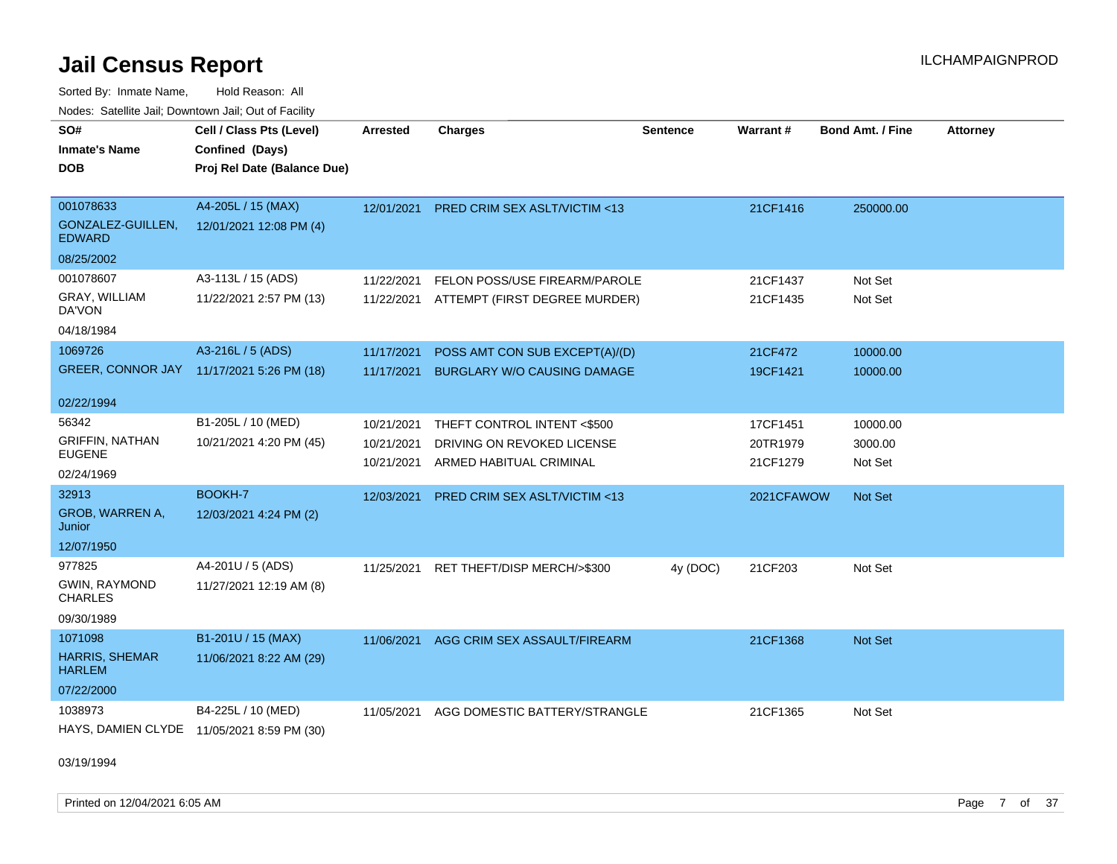Sorted By: Inmate Name, Hold Reason: All Nodes: Satellite Jail; Downtown Jail; Out of Facility

| SO#<br><b>Inmate's Name</b><br><b>DOB</b>       | Cell / Class Pts (Level)<br>Confined (Days)<br>Proj Rel Date (Balance Due) | Arrested   | <b>Charges</b>                          | <b>Sentence</b> | Warrant#   | <b>Bond Amt. / Fine</b> | <b>Attorney</b> |
|-------------------------------------------------|----------------------------------------------------------------------------|------------|-----------------------------------------|-----------------|------------|-------------------------|-----------------|
| 001078633<br>GONZALEZ-GUILLEN,<br><b>EDWARD</b> | A4-205L / 15 (MAX)<br>12/01/2021 12:08 PM (4)                              | 12/01/2021 | <b>PRED CRIM SEX ASLT/VICTIM &lt;13</b> |                 | 21CF1416   | 250000.00               |                 |
| 08/25/2002                                      |                                                                            |            |                                         |                 |            |                         |                 |
| 001078607                                       | A3-113L / 15 (ADS)                                                         | 11/22/2021 | FELON POSS/USE FIREARM/PAROLE           |                 | 21CF1437   | Not Set                 |                 |
| GRAY, WILLIAM<br>DA'VON                         | 11/22/2021 2:57 PM (13)                                                    | 11/22/2021 | ATTEMPT (FIRST DEGREE MURDER)           |                 | 21CF1435   | Not Set                 |                 |
| 04/18/1984                                      |                                                                            |            |                                         |                 |            |                         |                 |
| 1069726                                         | A3-216L / 5 (ADS)                                                          | 11/17/2021 | POSS AMT CON SUB EXCEPT(A)/(D)          |                 | 21CF472    | 10000.00                |                 |
| GREER, CONNOR JAY 11/17/2021 5:26 PM (18)       |                                                                            | 11/17/2021 | <b>BURGLARY W/O CAUSING DAMAGE</b>      |                 | 19CF1421   | 10000.00                |                 |
| 02/22/1994                                      |                                                                            |            |                                         |                 |            |                         |                 |
| 56342                                           | B1-205L / 10 (MED)                                                         | 10/21/2021 | THEFT CONTROL INTENT <\$500             |                 | 17CF1451   | 10000.00                |                 |
| <b>GRIFFIN, NATHAN</b><br>EUGENE                | 10/21/2021 4:20 PM (45)                                                    | 10/21/2021 | DRIVING ON REVOKED LICENSE              |                 | 20TR1979   | 3000.00                 |                 |
| 02/24/1969                                      |                                                                            | 10/21/2021 | ARMED HABITUAL CRIMINAL                 |                 | 21CF1279   | Not Set                 |                 |
| 32913                                           | BOOKH-7                                                                    | 12/03/2021 | PRED CRIM SEX ASLT/VICTIM <13           |                 | 2021CFAWOW | Not Set                 |                 |
| GROB, WARREN A,<br>Junior                       | 12/03/2021 4:24 PM (2)                                                     |            |                                         |                 |            |                         |                 |
| 12/07/1950                                      |                                                                            |            |                                         |                 |            |                         |                 |
| 977825                                          | A4-201U / 5 (ADS)                                                          | 11/25/2021 | RET THEFT/DISP MERCH/>\$300             | 4y (DOC)        | 21CF203    | Not Set                 |                 |
| GWIN, RAYMOND<br><b>CHARLES</b>                 | 11/27/2021 12:19 AM (8)                                                    |            |                                         |                 |            |                         |                 |
| 09/30/1989                                      |                                                                            |            |                                         |                 |            |                         |                 |
| 1071098                                         | B1-201U / 15 (MAX)                                                         | 11/06/2021 | AGG CRIM SEX ASSAULT/FIREARM            |                 | 21CF1368   | Not Set                 |                 |
| <b>HARRIS, SHEMAR</b><br><b>HARLEM</b>          | 11/06/2021 8:22 AM (29)                                                    |            |                                         |                 |            |                         |                 |
| 07/22/2000                                      |                                                                            |            |                                         |                 |            |                         |                 |
| 1038973                                         | B4-225L / 10 (MED)                                                         | 11/05/2021 | AGG DOMESTIC BATTERY/STRANGLE           |                 | 21CF1365   | Not Set                 |                 |
| HAYS, DAMIEN CLYDE 11/05/2021 8:59 PM (30)      |                                                                            |            |                                         |                 |            |                         |                 |

03/19/1994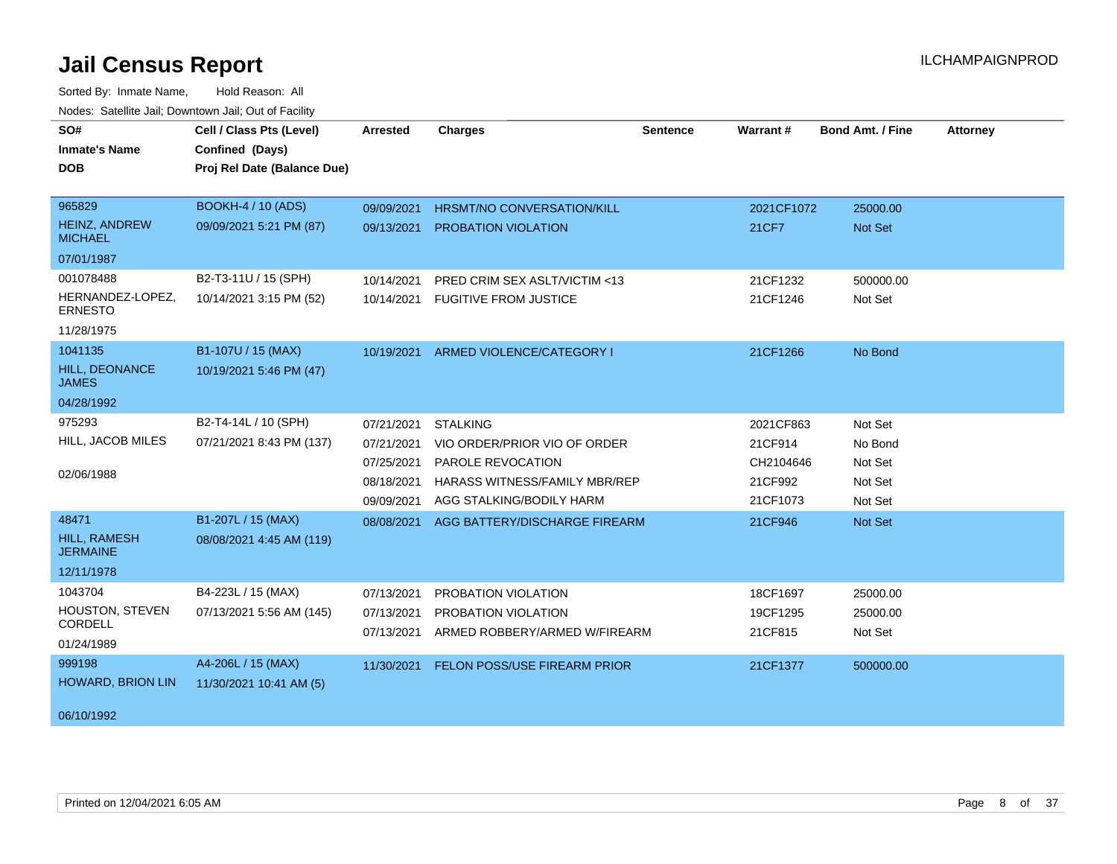| SO#<br><b>Inmate's Name</b><br><b>DOB</b> | Cell / Class Pts (Level)<br>Confined (Days)<br>Proj Rel Date (Balance Due) | Arrested                 | <b>Charges</b>                                       | <b>Sentence</b> | Warrant#            | <b>Bond Amt. / Fine</b> | <b>Attorney</b> |
|-------------------------------------------|----------------------------------------------------------------------------|--------------------------|------------------------------------------------------|-----------------|---------------------|-------------------------|-----------------|
| 965829                                    | <b>BOOKH-4 / 10 (ADS)</b>                                                  | 09/09/2021               | <b>HRSMT/NO CONVERSATION/KILL</b>                    |                 | 2021CF1072          | 25000.00                |                 |
| <b>HEINZ, ANDREW</b><br><b>MICHAEL</b>    | 09/09/2021 5:21 PM (87)                                                    | 09/13/2021               | PROBATION VIOLATION                                  |                 | 21CF7               | Not Set                 |                 |
| 07/01/1987                                |                                                                            |                          |                                                      |                 |                     |                         |                 |
| 001078488                                 | B2-T3-11U / 15 (SPH)                                                       | 10/14/2021               | PRED CRIM SEX ASLT/VICTIM <13                        |                 | 21CF1232            | 500000.00               |                 |
| HERNANDEZ-LOPEZ,<br><b>ERNESTO</b>        | 10/14/2021 3:15 PM (52)                                                    |                          | 10/14/2021 FUGITIVE FROM JUSTICE                     |                 | 21CF1246            | Not Set                 |                 |
| 11/28/1975                                |                                                                            |                          |                                                      |                 |                     |                         |                 |
| 1041135                                   | B1-107U / 15 (MAX)                                                         |                          | 10/19/2021 ARMED VIOLENCE/CATEGORY I                 |                 | 21CF1266            | No Bond                 |                 |
| <b>HILL, DEONANCE</b><br><b>JAMES</b>     | 10/19/2021 5:46 PM (47)                                                    |                          |                                                      |                 |                     |                         |                 |
| 04/28/1992                                |                                                                            |                          |                                                      |                 |                     |                         |                 |
| 975293                                    | B2-T4-14L / 10 (SPH)                                                       | 07/21/2021               | <b>STALKING</b>                                      |                 | 2021CF863           | Not Set                 |                 |
| HILL, JACOB MILES                         | 07/21/2021 8:43 PM (137)                                                   | 07/21/2021               | VIO ORDER/PRIOR VIO OF ORDER                         |                 | 21CF914             | No Bond                 |                 |
|                                           |                                                                            | 07/25/2021               | PAROLE REVOCATION                                    |                 | CH2104646           | Not Set                 |                 |
| 02/06/1988                                |                                                                            | 08/18/2021               | <b>HARASS WITNESS/FAMILY MBR/REP</b>                 |                 | 21CF992             | Not Set                 |                 |
|                                           |                                                                            | 09/09/2021               | AGG STALKING/BODILY HARM                             |                 | 21CF1073            | Not Set                 |                 |
| 48471                                     | B1-207L / 15 (MAX)                                                         | 08/08/2021               | AGG BATTERY/DISCHARGE FIREARM                        |                 | 21CF946             | Not Set                 |                 |
| <b>HILL, RAMESH</b><br><b>JERMAINE</b>    | 08/08/2021 4:45 AM (119)                                                   |                          |                                                      |                 |                     |                         |                 |
| 12/11/1978                                |                                                                            |                          |                                                      |                 |                     |                         |                 |
| 1043704                                   | B4-223L / 15 (MAX)                                                         | 07/13/2021               | PROBATION VIOLATION                                  |                 | 18CF1697            | 25000.00                |                 |
| HOUSTON, STEVEN<br>CORDELL                | 07/13/2021 5:56 AM (145)                                                   | 07/13/2021<br>07/13/2021 | PROBATION VIOLATION<br>ARMED ROBBERY/ARMED W/FIREARM |                 | 19CF1295<br>21CF815 | 25000.00<br>Not Set     |                 |
| 01/24/1989                                |                                                                            |                          |                                                      |                 |                     |                         |                 |
| 999198                                    | A4-206L / 15 (MAX)                                                         |                          | 11/30/2021 FELON POSS/USE FIREARM PRIOR              |                 | 21CF1377            | 500000.00               |                 |
| <b>HOWARD, BRION LIN</b>                  | 11/30/2021 10:41 AM (5)                                                    |                          |                                                      |                 |                     |                         |                 |
| 06/10/1992                                |                                                                            |                          |                                                      |                 |                     |                         |                 |
|                                           |                                                                            |                          |                                                      |                 |                     |                         |                 |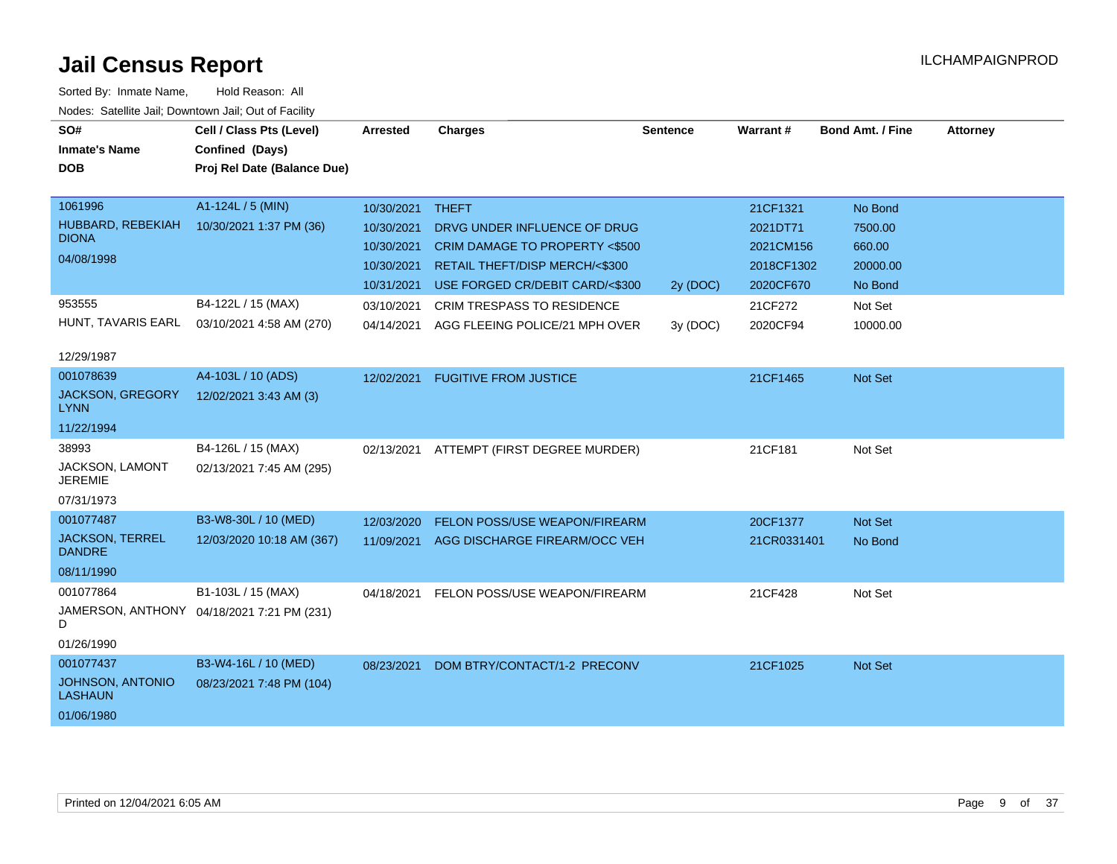| SO#                                     | Cell / Class Pts (Level)                   | <b>Arrested</b>  | <b>Charges</b>                    | <b>Sentence</b> | Warrant#    | <b>Bond Amt. / Fine</b> | <b>Attorney</b> |
|-----------------------------------------|--------------------------------------------|------------------|-----------------------------------|-----------------|-------------|-------------------------|-----------------|
| <b>Inmate's Name</b>                    | Confined (Days)                            |                  |                                   |                 |             |                         |                 |
| DOB                                     | Proj Rel Date (Balance Due)                |                  |                                   |                 |             |                         |                 |
|                                         |                                            |                  |                                   |                 |             |                         |                 |
| 1061996                                 | A1-124L / 5 (MIN)                          | 10/30/2021 THEFT |                                   |                 | 21CF1321    | No Bond                 |                 |
| HUBBARD, REBEKIAH<br><b>DIONA</b>       | 10/30/2021 1:37 PM (36)                    | 10/30/2021       | DRVG UNDER INFLUENCE OF DRUG      |                 | 2021DT71    | 7500.00                 |                 |
|                                         |                                            | 10/30/2021       | CRIM DAMAGE TO PROPERTY <\$500    |                 | 2021CM156   | 660.00                  |                 |
| 04/08/1998                              |                                            | 10/30/2021       | RETAIL THEFT/DISP MERCH/<\$300    |                 | 2018CF1302  | 20000.00                |                 |
|                                         |                                            | 10/31/2021       | USE FORGED CR/DEBIT CARD/<\$300   | 2y (DOC)        | 2020CF670   | No Bond                 |                 |
| 953555                                  | B4-122L / 15 (MAX)                         | 03/10/2021       | <b>CRIM TRESPASS TO RESIDENCE</b> |                 | 21CF272     | Not Set                 |                 |
| HUNT, TAVARIS EARL                      | 03/10/2021 4:58 AM (270)                   | 04/14/2021       | AGG FLEEING POLICE/21 MPH OVER    | 3y (DOC)        | 2020CF94    | 10000.00                |                 |
| 12/29/1987                              |                                            |                  |                                   |                 |             |                         |                 |
| 001078639                               | A4-103L / 10 (ADS)                         | 12/02/2021       | <b>FUGITIVE FROM JUSTICE</b>      |                 | 21CF1465    | <b>Not Set</b>          |                 |
| <b>JACKSON, GREGORY</b><br>LYNN         | 12/02/2021 3:43 AM (3)                     |                  |                                   |                 |             |                         |                 |
| 11/22/1994                              |                                            |                  |                                   |                 |             |                         |                 |
| 38993                                   | B4-126L / 15 (MAX)                         | 02/13/2021       | ATTEMPT (FIRST DEGREE MURDER)     |                 | 21CF181     | Not Set                 |                 |
| JACKSON, LAMONT<br><b>JEREMIE</b>       | 02/13/2021 7:45 AM (295)                   |                  |                                   |                 |             |                         |                 |
| 07/31/1973                              |                                            |                  |                                   |                 |             |                         |                 |
| 001077487                               | B3-W8-30L / 10 (MED)                       | 12/03/2020       | FELON POSS/USE WEAPON/FIREARM     |                 | 20CF1377    | Not Set                 |                 |
| <b>JACKSON, TERREL</b><br><b>DANDRE</b> | 12/03/2020 10:18 AM (367)                  | 11/09/2021       | AGG DISCHARGE FIREARM/OCC VEH     |                 | 21CR0331401 | No Bond                 |                 |
| 08/11/1990                              |                                            |                  |                                   |                 |             |                         |                 |
| 001077864                               | B1-103L / 15 (MAX)                         | 04/18/2021       | FELON POSS/USE WEAPON/FIREARM     |                 | 21CF428     | Not Set                 |                 |
| D                                       | JAMERSON, ANTHONY 04/18/2021 7:21 PM (231) |                  |                                   |                 |             |                         |                 |
| 01/26/1990                              |                                            |                  |                                   |                 |             |                         |                 |
| 001077437                               | B3-W4-16L / 10 (MED)                       | 08/23/2021       | DOM BTRY/CONTACT/1-2 PRECONV      |                 | 21CF1025    | <b>Not Set</b>          |                 |
| JOHNSON, ANTONIO<br><b>LASHAUN</b>      | 08/23/2021 7:48 PM (104)                   |                  |                                   |                 |             |                         |                 |
| 01/06/1980                              |                                            |                  |                                   |                 |             |                         |                 |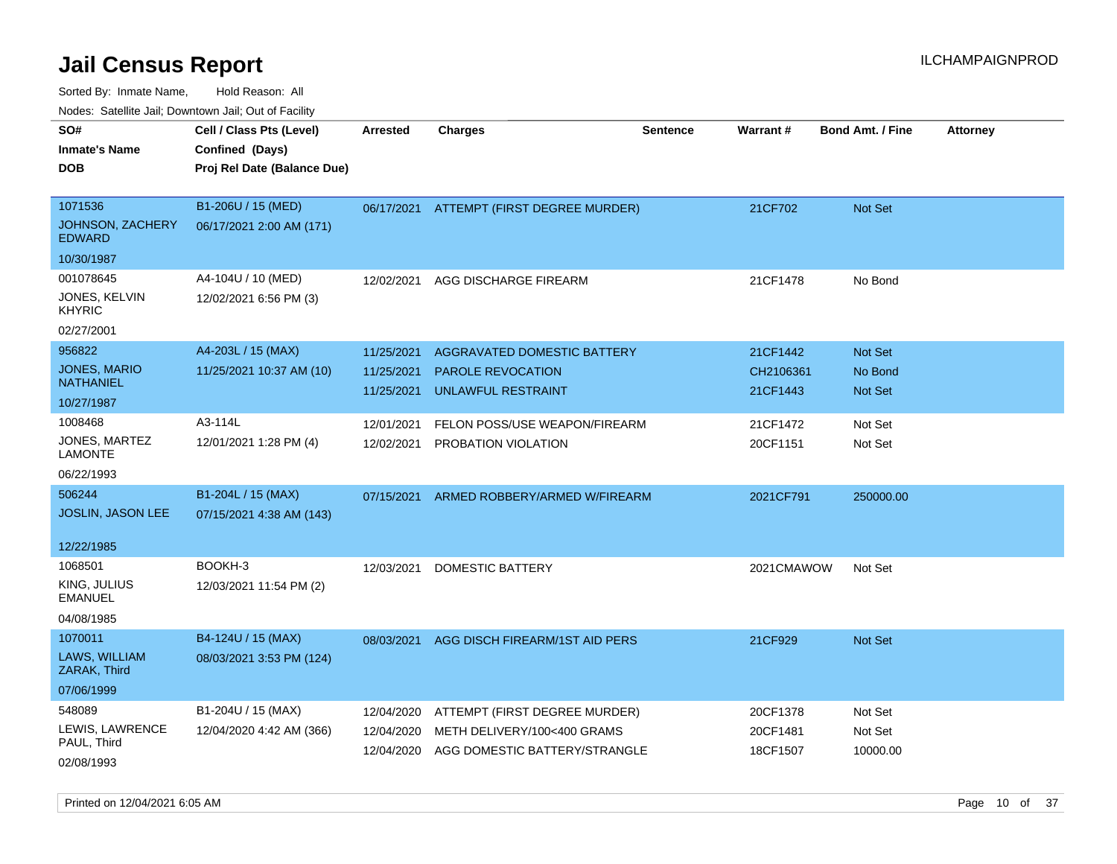| ivouss. Satellite Jali, Downtown Jali, Out of Facility |                             |            |                                          |                 |                 |                         |                 |
|--------------------------------------------------------|-----------------------------|------------|------------------------------------------|-----------------|-----------------|-------------------------|-----------------|
| SO#                                                    | Cell / Class Pts (Level)    | Arrested   | Charges                                  | <b>Sentence</b> | <b>Warrant#</b> | <b>Bond Amt. / Fine</b> | <b>Attorney</b> |
| Inmate's Name                                          | Confined (Days)             |            |                                          |                 |                 |                         |                 |
| <b>DOB</b>                                             | Proj Rel Date (Balance Due) |            |                                          |                 |                 |                         |                 |
|                                                        |                             |            |                                          |                 |                 |                         |                 |
| 1071536                                                | B1-206U / 15 (MED)          |            | 06/17/2021 ATTEMPT (FIRST DEGREE MURDER) |                 | 21CF702         | Not Set                 |                 |
| JOHNSON, ZACHERY<br><b>EDWARD</b>                      | 06/17/2021 2:00 AM (171)    |            |                                          |                 |                 |                         |                 |
| 10/30/1987                                             |                             |            |                                          |                 |                 |                         |                 |
| 001078645                                              | A4-104U / 10 (MED)          | 12/02/2021 | AGG DISCHARGE FIREARM                    |                 | 21CF1478        | No Bond                 |                 |
| JONES, KELVIN<br>KHYRIC                                | 12/02/2021 6:56 PM (3)      |            |                                          |                 |                 |                         |                 |
| 02/27/2001                                             |                             |            |                                          |                 |                 |                         |                 |
| 956822                                                 | A4-203L / 15 (MAX)          | 11/25/2021 | AGGRAVATED DOMESTIC BATTERY              |                 | 21CF1442        | <b>Not Set</b>          |                 |
| JONES, MARIO                                           | 11/25/2021 10:37 AM (10)    | 11/25/2021 | <b>PAROLE REVOCATION</b>                 |                 | CH2106361       | No Bond                 |                 |
| NATHANIEL                                              |                             | 11/25/2021 | UNLAWFUL RESTRAINT                       |                 | 21CF1443        | <b>Not Set</b>          |                 |
| 10/27/1987                                             |                             |            |                                          |                 |                 |                         |                 |
| 1008468                                                | A3-114L                     | 12/01/2021 | FELON POSS/USE WEAPON/FIREARM            |                 | 21CF1472        | Not Set                 |                 |
| JONES, MARTEZ<br>LAMONTE                               | 12/01/2021 1:28 PM (4)      | 12/02/2021 | PROBATION VIOLATION                      |                 | 20CF1151        | Not Set                 |                 |
| 06/22/1993                                             |                             |            |                                          |                 |                 |                         |                 |
| 506244                                                 | B1-204L / 15 (MAX)          | 07/15/2021 | ARMED ROBBERY/ARMED W/FIREARM            |                 | 2021CF791       | 250000.00               |                 |
| <b>JOSLIN, JASON LEE</b>                               | 07/15/2021 4:38 AM (143)    |            |                                          |                 |                 |                         |                 |
|                                                        |                             |            |                                          |                 |                 |                         |                 |
| 12/22/1985                                             |                             |            |                                          |                 |                 |                         |                 |
| 1068501                                                | BOOKH-3                     | 12/03/2021 | DOMESTIC BATTERY                         |                 | 2021CMAWOW      | Not Set                 |                 |
| KING, JULIUS<br>EMANUEL                                | 12/03/2021 11:54 PM (2)     |            |                                          |                 |                 |                         |                 |
| 04/08/1985                                             |                             |            |                                          |                 |                 |                         |                 |
| 1070011                                                | B4-124U / 15 (MAX)          | 08/03/2021 | AGG DISCH FIREARM/1ST AID PERS           |                 | 21CF929         | <b>Not Set</b>          |                 |
| LAWS, WILLIAM<br>ZARAK, Third                          | 08/03/2021 3:53 PM (124)    |            |                                          |                 |                 |                         |                 |
| 07/06/1999                                             |                             |            |                                          |                 |                 |                         |                 |
| 548089                                                 | B1-204U / 15 (MAX)          | 12/04/2020 | ATTEMPT (FIRST DEGREE MURDER)            |                 | 20CF1378        | Not Set                 |                 |
| LEWIS, LAWRENCE                                        | 12/04/2020 4:42 AM (366)    | 12/04/2020 | METH DELIVERY/100<400 GRAMS              |                 | 20CF1481        | Not Set                 |                 |
| PAUL, Third                                            |                             | 12/04/2020 | AGG DOMESTIC BATTERY/STRANGLE            |                 | 18CF1507        | 10000.00                |                 |
| 02/08/1993                                             |                             |            |                                          |                 |                 |                         |                 |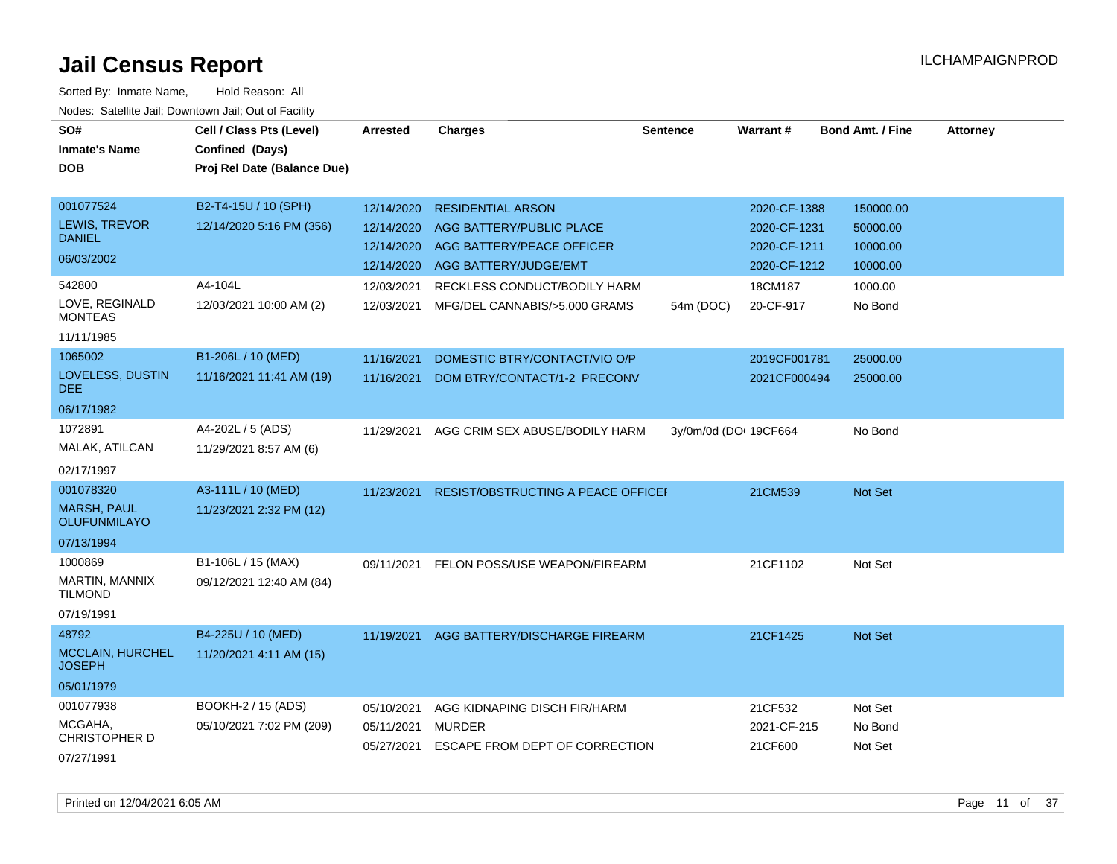| SO#<br><b>Inmate's Name</b><br><b>DOB</b> | Cell / Class Pts (Level)<br>Confined (Days)<br>Proj Rel Date (Balance Due) | <b>Arrested</b> | <b>Charges</b>                     | <b>Sentence</b> | <b>Warrant#</b>       | <b>Bond Amt. / Fine</b> | <b>Attorney</b> |
|-------------------------------------------|----------------------------------------------------------------------------|-----------------|------------------------------------|-----------------|-----------------------|-------------------------|-----------------|
| 001077524                                 | B2-T4-15U / 10 (SPH)                                                       | 12/14/2020      | <b>RESIDENTIAL ARSON</b>           |                 | 2020-CF-1388          | 150000.00               |                 |
| LEWIS, TREVOR<br><b>DANIEL</b>            | 12/14/2020 5:16 PM (356)                                                   | 12/14/2020      | AGG BATTERY/PUBLIC PLACE           |                 | 2020-CF-1231          | 50000.00                |                 |
| 06/03/2002                                |                                                                            | 12/14/2020      | AGG BATTERY/PEACE OFFICER          |                 | 2020-CF-1211          | 10000.00                |                 |
|                                           |                                                                            | 12/14/2020      | AGG BATTERY/JUDGE/EMT              |                 | 2020-CF-1212          | 10000.00                |                 |
| 542800                                    | A4-104L                                                                    | 12/03/2021      | RECKLESS CONDUCT/BODILY HARM       |                 | 18CM187               | 1000.00                 |                 |
| LOVE, REGINALD<br><b>MONTEAS</b>          | 12/03/2021 10:00 AM (2)                                                    | 12/03/2021      | MFG/DEL CANNABIS/>5,000 GRAMS      | 54m (DOC)       | 20-CF-917             | No Bond                 |                 |
| 11/11/1985                                |                                                                            |                 |                                    |                 |                       |                         |                 |
| 1065002                                   | B1-206L / 10 (MED)                                                         | 11/16/2021      | DOMESTIC BTRY/CONTACT/VIO O/P      |                 | 2019CF001781          | 25000.00                |                 |
| LOVELESS, DUSTIN<br><b>DEE</b>            | 11/16/2021 11:41 AM (19)                                                   | 11/16/2021      | DOM BTRY/CONTACT/1-2 PRECONV       |                 | 2021CF000494          | 25000.00                |                 |
| 06/17/1982                                |                                                                            |                 |                                    |                 |                       |                         |                 |
| 1072891                                   | A4-202L / 5 (ADS)                                                          | 11/29/2021      | AGG CRIM SEX ABUSE/BODILY HARM     |                 | 3y/0m/0d (DO: 19CF664 | No Bond                 |                 |
| MALAK, ATILCAN                            | 11/29/2021 8:57 AM (6)                                                     |                 |                                    |                 |                       |                         |                 |
| 02/17/1997                                |                                                                            |                 |                                    |                 |                       |                         |                 |
| 001078320                                 | A3-111L / 10 (MED)                                                         | 11/23/2021      | RESIST/OBSTRUCTING A PEACE OFFICEF |                 | 21CM539               | Not Set                 |                 |
| <b>MARSH, PAUL</b><br><b>OLUFUNMILAYO</b> | 11/23/2021 2:32 PM (12)                                                    |                 |                                    |                 |                       |                         |                 |
| 07/13/1994                                |                                                                            |                 |                                    |                 |                       |                         |                 |
| 1000869                                   | B1-106L / 15 (MAX)                                                         | 09/11/2021      | FELON POSS/USE WEAPON/FIREARM      |                 | 21CF1102              | Not Set                 |                 |
| MARTIN, MANNIX<br><b>TILMOND</b>          | 09/12/2021 12:40 AM (84)                                                   |                 |                                    |                 |                       |                         |                 |
| 07/19/1991                                |                                                                            |                 |                                    |                 |                       |                         |                 |
| 48792                                     | B4-225U / 10 (MED)                                                         | 11/19/2021      | AGG BATTERY/DISCHARGE FIREARM      |                 | 21CF1425              | Not Set                 |                 |
| <b>MCCLAIN, HURCHEL</b><br><b>JOSEPH</b>  | 11/20/2021 4:11 AM (15)                                                    |                 |                                    |                 |                       |                         |                 |
| 05/01/1979                                |                                                                            |                 |                                    |                 |                       |                         |                 |
| 001077938                                 | BOOKH-2 / 15 (ADS)                                                         | 05/10/2021      | AGG KIDNAPING DISCH FIR/HARM       |                 | 21CF532               | Not Set                 |                 |
| MCGAHA,<br><b>CHRISTOPHER D</b>           | 05/10/2021 7:02 PM (209)                                                   | 05/11/2021      | MURDER                             |                 | 2021-CF-215           | No Bond                 |                 |
| 07/27/1991                                |                                                                            | 05/27/2021      | ESCAPE FROM DEPT OF CORRECTION     |                 | 21CF600               | Not Set                 |                 |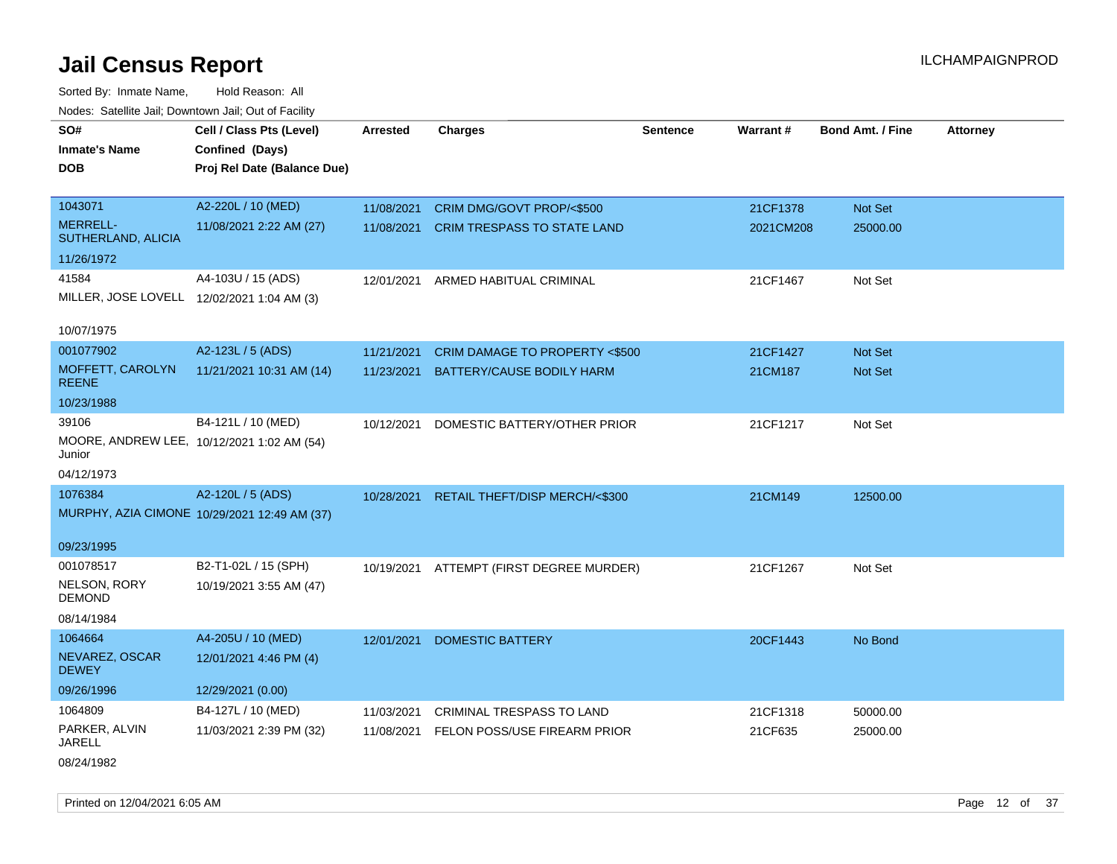Sorted By: Inmate Name, Hold Reason: All Nodes: Satellite Jail; Downtown Jail; Out of Facility

| SO#                                        | Cell / Class Pts (Level)                     | Arrested   | <b>Charges</b>                           | <b>Sentence</b> | Warrant#  | <b>Bond Amt. / Fine</b> | <b>Attorney</b> |
|--------------------------------------------|----------------------------------------------|------------|------------------------------------------|-----------------|-----------|-------------------------|-----------------|
| <b>Inmate's Name</b>                       | Confined (Days)                              |            |                                          |                 |           |                         |                 |
| <b>DOB</b>                                 | Proj Rel Date (Balance Due)                  |            |                                          |                 |           |                         |                 |
|                                            |                                              |            |                                          |                 |           |                         |                 |
| 1043071                                    | A2-220L / 10 (MED)                           | 11/08/2021 | CRIM DMG/GOVT PROP/<\$500                |                 | 21CF1378  | Not Set                 |                 |
| <b>MERRELL-</b><br>SUTHERLAND, ALICIA      | 11/08/2021 2:22 AM (27)                      | 11/08/2021 | CRIM TRESPASS TO STATE LAND              |                 | 2021CM208 | 25000.00                |                 |
| 11/26/1972                                 |                                              |            |                                          |                 |           |                         |                 |
| 41584                                      | A4-103U / 15 (ADS)                           | 12/01/2021 | ARMED HABITUAL CRIMINAL                  |                 | 21CF1467  | Not Set                 |                 |
| MILLER, JOSE LOVELL 12/02/2021 1:04 AM (3) |                                              |            |                                          |                 |           |                         |                 |
|                                            |                                              |            |                                          |                 |           |                         |                 |
| 10/07/1975                                 |                                              |            |                                          |                 |           |                         |                 |
| 001077902                                  | A2-123L / 5 (ADS)                            | 11/21/2021 | CRIM DAMAGE TO PROPERTY <\$500           |                 | 21CF1427  | <b>Not Set</b>          |                 |
| MOFFETT, CAROLYN<br><b>REENE</b>           | 11/21/2021 10:31 AM (14)                     | 11/23/2021 | BATTERY/CAUSE BODILY HARM                |                 | 21CM187   | Not Set                 |                 |
| 10/23/1988                                 |                                              |            |                                          |                 |           |                         |                 |
| 39106                                      | B4-121L / 10 (MED)                           | 10/12/2021 | DOMESTIC BATTERY/OTHER PRIOR             |                 | 21CF1217  | Not Set                 |                 |
| Junior                                     | MOORE, ANDREW LEE, 10/12/2021 1:02 AM (54)   |            |                                          |                 |           |                         |                 |
| 04/12/1973                                 |                                              |            |                                          |                 |           |                         |                 |
| 1076384                                    | A2-120L / 5 (ADS)                            | 10/28/2021 | RETAIL THEFT/DISP MERCH/<\$300           |                 | 21CM149   | 12500.00                |                 |
|                                            | MURPHY, AZIA CIMONE 10/29/2021 12:49 AM (37) |            |                                          |                 |           |                         |                 |
|                                            |                                              |            |                                          |                 |           |                         |                 |
| 09/23/1995                                 |                                              |            |                                          |                 |           |                         |                 |
| 001078517                                  | B2-T1-02L / 15 (SPH)                         |            | 10/19/2021 ATTEMPT (FIRST DEGREE MURDER) |                 | 21CF1267  | Not Set                 |                 |
| NELSON, RORY<br><b>DEMOND</b>              | 10/19/2021 3:55 AM (47)                      |            |                                          |                 |           |                         |                 |
| 08/14/1984                                 |                                              |            |                                          |                 |           |                         |                 |
| 1064664                                    | A4-205U / 10 (MED)                           | 12/01/2021 | <b>DOMESTIC BATTERY</b>                  |                 | 20CF1443  | No Bond                 |                 |
| NEVAREZ, OSCAR<br><b>DEWEY</b>             | 12/01/2021 4:46 PM (4)                       |            |                                          |                 |           |                         |                 |
| 09/26/1996                                 | 12/29/2021 (0.00)                            |            |                                          |                 |           |                         |                 |
| 1064809                                    | B4-127L / 10 (MED)                           | 11/03/2021 | <b>CRIMINAL TRESPASS TO LAND</b>         |                 | 21CF1318  | 50000.00                |                 |
| PARKER, ALVIN<br><b>JARELL</b>             | 11/03/2021 2:39 PM (32)                      | 11/08/2021 | FELON POSS/USE FIREARM PRIOR             |                 | 21CF635   | 25000.00                |                 |
| 08/24/1982                                 |                                              |            |                                          |                 |           |                         |                 |

Printed on 12/04/2021 6:05 AM **Page 12** of 37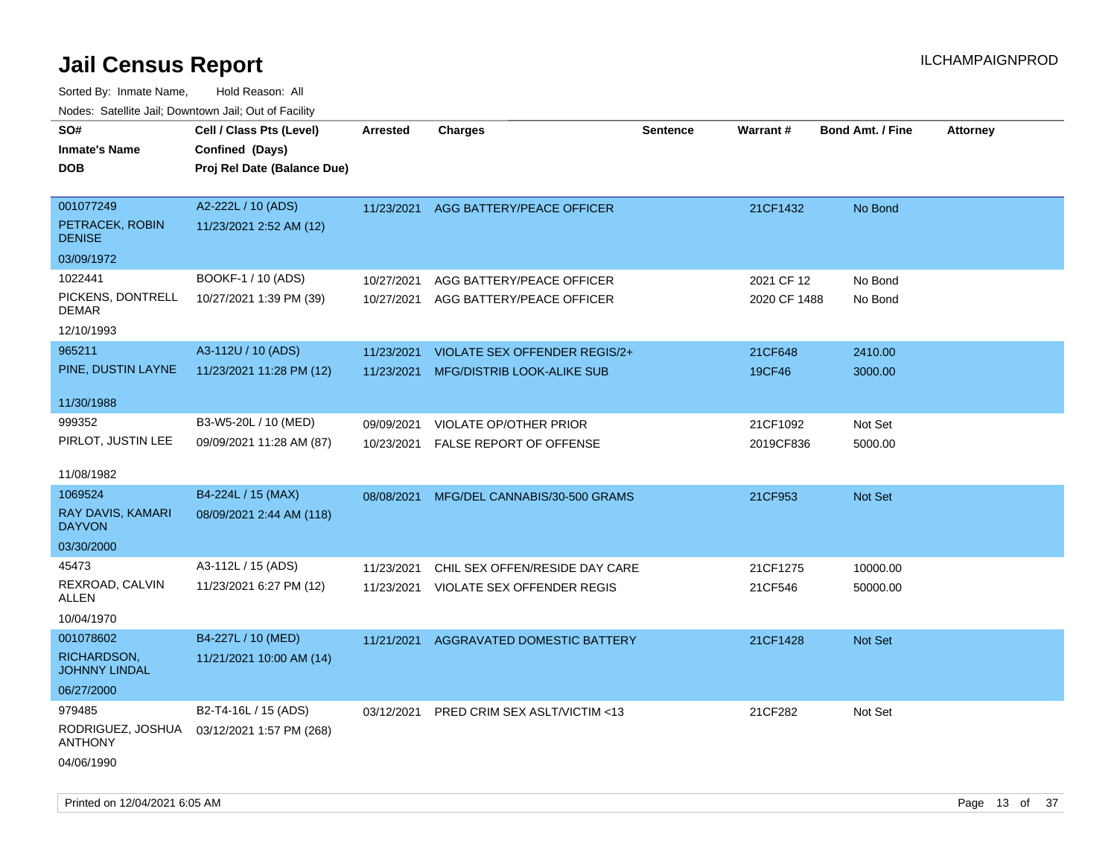| ivoues. Salellite Jali, Downtown Jali, Out of Facility |                             |            |                                |          |                 |                         |                 |
|--------------------------------------------------------|-----------------------------|------------|--------------------------------|----------|-----------------|-------------------------|-----------------|
| SO#                                                    | Cell / Class Pts (Level)    | Arrested   | <b>Charges</b>                 | Sentence | <b>Warrant#</b> | <b>Bond Amt. / Fine</b> | <b>Attorney</b> |
| <b>Inmate's Name</b>                                   | Confined (Days)             |            |                                |          |                 |                         |                 |
| <b>DOB</b>                                             | Proj Rel Date (Balance Due) |            |                                |          |                 |                         |                 |
|                                                        |                             |            |                                |          |                 |                         |                 |
| 001077249                                              | A2-222L / 10 (ADS)          | 11/23/2021 | AGG BATTERY/PEACE OFFICER      |          | 21CF1432        | No Bond                 |                 |
| PETRACEK, ROBIN<br><b>DENISE</b>                       | 11/23/2021 2:52 AM (12)     |            |                                |          |                 |                         |                 |
| 03/09/1972                                             |                             |            |                                |          |                 |                         |                 |
| 1022441                                                | BOOKF-1 / 10 (ADS)          | 10/27/2021 | AGG BATTERY/PEACE OFFICER      |          | 2021 CF 12      | No Bond                 |                 |
| PICKENS, DONTRELL<br><b>DEMAR</b>                      | 10/27/2021 1:39 PM (39)     | 10/27/2021 | AGG BATTERY/PEACE OFFICER      |          | 2020 CF 1488    | No Bond                 |                 |
| 12/10/1993                                             |                             |            |                                |          |                 |                         |                 |
| 965211                                                 | A3-112U / 10 (ADS)          | 11/23/2021 | VIOLATE SEX OFFENDER REGIS/2+  |          | 21CF648         | 2410.00                 |                 |
| PINE, DUSTIN LAYNE                                     | 11/23/2021 11:28 PM (12)    | 11/23/2021 | MFG/DISTRIB LOOK-ALIKE SUB     |          | 19CF46          | 3000.00                 |                 |
|                                                        |                             |            |                                |          |                 |                         |                 |
| 11/30/1988                                             |                             |            |                                |          |                 |                         |                 |
| 999352                                                 | B3-W5-20L / 10 (MED)        | 09/09/2021 | <b>VIOLATE OP/OTHER PRIOR</b>  |          | 21CF1092        | Not Set                 |                 |
| PIRLOT, JUSTIN LEE                                     | 09/09/2021 11:28 AM (87)    | 10/23/2021 | <b>FALSE REPORT OF OFFENSE</b> |          | 2019CF836       | 5000.00                 |                 |
|                                                        |                             |            |                                |          |                 |                         |                 |
| 11/08/1982                                             |                             |            |                                |          |                 |                         |                 |
| 1069524                                                | B4-224L / 15 (MAX)          | 08/08/2021 | MFG/DEL CANNABIS/30-500 GRAMS  |          | 21CF953         | Not Set                 |                 |
| RAY DAVIS, KAMARI<br><b>DAYVON</b>                     | 08/09/2021 2:44 AM (118)    |            |                                |          |                 |                         |                 |
| 03/30/2000                                             |                             |            |                                |          |                 |                         |                 |
| 45473                                                  | A3-112L / 15 (ADS)          | 11/23/2021 | CHIL SEX OFFEN/RESIDE DAY CARE |          | 21CF1275        | 10000.00                |                 |
| REXROAD, CALVIN<br>ALLEN                               | 11/23/2021 6:27 PM (12)     | 11/23/2021 | VIOLATE SEX OFFENDER REGIS     |          | 21CF546         | 50000.00                |                 |
| 10/04/1970                                             |                             |            |                                |          |                 |                         |                 |
| 001078602                                              | B4-227L / 10 (MED)          | 11/21/2021 | AGGRAVATED DOMESTIC BATTERY    |          | 21CF1428        | Not Set                 |                 |
| RICHARDSON,<br><b>JOHNNY LINDAL</b>                    | 11/21/2021 10:00 AM (14)    |            |                                |          |                 |                         |                 |
| 06/27/2000                                             |                             |            |                                |          |                 |                         |                 |
| 979485                                                 | B2-T4-16L / 15 (ADS)        | 03/12/2021 | PRED CRIM SEX ASLT/VICTIM <13  |          | 21CF282         | Not Set                 |                 |
| RODRIGUEZ, JOSHUA<br><b>ANTHONY</b>                    | 03/12/2021 1:57 PM (268)    |            |                                |          |                 |                         |                 |
| 04/06/1990                                             |                             |            |                                |          |                 |                         |                 |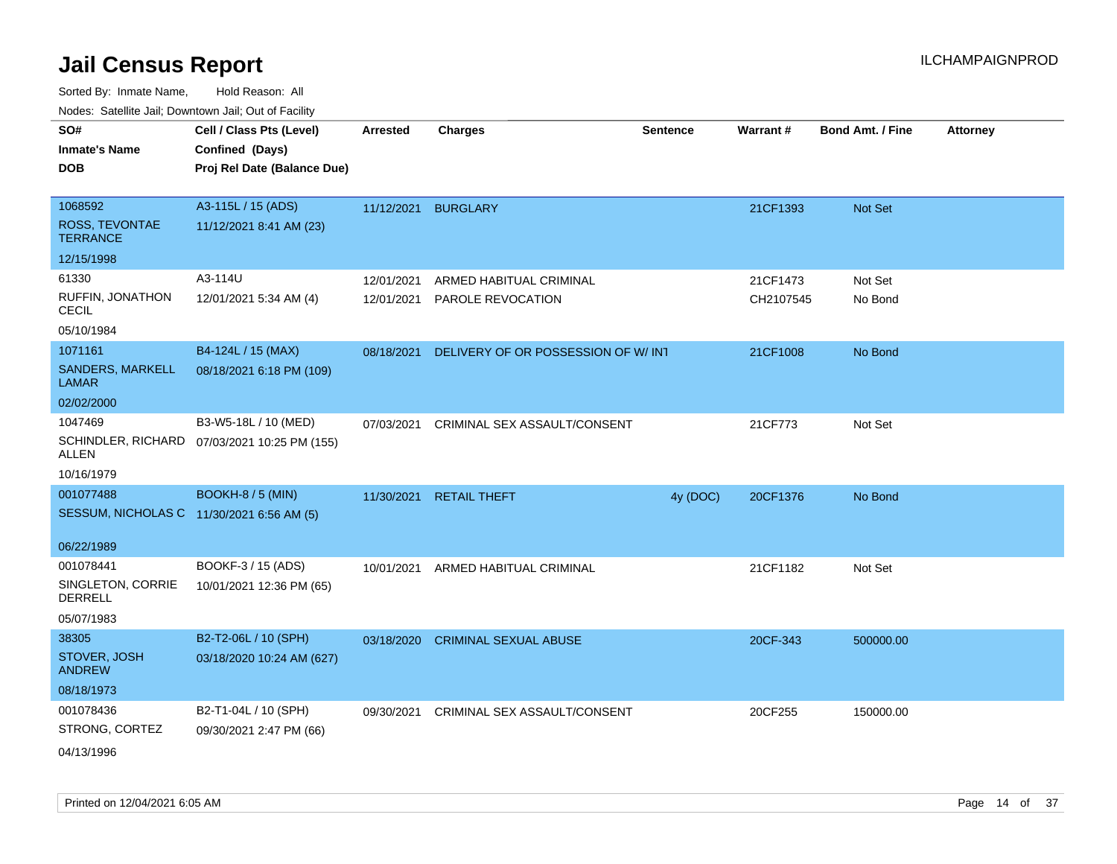| roaco. Oatomto dan, Downtown dan, Oat or Fability |                                              |            |                                    |                 |                 |                         |                 |
|---------------------------------------------------|----------------------------------------------|------------|------------------------------------|-----------------|-----------------|-------------------------|-----------------|
| SO#<br><b>Inmate's Name</b>                       | Cell / Class Pts (Level)<br>Confined (Days)  | Arrested   | <b>Charges</b>                     | <b>Sentence</b> | <b>Warrant#</b> | <b>Bond Amt. / Fine</b> | <b>Attorney</b> |
| <b>DOB</b>                                        | Proj Rel Date (Balance Due)                  |            |                                    |                 |                 |                         |                 |
| 1068592                                           | A3-115L / 15 (ADS)                           | 11/12/2021 | <b>BURGLARY</b>                    |                 | 21CF1393        | Not Set                 |                 |
| ROSS, TEVONTAE<br><b>TERRANCE</b>                 | 11/12/2021 8:41 AM (23)                      |            |                                    |                 |                 |                         |                 |
| 12/15/1998                                        |                                              |            |                                    |                 |                 |                         |                 |
| 61330                                             | A3-114U                                      | 12/01/2021 | ARMED HABITUAL CRIMINAL            |                 | 21CF1473        | Not Set                 |                 |
| RUFFIN, JONATHON<br><b>CECIL</b>                  | 12/01/2021 5:34 AM (4)                       | 12/01/2021 | PAROLE REVOCATION                  |                 | CH2107545       | No Bond                 |                 |
| 05/10/1984                                        |                                              |            |                                    |                 |                 |                         |                 |
| 1071161                                           | B4-124L / 15 (MAX)                           | 08/18/2021 | DELIVERY OF OR POSSESSION OF W/INT |                 | 21CF1008        | No Bond                 |                 |
| SANDERS, MARKELL<br><b>LAMAR</b>                  | 08/18/2021 6:18 PM (109)                     |            |                                    |                 |                 |                         |                 |
| 02/02/2000                                        |                                              |            |                                    |                 |                 |                         |                 |
| 1047469                                           | B3-W5-18L / 10 (MED)                         | 07/03/2021 | CRIMINAL SEX ASSAULT/CONSENT       |                 | 21CF773         | Not Set                 |                 |
| ALLEN                                             | SCHINDLER, RICHARD 07/03/2021 10:25 PM (155) |            |                                    |                 |                 |                         |                 |
| 10/16/1979                                        |                                              |            |                                    |                 |                 |                         |                 |
| 001077488                                         | <b>BOOKH-8 / 5 (MIN)</b>                     | 11/30/2021 | <b>RETAIL THEFT</b>                | 4y (DOC)        | 20CF1376        | No Bond                 |                 |
| SESSUM, NICHOLAS C 11/30/2021 6:56 AM (5)         |                                              |            |                                    |                 |                 |                         |                 |
| 06/22/1989                                        |                                              |            |                                    |                 |                 |                         |                 |
| 001078441                                         | BOOKF-3 / 15 (ADS)                           | 10/01/2021 | ARMED HABITUAL CRIMINAL            |                 | 21CF1182        | Not Set                 |                 |
| SINGLETON, CORRIE<br>DERRELL                      | 10/01/2021 12:36 PM (65)                     |            |                                    |                 |                 |                         |                 |
| 05/07/1983                                        |                                              |            |                                    |                 |                 |                         |                 |
| 38305                                             | B2-T2-06L / 10 (SPH)                         | 03/18/2020 | <b>CRIMINAL SEXUAL ABUSE</b>       |                 | 20CF-343        | 500000.00               |                 |
| STOVER, JOSH<br><b>ANDREW</b>                     | 03/18/2020 10:24 AM (627)                    |            |                                    |                 |                 |                         |                 |
| 08/18/1973                                        |                                              |            |                                    |                 |                 |                         |                 |
| 001078436                                         | B2-T1-04L / 10 (SPH)                         | 09/30/2021 | CRIMINAL SEX ASSAULT/CONSENT       |                 | 20CF255         | 150000.00               |                 |
| STRONG, CORTEZ                                    | 09/30/2021 2:47 PM (66)                      |            |                                    |                 |                 |                         |                 |
| 04/13/1996                                        |                                              |            |                                    |                 |                 |                         |                 |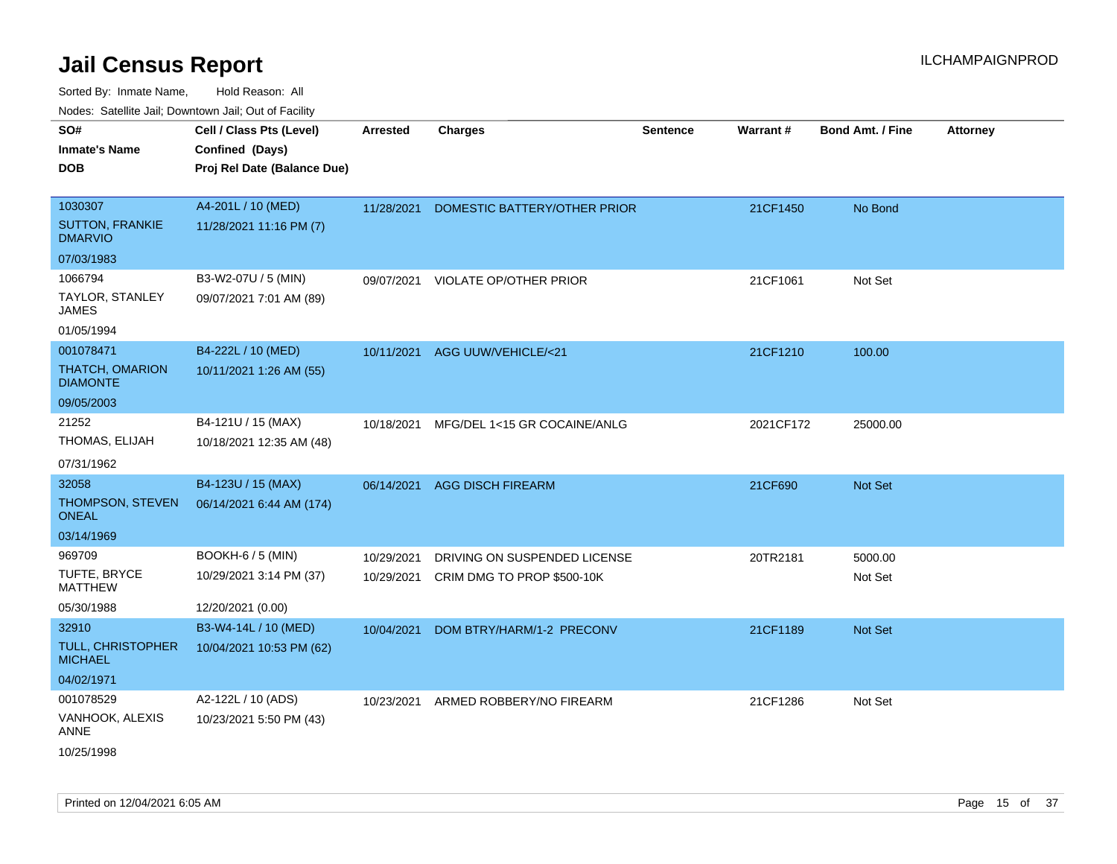| roaco. Odichile Jan, Downtown Jan, Out of Facility |                                                                            |                 |                                |                 |           |                         |                 |
|----------------------------------------------------|----------------------------------------------------------------------------|-----------------|--------------------------------|-----------------|-----------|-------------------------|-----------------|
| SO#<br><b>Inmate's Name</b><br><b>DOB</b>          | Cell / Class Pts (Level)<br>Confined (Days)<br>Proj Rel Date (Balance Due) | <b>Arrested</b> | <b>Charges</b>                 | <b>Sentence</b> | Warrant#  | <b>Bond Amt. / Fine</b> | <b>Attorney</b> |
|                                                    |                                                                            |                 |                                |                 |           |                         |                 |
| 1030307                                            | A4-201L / 10 (MED)                                                         | 11/28/2021      | DOMESTIC BATTERY/OTHER PRIOR   |                 | 21CF1450  | No Bond                 |                 |
| <b>SUTTON, FRANKIE</b><br><b>DMARVIO</b>           | 11/28/2021 11:16 PM (7)                                                    |                 |                                |                 |           |                         |                 |
| 07/03/1983                                         |                                                                            |                 |                                |                 |           |                         |                 |
| 1066794                                            | B3-W2-07U / 5 (MIN)                                                        | 09/07/2021      | <b>VIOLATE OP/OTHER PRIOR</b>  |                 | 21CF1061  | Not Set                 |                 |
| <b>TAYLOR, STANLEY</b><br>JAMES                    | 09/07/2021 7:01 AM (89)                                                    |                 |                                |                 |           |                         |                 |
| 01/05/1994                                         |                                                                            |                 |                                |                 |           |                         |                 |
| 001078471                                          | B4-222L / 10 (MED)                                                         |                 | 10/11/2021 AGG UUW/VEHICLE/<21 |                 | 21CF1210  | 100.00                  |                 |
| THATCH, OMARION<br><b>DIAMONTE</b>                 | 10/11/2021 1:26 AM (55)                                                    |                 |                                |                 |           |                         |                 |
| 09/05/2003                                         |                                                                            |                 |                                |                 |           |                         |                 |
| 21252                                              | B4-121U / 15 (MAX)                                                         | 10/18/2021      | MFG/DEL 1<15 GR COCAINE/ANLG   |                 | 2021CF172 | 25000.00                |                 |
| THOMAS, ELIJAH                                     | 10/18/2021 12:35 AM (48)                                                   |                 |                                |                 |           |                         |                 |
| 07/31/1962                                         |                                                                            |                 |                                |                 |           |                         |                 |
| 32058                                              | B4-123U / 15 (MAX)                                                         | 06/14/2021      | <b>AGG DISCH FIREARM</b>       |                 | 21CF690   | <b>Not Set</b>          |                 |
| THOMPSON, STEVEN<br><b>ONEAL</b>                   | 06/14/2021 6:44 AM (174)                                                   |                 |                                |                 |           |                         |                 |
| 03/14/1969                                         |                                                                            |                 |                                |                 |           |                         |                 |
| 969709                                             | <b>BOOKH-6 / 5 (MIN)</b>                                                   | 10/29/2021      | DRIVING ON SUSPENDED LICENSE   |                 | 20TR2181  | 5000.00                 |                 |
| TUFTE, BRYCE<br><b>MATTHEW</b>                     | 10/29/2021 3:14 PM (37)                                                    | 10/29/2021      | CRIM DMG TO PROP \$500-10K     |                 |           | Not Set                 |                 |
| 05/30/1988                                         | 12/20/2021 (0.00)                                                          |                 |                                |                 |           |                         |                 |
| 32910                                              | B3-W4-14L / 10 (MED)                                                       | 10/04/2021      | DOM BTRY/HARM/1-2 PRECONV      |                 | 21CF1189  | <b>Not Set</b>          |                 |
| <b>TULL, CHRISTOPHER</b><br><b>MICHAEL</b>         | 10/04/2021 10:53 PM (62)                                                   |                 |                                |                 |           |                         |                 |
| 04/02/1971                                         |                                                                            |                 |                                |                 |           |                         |                 |
| 001078529                                          | A2-122L / 10 (ADS)                                                         | 10/23/2021      | ARMED ROBBERY/NO FIREARM       |                 | 21CF1286  | Not Set                 |                 |
| VANHOOK, ALEXIS<br>ANNE                            | 10/23/2021 5:50 PM (43)                                                    |                 |                                |                 |           |                         |                 |
| 10/25/1998                                         |                                                                            |                 |                                |                 |           |                         |                 |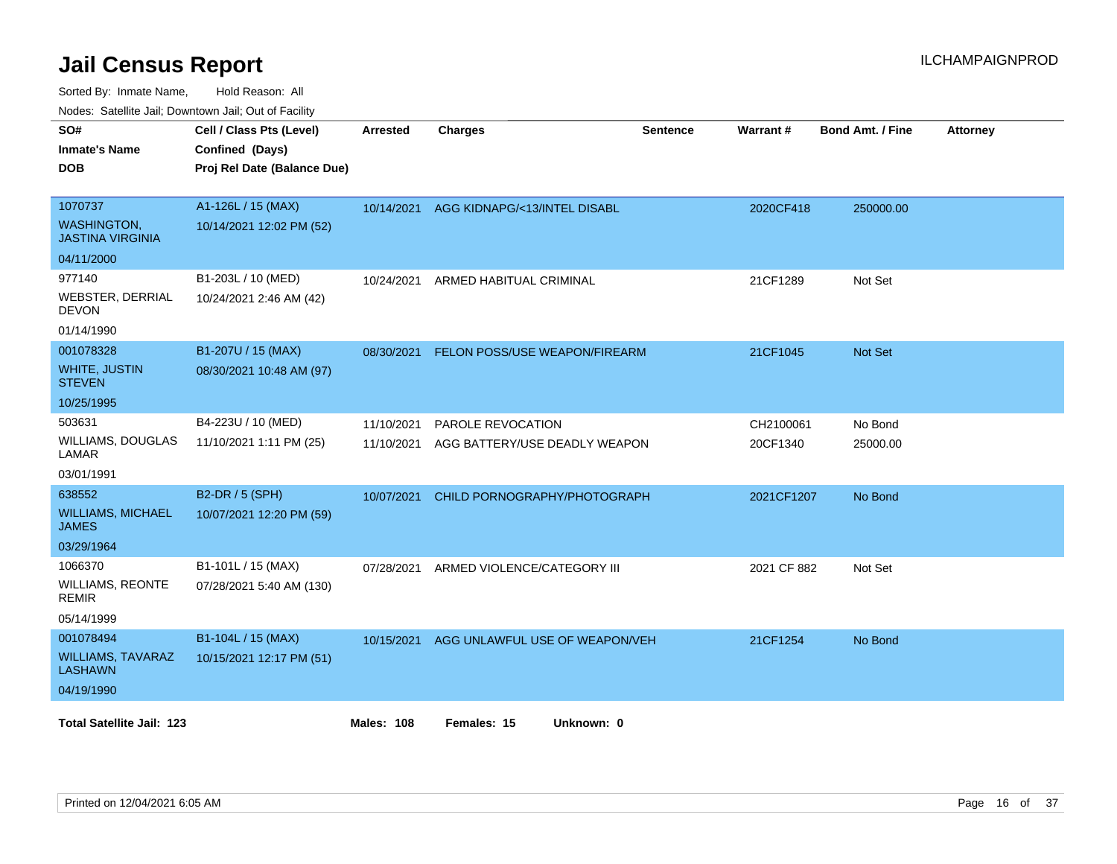Sorted By: Inmate Name, Hold Reason: All

|  |  | Nodes: Satellite Jail; Downtown Jail; Out of Facility |  |
|--|--|-------------------------------------------------------|--|
|--|--|-------------------------------------------------------|--|

| SO#<br><b>Inmate's Name</b><br><b>DOB</b>     | Cell / Class Pts (Level)<br>Confined (Days)<br>Proj Rel Date (Balance Due) | Arrested          | <b>Charges</b>                 | <b>Sentence</b> | <b>Warrant#</b> | <b>Bond Amt. / Fine</b> | <b>Attorney</b> |
|-----------------------------------------------|----------------------------------------------------------------------------|-------------------|--------------------------------|-----------------|-----------------|-------------------------|-----------------|
| 1070737                                       | A1-126L / 15 (MAX)                                                         | 10/14/2021        | AGG KIDNAPG/<13/INTEL DISABL   |                 | 2020CF418       | 250000.00               |                 |
| <b>WASHINGTON,</b><br><b>JASTINA VIRGINIA</b> | 10/14/2021 12:02 PM (52)                                                   |                   |                                |                 |                 |                         |                 |
| 04/11/2000                                    |                                                                            |                   |                                |                 |                 |                         |                 |
| 977140                                        | B1-203L / 10 (MED)                                                         | 10/24/2021        | ARMED HABITUAL CRIMINAL        |                 | 21CF1289        | Not Set                 |                 |
| WEBSTER, DERRIAL<br><b>DEVON</b>              | 10/24/2021 2:46 AM (42)                                                    |                   |                                |                 |                 |                         |                 |
| 01/14/1990                                    |                                                                            |                   |                                |                 |                 |                         |                 |
| 001078328                                     | B1-207U / 15 (MAX)                                                         | 08/30/2021        | FELON POSS/USE WEAPON/FIREARM  |                 | 21CF1045        | Not Set                 |                 |
| <b>WHITE, JUSTIN</b><br><b>STEVEN</b>         | 08/30/2021 10:48 AM (97)                                                   |                   |                                |                 |                 |                         |                 |
| 10/25/1995                                    |                                                                            |                   |                                |                 |                 |                         |                 |
| 503631                                        | B4-223U / 10 (MED)                                                         | 11/10/2021        | PAROLE REVOCATION              |                 | CH2100061       | No Bond                 |                 |
| WILLIAMS, DOUGLAS<br><b>LAMAR</b>             | 11/10/2021 1:11 PM (25)                                                    | 11/10/2021        | AGG BATTERY/USE DEADLY WEAPON  |                 | 20CF1340        | 25000.00                |                 |
| 03/01/1991                                    |                                                                            |                   |                                |                 |                 |                         |                 |
| 638552                                        | B2-DR / 5 (SPH)                                                            | 10/07/2021        | CHILD PORNOGRAPHY/PHOTOGRAPH   |                 | 2021CF1207      | No Bond                 |                 |
| <b>WILLIAMS, MICHAEL</b><br><b>JAMES</b>      | 10/07/2021 12:20 PM (59)                                                   |                   |                                |                 |                 |                         |                 |
| 03/29/1964                                    |                                                                            |                   |                                |                 |                 |                         |                 |
| 1066370                                       | B1-101L / 15 (MAX)                                                         | 07/28/2021        | ARMED VIOLENCE/CATEGORY III    |                 | 2021 CF 882     | Not Set                 |                 |
| <b>WILLIAMS, REONTE</b><br><b>REMIR</b>       | 07/28/2021 5:40 AM (130)                                                   |                   |                                |                 |                 |                         |                 |
| 05/14/1999                                    |                                                                            |                   |                                |                 |                 |                         |                 |
| 001078494                                     | B1-104L / 15 (MAX)                                                         | 10/15/2021        | AGG UNLAWFUL USE OF WEAPON/VEH |                 | 21CF1254        | No Bond                 |                 |
| <b>WILLIAMS, TAVARAZ</b><br><b>LASHAWN</b>    | 10/15/2021 12:17 PM (51)                                                   |                   |                                |                 |                 |                         |                 |
| 04/19/1990                                    |                                                                            |                   |                                |                 |                 |                         |                 |
| <b>Total Satellite Jail: 123</b>              |                                                                            | <b>Males: 108</b> | Females: 15<br>Unknown: 0      |                 |                 |                         |                 |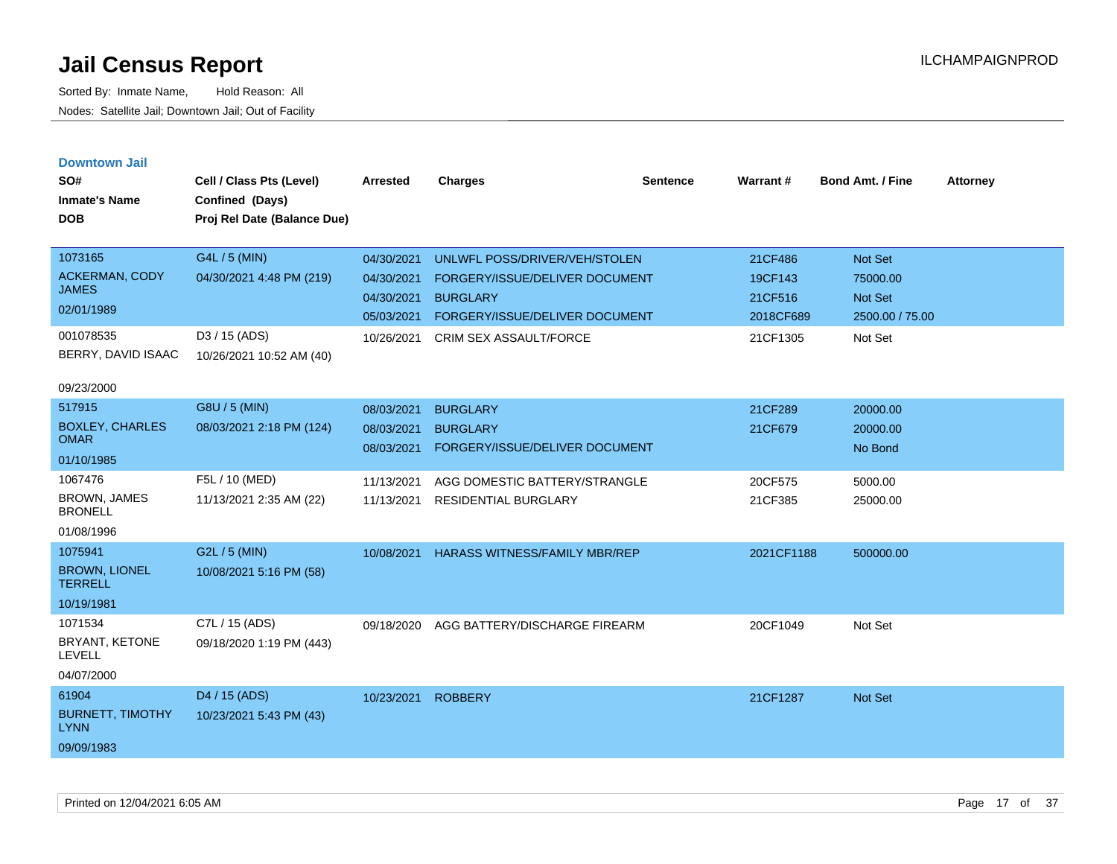| <b>Downtown Jail</b><br>SO#<br><b>Inmate's Name</b><br><b>DOB</b>                                 | Cell / Class Pts (Level)<br>Confined (Days)<br>Proj Rel Date (Balance Due)             | <b>Arrested</b>                                                    | <b>Charges</b>                                                                                                                                 | <b>Sentence</b> | Warrant#                                               | <b>Bond Amt. / Fine</b>                                      | <b>Attorney</b> |
|---------------------------------------------------------------------------------------------------|----------------------------------------------------------------------------------------|--------------------------------------------------------------------|------------------------------------------------------------------------------------------------------------------------------------------------|-----------------|--------------------------------------------------------|--------------------------------------------------------------|-----------------|
| 1073165<br><b>ACKERMAN, CODY</b><br><b>JAMES</b><br>02/01/1989<br>001078535<br>BERRY, DAVID ISAAC | G4L / 5 (MIN)<br>04/30/2021 4:48 PM (219)<br>D3 / 15 (ADS)<br>10/26/2021 10:52 AM (40) | 04/30/2021<br>04/30/2021<br>04/30/2021<br>05/03/2021<br>10/26/2021 | UNLWFL POSS/DRIVER/VEH/STOLEN<br>FORGERY/ISSUE/DELIVER DOCUMENT<br><b>BURGLARY</b><br>FORGERY/ISSUE/DELIVER DOCUMENT<br>CRIM SEX ASSAULT/FORCE |                 | 21CF486<br>19CF143<br>21CF516<br>2018CF689<br>21CF1305 | Not Set<br>75000.00<br>Not Set<br>2500.00 / 75.00<br>Not Set |                 |
| 09/23/2000<br>517915<br><b>BOXLEY, CHARLES</b><br><b>OMAR</b><br>01/10/1985                       | G8U / 5 (MIN)<br>08/03/2021 2:18 PM (124)                                              | 08/03/2021<br>08/03/2021<br>08/03/2021                             | <b>BURGLARY</b><br><b>BURGLARY</b><br>FORGERY/ISSUE/DELIVER DOCUMENT                                                                           |                 | 21CF289<br>21CF679                                     | 20000.00<br>20000.00<br>No Bond                              |                 |
| 1067476<br><b>BROWN, JAMES</b><br><b>BRONELL</b><br>01/08/1996                                    | F5L / 10 (MED)<br>11/13/2021 2:35 AM (22)                                              | 11/13/2021<br>11/13/2021                                           | AGG DOMESTIC BATTERY/STRANGLE<br><b>RESIDENTIAL BURGLARY</b>                                                                                   |                 | 20CF575<br>21CF385                                     | 5000.00<br>25000.00                                          |                 |
| 1075941<br><b>BROWN, LIONEL</b><br><b>TERRELL</b><br>10/19/1981                                   | G2L / 5 (MIN)<br>10/08/2021 5:16 PM (58)                                               | 10/08/2021                                                         | <b>HARASS WITNESS/FAMILY MBR/REP</b>                                                                                                           |                 | 2021CF1188                                             | 500000.00                                                    |                 |
| 1071534<br>BRYANT, KETONE<br><b>LEVELL</b><br>04/07/2000                                          | C7L / 15 (ADS)<br>09/18/2020 1:19 PM (443)                                             | 09/18/2020                                                         | AGG BATTERY/DISCHARGE FIREARM                                                                                                                  |                 | 20CF1049                                               | Not Set                                                      |                 |
| 61904<br><b>BURNETT, TIMOTHY</b><br><b>LYNN</b><br>09/09/1983                                     | D <sub>4</sub> / 15 (ADS)<br>10/23/2021 5:43 PM (43)                                   | 10/23/2021                                                         | <b>ROBBERY</b>                                                                                                                                 |                 | 21CF1287                                               | Not Set                                                      |                 |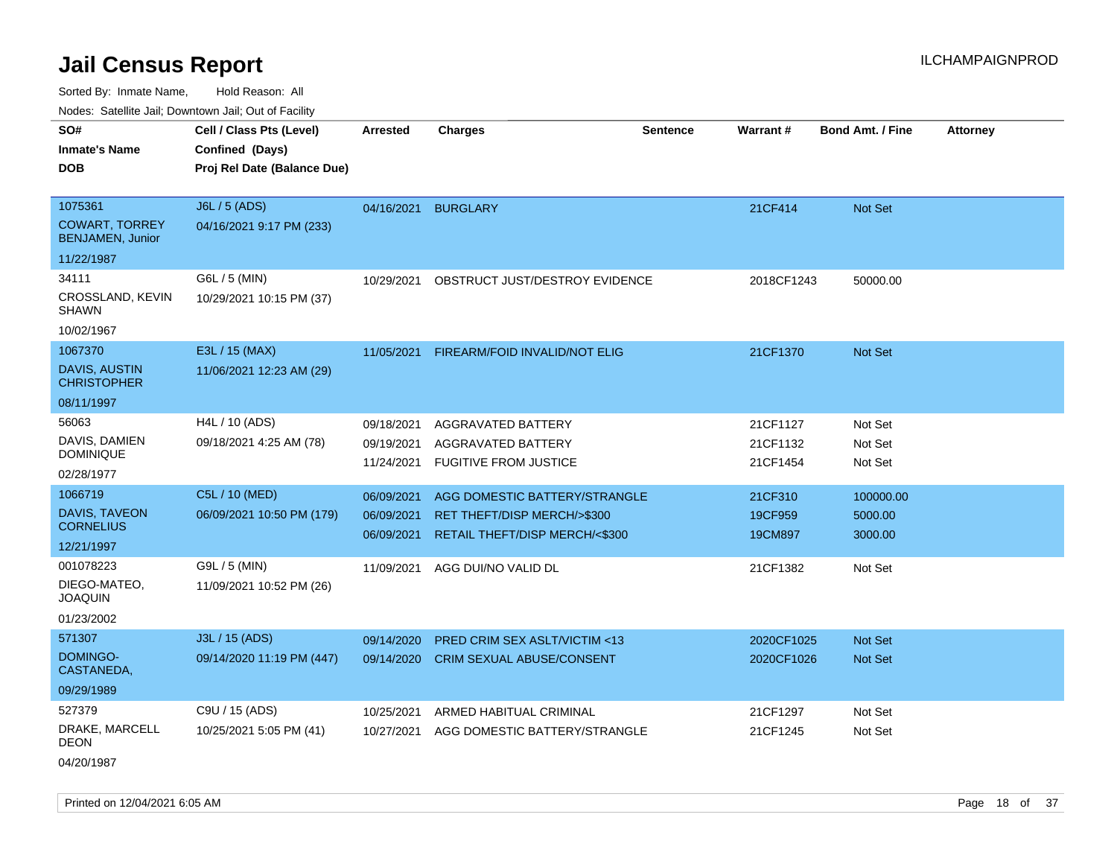Sorted By: Inmate Name, Hold Reason: All

Nodes: Satellite Jail; Downtown Jail; Out of Facility

| SO#                                              | Cell / Class Pts (Level)    | <b>Arrested</b> | <b>Charges</b>                   | <b>Sentence</b> | Warrant#   | <b>Bond Amt. / Fine</b> | <b>Attorney</b> |
|--------------------------------------------------|-----------------------------|-----------------|----------------------------------|-----------------|------------|-------------------------|-----------------|
| <b>Inmate's Name</b>                             | Confined (Days)             |                 |                                  |                 |            |                         |                 |
| <b>DOB</b>                                       | Proj Rel Date (Balance Due) |                 |                                  |                 |            |                         |                 |
|                                                  |                             |                 |                                  |                 |            |                         |                 |
| 1075361                                          | J6L / 5 (ADS)               | 04/16/2021      | <b>BURGLARY</b>                  |                 | 21CF414    | Not Set                 |                 |
| <b>COWART, TORREY</b><br><b>BENJAMEN, Junior</b> | 04/16/2021 9:17 PM (233)    |                 |                                  |                 |            |                         |                 |
| 11/22/1987                                       |                             |                 |                                  |                 |            |                         |                 |
| 34111                                            | G6L / 5 (MIN)               | 10/29/2021      | OBSTRUCT JUST/DESTROY EVIDENCE   |                 | 2018CF1243 | 50000.00                |                 |
| CROSSLAND, KEVIN<br><b>SHAWN</b>                 | 10/29/2021 10:15 PM (37)    |                 |                                  |                 |            |                         |                 |
| 10/02/1967                                       |                             |                 |                                  |                 |            |                         |                 |
| 1067370                                          | E3L / 15 (MAX)              | 11/05/2021      | FIREARM/FOID INVALID/NOT ELIG    |                 | 21CF1370   | <b>Not Set</b>          |                 |
| DAVIS, AUSTIN<br><b>CHRISTOPHER</b>              | 11/06/2021 12:23 AM (29)    |                 |                                  |                 |            |                         |                 |
| 08/11/1997                                       |                             |                 |                                  |                 |            |                         |                 |
| 56063                                            | H4L / 10 (ADS)              | 09/18/2021      | AGGRAVATED BATTERY               |                 | 21CF1127   | Not Set                 |                 |
| DAVIS, DAMIEN                                    | 09/18/2021 4:25 AM (78)     | 09/19/2021      | AGGRAVATED BATTERY               |                 | 21CF1132   | Not Set                 |                 |
| <b>DOMINIQUE</b>                                 |                             | 11/24/2021      | <b>FUGITIVE FROM JUSTICE</b>     |                 | 21CF1454   | Not Set                 |                 |
| 02/28/1977                                       |                             |                 |                                  |                 |            |                         |                 |
| 1066719                                          | C5L / 10 (MED)              | 06/09/2021      | AGG DOMESTIC BATTERY/STRANGLE    |                 | 21CF310    | 100000.00               |                 |
| DAVIS, TAVEON<br><b>CORNELIUS</b>                | 06/09/2021 10:50 PM (179)   | 06/09/2021      | RET THEFT/DISP MERCH/>\$300      |                 | 19CF959    | 5000.00                 |                 |
| 12/21/1997                                       |                             | 06/09/2021      | RETAIL THEFT/DISP MERCH/<\$300   |                 | 19CM897    | 3000.00                 |                 |
| 001078223                                        | G9L / 5 (MIN)               | 11/09/2021      | AGG DUI/NO VALID DL              |                 | 21CF1382   | Not Set                 |                 |
| DIEGO-MATEO,<br><b>JOAQUIN</b>                   | 11/09/2021 10:52 PM (26)    |                 |                                  |                 |            |                         |                 |
| 01/23/2002                                       |                             |                 |                                  |                 |            |                         |                 |
| 571307                                           | J3L / 15 (ADS)              | 09/14/2020      | PRED CRIM SEX ASLT/VICTIM <13    |                 | 2020CF1025 | <b>Not Set</b>          |                 |
| DOMINGO-<br>CASTANEDA,                           | 09/14/2020 11:19 PM (447)   | 09/14/2020      | <b>CRIM SEXUAL ABUSE/CONSENT</b> |                 | 2020CF1026 | Not Set                 |                 |
| 09/29/1989                                       |                             |                 |                                  |                 |            |                         |                 |
| 527379                                           | C9U / 15 (ADS)              | 10/25/2021      | ARMED HABITUAL CRIMINAL          |                 | 21CF1297   | Not Set                 |                 |
| DRAKE, MARCELL<br><b>DEON</b>                    | 10/25/2021 5:05 PM (41)     | 10/27/2021      | AGG DOMESTIC BATTERY/STRANGLE    |                 | 21CF1245   | Not Set                 |                 |
|                                                  |                             |                 |                                  |                 |            |                         |                 |

04/20/1987

Printed on 12/04/2021 6:05 AM **Page 18** of 37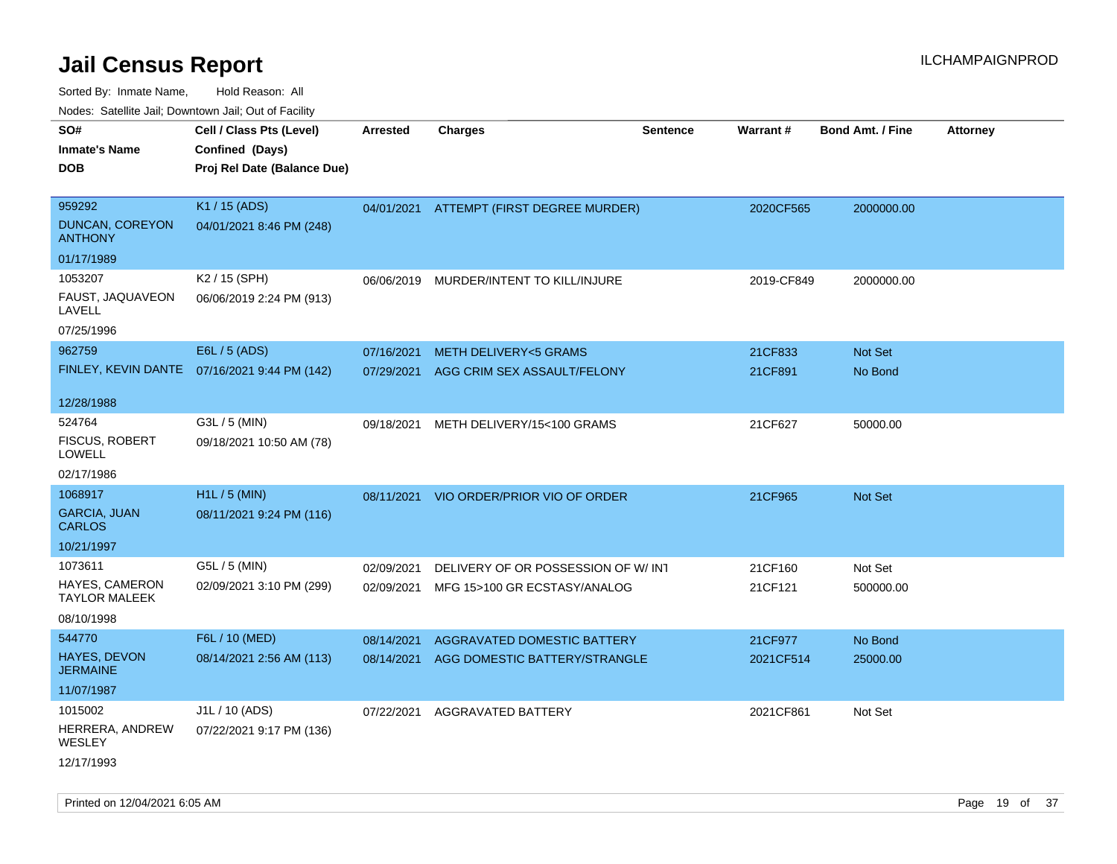Sorted By: Inmate Name, Hold Reason: All

Nodes: Satellite Jail; Downtown Jail; Out of Facility

| SO#                                      | Cell / Class Pts (Level)                     | <b>Arrested</b> | <b>Charges</b>                     | <b>Sentence</b> | Warrant#   | <b>Bond Amt. / Fine</b> | <b>Attorney</b> |
|------------------------------------------|----------------------------------------------|-----------------|------------------------------------|-----------------|------------|-------------------------|-----------------|
| <b>Inmate's Name</b>                     | Confined (Days)                              |                 |                                    |                 |            |                         |                 |
| <b>DOB</b>                               | Proj Rel Date (Balance Due)                  |                 |                                    |                 |            |                         |                 |
|                                          |                                              |                 |                                    |                 |            |                         |                 |
| 959292                                   | K1 / 15 (ADS)                                | 04/01/2021      | ATTEMPT (FIRST DEGREE MURDER)      |                 | 2020CF565  | 2000000.00              |                 |
| <b>DUNCAN, COREYON</b><br><b>ANTHONY</b> | 04/01/2021 8:46 PM (248)                     |                 |                                    |                 |            |                         |                 |
| 01/17/1989                               |                                              |                 |                                    |                 |            |                         |                 |
| 1053207                                  | K2 / 15 (SPH)                                | 06/06/2019      | MURDER/INTENT TO KILL/INJURE       |                 | 2019-CF849 | 2000000.00              |                 |
| FAUST, JAQUAVEON<br>LAVELL               | 06/06/2019 2:24 PM (913)                     |                 |                                    |                 |            |                         |                 |
| 07/25/1996                               |                                              |                 |                                    |                 |            |                         |                 |
| 962759                                   | E6L / 5 (ADS)                                | 07/16/2021      | <b>METH DELIVERY&lt;5 GRAMS</b>    |                 | 21CF833    | Not Set                 |                 |
|                                          | FINLEY, KEVIN DANTE 07/16/2021 9:44 PM (142) | 07/29/2021      | AGG CRIM SEX ASSAULT/FELONY        |                 | 21CF891    | No Bond                 |                 |
|                                          |                                              |                 |                                    |                 |            |                         |                 |
| 12/28/1988                               |                                              |                 |                                    |                 |            |                         |                 |
| 524764                                   | G3L / 5 (MIN)                                | 09/18/2021      | METH DELIVERY/15<100 GRAMS         |                 | 21CF627    | 50000.00                |                 |
| <b>FISCUS, ROBERT</b><br>LOWELL          | 09/18/2021 10:50 AM (78)                     |                 |                                    |                 |            |                         |                 |
| 02/17/1986                               |                                              |                 |                                    |                 |            |                         |                 |
| 1068917                                  | H1L / 5 (MIN)                                | 08/11/2021      | VIO ORDER/PRIOR VIO OF ORDER       |                 | 21CF965    | Not Set                 |                 |
| <b>GARCIA, JUAN</b><br><b>CARLOS</b>     | 08/11/2021 9:24 PM (116)                     |                 |                                    |                 |            |                         |                 |
| 10/21/1997                               |                                              |                 |                                    |                 |            |                         |                 |
| 1073611                                  | G5L / 5 (MIN)                                | 02/09/2021      | DELIVERY OF OR POSSESSION OF W/INT |                 | 21CF160    | Not Set                 |                 |
| HAYES, CAMERON<br><b>TAYLOR MALEEK</b>   | 02/09/2021 3:10 PM (299)                     | 02/09/2021      | MFG 15>100 GR ECSTASY/ANALOG       |                 | 21CF121    | 500000.00               |                 |
| 08/10/1998                               |                                              |                 |                                    |                 |            |                         |                 |
| 544770                                   | F6L / 10 (MED)                               | 08/14/2021      | AGGRAVATED DOMESTIC BATTERY        |                 | 21CF977    | No Bond                 |                 |
| <b>HAYES, DEVON</b><br><b>JERMAINE</b>   | 08/14/2021 2:56 AM (113)                     | 08/14/2021      | AGG DOMESTIC BATTERY/STRANGLE      |                 | 2021CF514  | 25000.00                |                 |
| 11/07/1987                               |                                              |                 |                                    |                 |            |                         |                 |
| 1015002                                  | J1L / 10 (ADS)                               | 07/22/2021      | AGGRAVATED BATTERY                 |                 | 2021CF861  | Not Set                 |                 |
| HERRERA, ANDREW<br>WESLEY                | 07/22/2021 9:17 PM (136)                     |                 |                                    |                 |            |                         |                 |
| 12/17/1993                               |                                              |                 |                                    |                 |            |                         |                 |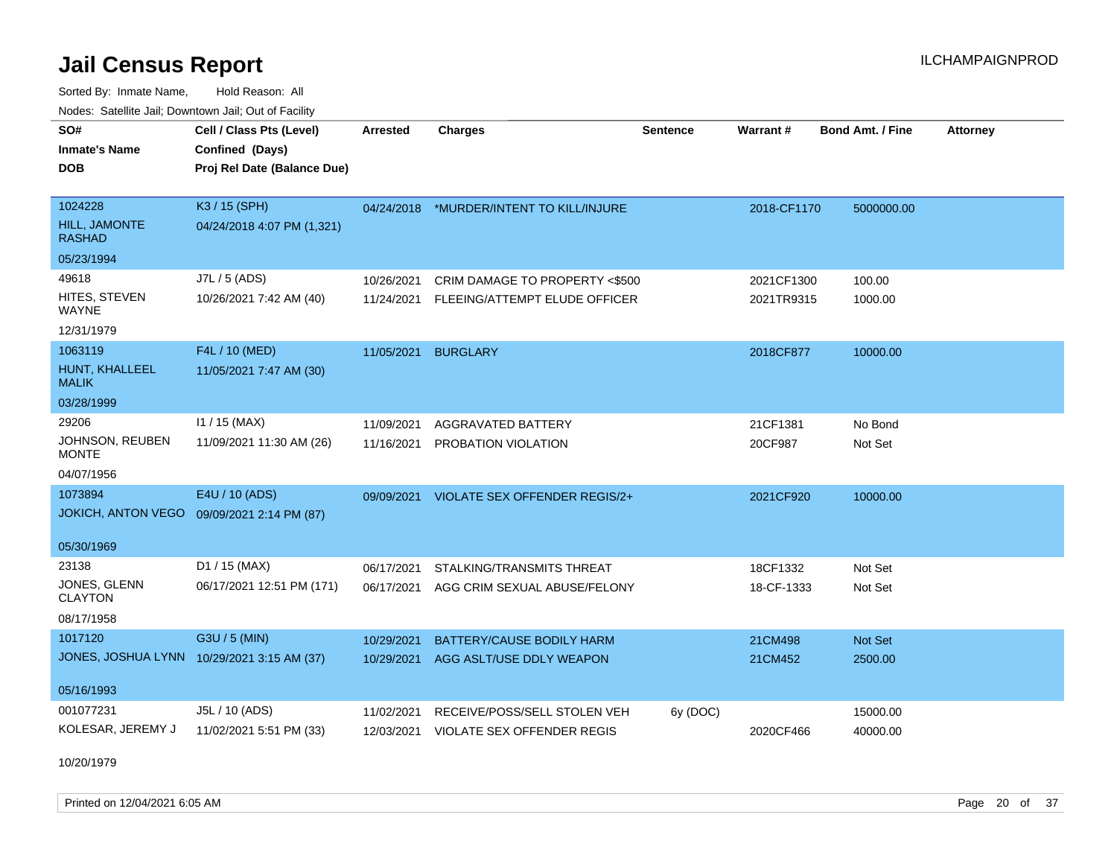Sorted By: Inmate Name, Hold Reason: All Nodes: Satellite Jail; Downtown Jail; Out of Facility

| SO#                                        | Cell / Class Pts (Level)    | <b>Arrested</b> | <b>Charges</b>                           | <b>Sentence</b> | <b>Warrant#</b> | <b>Bond Amt. / Fine</b> | <b>Attorney</b> |
|--------------------------------------------|-----------------------------|-----------------|------------------------------------------|-----------------|-----------------|-------------------------|-----------------|
| <b>Inmate's Name</b>                       | Confined (Days)             |                 |                                          |                 |                 |                         |                 |
| <b>DOB</b>                                 | Proj Rel Date (Balance Due) |                 |                                          |                 |                 |                         |                 |
|                                            |                             |                 |                                          |                 |                 |                         |                 |
| 1024228                                    | K3 / 15 (SPH)               |                 | 04/24/2018 *MURDER/INTENT TO KILL/INJURE |                 | 2018-CF1170     | 5000000.00              |                 |
| <b>HILL, JAMONTE</b><br><b>RASHAD</b>      | 04/24/2018 4:07 PM (1,321)  |                 |                                          |                 |                 |                         |                 |
| 05/23/1994                                 |                             |                 |                                          |                 |                 |                         |                 |
| 49618                                      | J7L / 5 (ADS)               | 10/26/2021      | CRIM DAMAGE TO PROPERTY <\$500           |                 | 2021CF1300      | 100.00                  |                 |
| HITES, STEVEN<br><b>WAYNE</b>              | 10/26/2021 7:42 AM (40)     | 11/24/2021      | FLEEING/ATTEMPT ELUDE OFFICER            |                 | 2021TR9315      | 1000.00                 |                 |
| 12/31/1979                                 |                             |                 |                                          |                 |                 |                         |                 |
| 1063119                                    | F4L / 10 (MED)              | 11/05/2021      | <b>BURGLARY</b>                          |                 | 2018CF877       | 10000.00                |                 |
| HUNT, KHALLEEL<br><b>MALIK</b>             | 11/05/2021 7:47 AM (30)     |                 |                                          |                 |                 |                         |                 |
| 03/28/1999                                 |                             |                 |                                          |                 |                 |                         |                 |
| 29206                                      | $11 / 15$ (MAX)             | 11/09/2021      | <b>AGGRAVATED BATTERY</b>                |                 | 21CF1381        | No Bond                 |                 |
| JOHNSON, REUBEN<br><b>MONTE</b>            | 11/09/2021 11:30 AM (26)    | 11/16/2021      | PROBATION VIOLATION                      |                 | 20CF987         | Not Set                 |                 |
| 04/07/1956                                 |                             |                 |                                          |                 |                 |                         |                 |
| 1073894                                    | E4U / 10 (ADS)              | 09/09/2021      | VIOLATE SEX OFFENDER REGIS/2+            |                 | 2021CF920       | 10000.00                |                 |
| <b>JOKICH, ANTON VEGO</b>                  | 09/09/2021 2:14 PM (87)     |                 |                                          |                 |                 |                         |                 |
|                                            |                             |                 |                                          |                 |                 |                         |                 |
| 05/30/1969                                 |                             |                 |                                          |                 |                 |                         |                 |
| 23138                                      | D1 / 15 (MAX)               | 06/17/2021      | STALKING/TRANSMITS THREAT                |                 | 18CF1332        | Not Set                 |                 |
| JONES, GLENN<br><b>CLAYTON</b>             | 06/17/2021 12:51 PM (171)   | 06/17/2021      | AGG CRIM SEXUAL ABUSE/FELONY             |                 | 18-CF-1333      | Not Set                 |                 |
| 08/17/1958                                 |                             |                 |                                          |                 |                 |                         |                 |
| 1017120                                    | G3U / 5 (MIN)               | 10/29/2021      | BATTERY/CAUSE BODILY HARM                |                 | 21CM498         | Not Set                 |                 |
| JONES, JOSHUA LYNN 10/29/2021 3:15 AM (37) |                             | 10/29/2021      | AGG ASLT/USE DDLY WEAPON                 |                 | 21CM452         | 2500.00                 |                 |
| 05/16/1993                                 |                             |                 |                                          |                 |                 |                         |                 |
| 001077231                                  | J5L / 10 (ADS)              | 11/02/2021      | RECEIVE/POSS/SELL STOLEN VEH             | 6y (DOC)        |                 | 15000.00                |                 |
| KOLESAR, JEREMY J                          | 11/02/2021 5:51 PM (33)     |                 | 12/03/2021 VIOLATE SEX OFFENDER REGIS    |                 | 2020CF466       | 40000.00                |                 |

10/20/1979

Printed on 12/04/2021 6:05 AM **Page 20 of 37**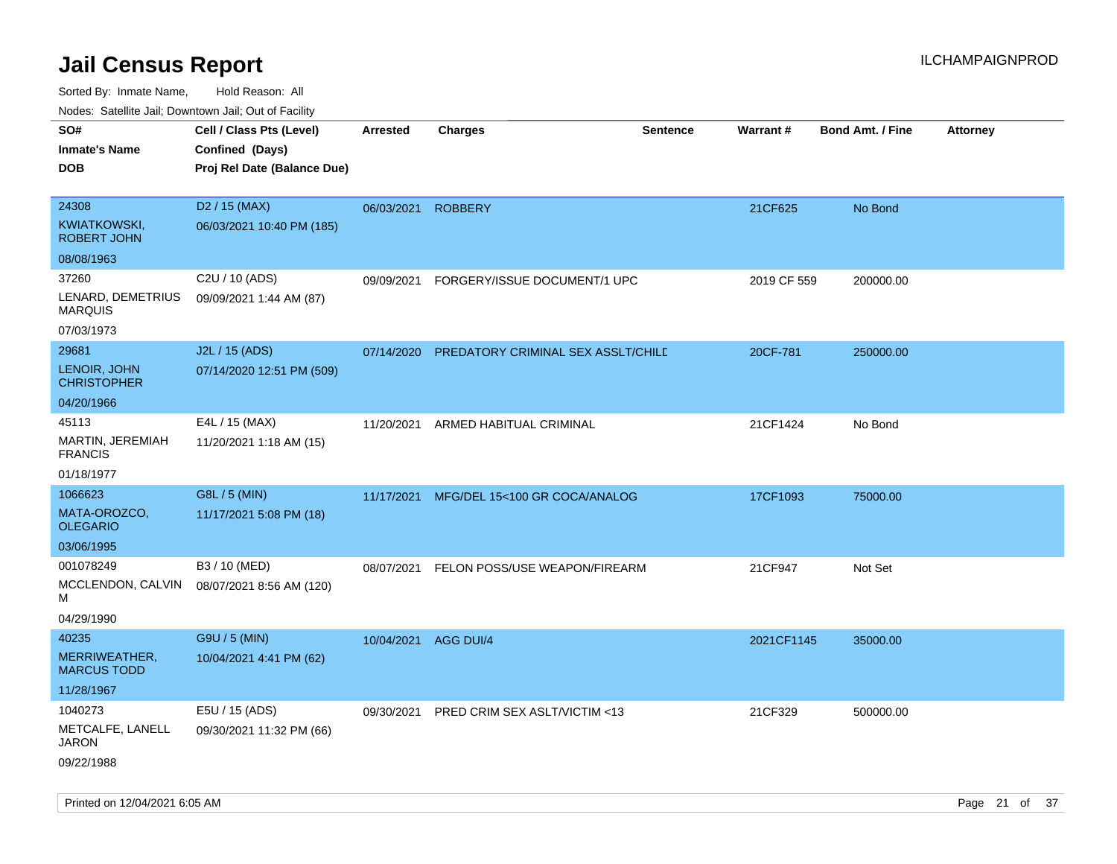| Cell / Class Pts (Level)<br><b>Charges</b><br><b>Sentence</b><br>Warrant#<br><b>Bond Amt. / Fine</b><br><b>Arrested</b><br><b>Attorney</b><br>Confined (Days)<br>Proj Rel Date (Balance Due)<br>D <sub>2</sub> / 15 (MAX)<br><b>ROBBERY</b><br>21CF625<br>No Bond<br>06/03/2021<br>06/03/2021 10:40 PM (185)<br>C2U / 10 (ADS)<br>2019 CF 559<br>09/09/2021<br>FORGERY/ISSUE DOCUMENT/1 UPC<br>200000.00<br>09/09/2021 1:44 AM (87)<br><b>MARQUIS</b><br>07/03/1973<br>J2L / 15 (ADS)<br>07/14/2020<br>PREDATORY CRIMINAL SEX ASSLT/CHILD<br>20CF-781<br>250000.00<br>07/14/2020 12:51 PM (509)<br>E4L / 15 (MAX)<br>21CF1424<br>11/20/2021<br>ARMED HABITUAL CRIMINAL<br>No Bond<br>11/20/2021 1:18 AM (15)<br>G8L / 5 (MIN)<br>MFG/DEL 15<100 GR COCA/ANALOG<br>17CF1093<br>75000.00<br>11/17/2021<br>11/17/2021 5:08 PM (18)<br>B3 / 10 (MED)<br>FELON POSS/USE WEAPON/FIREARM<br>21CF947<br>Not Set<br>08/07/2021<br>08/07/2021 8:56 AM (120)<br>04/29/1990<br>G9U / 5 (MIN)<br>10/04/2021 AGG DUI/4<br>2021CF1145<br>35000.00<br>10/04/2021 4:41 PM (62)<br>E5U / 15 (ADS)<br>09/30/2021 PRED CRIM SEX ASLT/VICTIM <13<br>21CF329<br>500000.00<br>09/30/2021 11:32 PM (66) | roaco. Oatomto dan, Downtown dan, Oat or Fability  |  |  |  |  |
|---------------------------------------------------------------------------------------------------------------------------------------------------------------------------------------------------------------------------------------------------------------------------------------------------------------------------------------------------------------------------------------------------------------------------------------------------------------------------------------------------------------------------------------------------------------------------------------------------------------------------------------------------------------------------------------------------------------------------------------------------------------------------------------------------------------------------------------------------------------------------------------------------------------------------------------------------------------------------------------------------------------------------------------------------------------------------------------------------------------------------------------------------------------------------------|----------------------------------------------------|--|--|--|--|
|                                                                                                                                                                                                                                                                                                                                                                                                                                                                                                                                                                                                                                                                                                                                                                                                                                                                                                                                                                                                                                                                                                                                                                                 | SO#<br><b>Inmate's Name</b><br><b>DOB</b>          |  |  |  |  |
|                                                                                                                                                                                                                                                                                                                                                                                                                                                                                                                                                                                                                                                                                                                                                                                                                                                                                                                                                                                                                                                                                                                                                                                 |                                                    |  |  |  |  |
|                                                                                                                                                                                                                                                                                                                                                                                                                                                                                                                                                                                                                                                                                                                                                                                                                                                                                                                                                                                                                                                                                                                                                                                 | 24308<br><b>KWIATKOWSKI,</b><br><b>ROBERT JOHN</b> |  |  |  |  |
|                                                                                                                                                                                                                                                                                                                                                                                                                                                                                                                                                                                                                                                                                                                                                                                                                                                                                                                                                                                                                                                                                                                                                                                 | 08/08/1963                                         |  |  |  |  |
|                                                                                                                                                                                                                                                                                                                                                                                                                                                                                                                                                                                                                                                                                                                                                                                                                                                                                                                                                                                                                                                                                                                                                                                 | 37260<br>LENARD, DEMETRIUS                         |  |  |  |  |
|                                                                                                                                                                                                                                                                                                                                                                                                                                                                                                                                                                                                                                                                                                                                                                                                                                                                                                                                                                                                                                                                                                                                                                                 |                                                    |  |  |  |  |
|                                                                                                                                                                                                                                                                                                                                                                                                                                                                                                                                                                                                                                                                                                                                                                                                                                                                                                                                                                                                                                                                                                                                                                                 | 29681<br>LENOIR, JOHN<br><b>CHRISTOPHER</b>        |  |  |  |  |
|                                                                                                                                                                                                                                                                                                                                                                                                                                                                                                                                                                                                                                                                                                                                                                                                                                                                                                                                                                                                                                                                                                                                                                                 | 04/20/1966                                         |  |  |  |  |
|                                                                                                                                                                                                                                                                                                                                                                                                                                                                                                                                                                                                                                                                                                                                                                                                                                                                                                                                                                                                                                                                                                                                                                                 | 45113<br>MARTIN, JEREMIAH<br><b>FRANCIS</b>        |  |  |  |  |
|                                                                                                                                                                                                                                                                                                                                                                                                                                                                                                                                                                                                                                                                                                                                                                                                                                                                                                                                                                                                                                                                                                                                                                                 | 01/18/1977                                         |  |  |  |  |
|                                                                                                                                                                                                                                                                                                                                                                                                                                                                                                                                                                                                                                                                                                                                                                                                                                                                                                                                                                                                                                                                                                                                                                                 | 1066623                                            |  |  |  |  |
|                                                                                                                                                                                                                                                                                                                                                                                                                                                                                                                                                                                                                                                                                                                                                                                                                                                                                                                                                                                                                                                                                                                                                                                 | MATA-OROZCO,<br><b>OLEGARIO</b>                    |  |  |  |  |
|                                                                                                                                                                                                                                                                                                                                                                                                                                                                                                                                                                                                                                                                                                                                                                                                                                                                                                                                                                                                                                                                                                                                                                                 | 03/06/1995                                         |  |  |  |  |
|                                                                                                                                                                                                                                                                                                                                                                                                                                                                                                                                                                                                                                                                                                                                                                                                                                                                                                                                                                                                                                                                                                                                                                                 | 001078249<br>MCCLENDON, CALVIN<br>м                |  |  |  |  |
|                                                                                                                                                                                                                                                                                                                                                                                                                                                                                                                                                                                                                                                                                                                                                                                                                                                                                                                                                                                                                                                                                                                                                                                 | 40235                                              |  |  |  |  |
|                                                                                                                                                                                                                                                                                                                                                                                                                                                                                                                                                                                                                                                                                                                                                                                                                                                                                                                                                                                                                                                                                                                                                                                 | MERRIWEATHER,<br><b>MARCUS TODD</b>                |  |  |  |  |
|                                                                                                                                                                                                                                                                                                                                                                                                                                                                                                                                                                                                                                                                                                                                                                                                                                                                                                                                                                                                                                                                                                                                                                                 | 11/28/1967                                         |  |  |  |  |
|                                                                                                                                                                                                                                                                                                                                                                                                                                                                                                                                                                                                                                                                                                                                                                                                                                                                                                                                                                                                                                                                                                                                                                                 | 1040273                                            |  |  |  |  |
|                                                                                                                                                                                                                                                                                                                                                                                                                                                                                                                                                                                                                                                                                                                                                                                                                                                                                                                                                                                                                                                                                                                                                                                 | METCALFE, LANELL<br>JARON<br>09/22/1988            |  |  |  |  |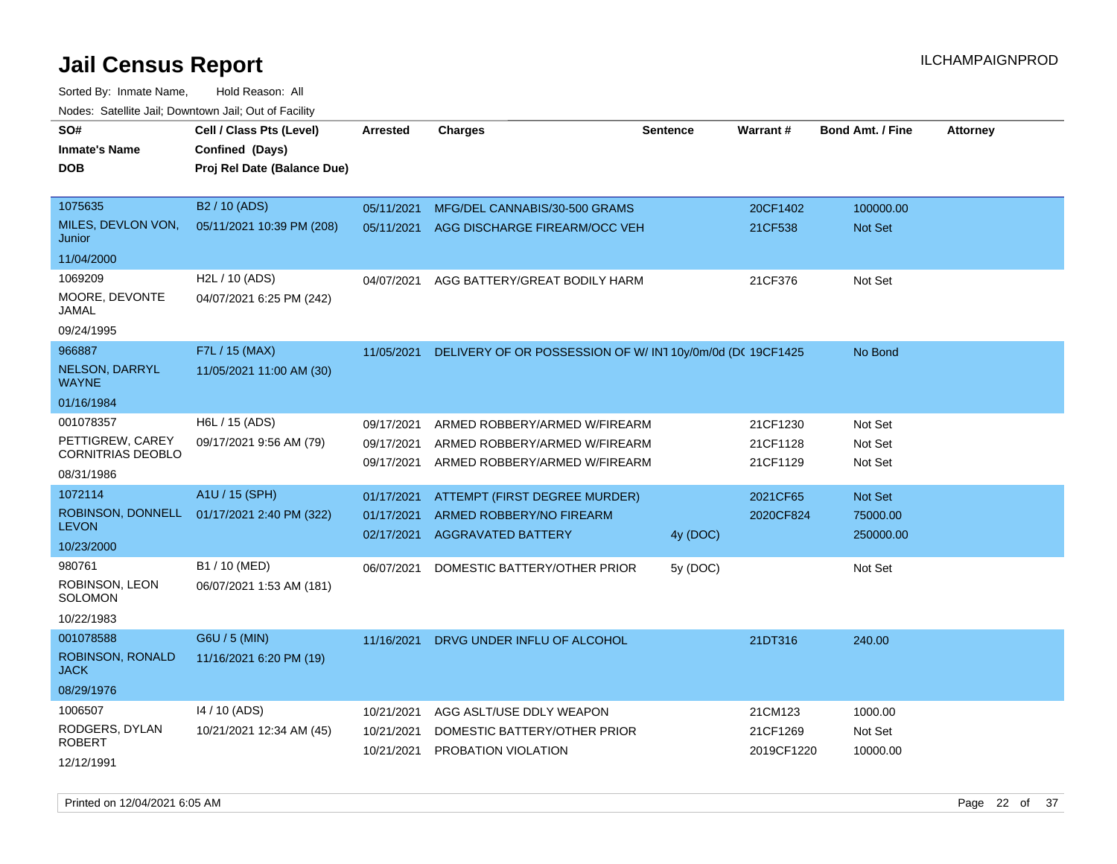Sorted By: Inmate Name, Hold Reason: All

| Nodes: Satellite Jail; Downtown Jail; Out of Facility |                                             |                          |                                                           |                 |                       |                         |                 |
|-------------------------------------------------------|---------------------------------------------|--------------------------|-----------------------------------------------------------|-----------------|-----------------------|-------------------------|-----------------|
| SO#<br><b>Inmate's Name</b>                           | Cell / Class Pts (Level)<br>Confined (Days) | <b>Arrested</b>          | <b>Charges</b>                                            | <b>Sentence</b> | Warrant#              | <b>Bond Amt. / Fine</b> | <b>Attorney</b> |
| <b>DOB</b>                                            | Proj Rel Date (Balance Due)                 |                          |                                                           |                 |                       |                         |                 |
|                                                       |                                             |                          |                                                           |                 |                       |                         |                 |
| 1075635                                               | B2 / 10 (ADS)                               | 05/11/2021               | MFG/DEL CANNABIS/30-500 GRAMS                             |                 | 20CF1402              | 100000.00               |                 |
| MILES, DEVLON VON,<br>Junior                          | 05/11/2021 10:39 PM (208)                   | 05/11/2021               | AGG DISCHARGE FIREARM/OCC VEH                             |                 | 21CF538               | Not Set                 |                 |
| 11/04/2000                                            |                                             |                          |                                                           |                 |                       |                         |                 |
| 1069209                                               | H <sub>2</sub> L / 10 (ADS)                 | 04/07/2021               | AGG BATTERY/GREAT BODILY HARM                             |                 | 21CF376               | Not Set                 |                 |
| MOORE, DEVONTE<br>JAMAL                               | 04/07/2021 6:25 PM (242)                    |                          |                                                           |                 |                       |                         |                 |
| 09/24/1995                                            |                                             |                          |                                                           |                 |                       |                         |                 |
| 966887                                                | F7L / 15 (MAX)                              | 11/05/2021               | DELIVERY OF OR POSSESSION OF W/IN1 10y/0m/0d (DC 19CF1425 |                 |                       | No Bond                 |                 |
| NELSON, DARRYL<br><b>WAYNE</b>                        | 11/05/2021 11:00 AM (30)                    |                          |                                                           |                 |                       |                         |                 |
| 01/16/1984                                            |                                             |                          |                                                           |                 |                       |                         |                 |
| 001078357                                             | H6L / 15 (ADS)                              | 09/17/2021               | ARMED ROBBERY/ARMED W/FIREARM                             |                 | 21CF1230              | Not Set                 |                 |
| PETTIGREW, CAREY                                      | 09/17/2021 9:56 AM (79)                     | 09/17/2021               | ARMED ROBBERY/ARMED W/FIREARM                             |                 | 21CF1128              | Not Set                 |                 |
| <b>CORNITRIAS DEOBLO</b><br>08/31/1986                |                                             | 09/17/2021               | ARMED ROBBERY/ARMED W/FIREARM                             |                 | 21CF1129              | Not Set                 |                 |
| 1072114                                               | A1U / 15 (SPH)                              |                          |                                                           |                 |                       |                         |                 |
| ROBINSON, DONNELL                                     | 01/17/2021 2:40 PM (322)                    | 01/17/2021<br>01/17/2021 | ATTEMPT (FIRST DEGREE MURDER)<br>ARMED ROBBERY/NO FIREARM |                 | 2021CF65<br>2020CF824 | Not Set<br>75000.00     |                 |
| <b>LEVON</b>                                          |                                             | 02/17/2021               | <b>AGGRAVATED BATTERY</b>                                 | 4y (DOC)        |                       | 250000.00               |                 |
| 10/23/2000                                            |                                             |                          |                                                           |                 |                       |                         |                 |
| 980761                                                | B1 / 10 (MED)                               | 06/07/2021               | DOMESTIC BATTERY/OTHER PRIOR                              | 5y (DOC)        |                       | Not Set                 |                 |
| ROBINSON, LEON<br>SOLOMON                             | 06/07/2021 1:53 AM (181)                    |                          |                                                           |                 |                       |                         |                 |
| 10/22/1983                                            |                                             |                          |                                                           |                 |                       |                         |                 |
| 001078588                                             | G6U / 5 (MIN)                               | 11/16/2021               | DRVG UNDER INFLU OF ALCOHOL                               |                 | 21DT316               | 240.00                  |                 |
| <b>ROBINSON, RONALD</b><br><b>JACK</b>                | 11/16/2021 6:20 PM (19)                     |                          |                                                           |                 |                       |                         |                 |
| 08/29/1976                                            |                                             |                          |                                                           |                 |                       |                         |                 |
| 1006507                                               | 14 / 10 (ADS)                               | 10/21/2021               | AGG ASLT/USE DDLY WEAPON                                  |                 | 21CM123               | 1000.00                 |                 |
| RODGERS, DYLAN<br><b>ROBERT</b>                       | 10/21/2021 12:34 AM (45)                    | 10/21/2021               | DOMESTIC BATTERY/OTHER PRIOR                              |                 | 21CF1269              | Not Set                 |                 |
| 12/12/1991                                            |                                             | 10/21/2021               | PROBATION VIOLATION                                       |                 | 2019CF1220            | 10000.00                |                 |
|                                                       |                                             |                          |                                                           |                 |                       |                         |                 |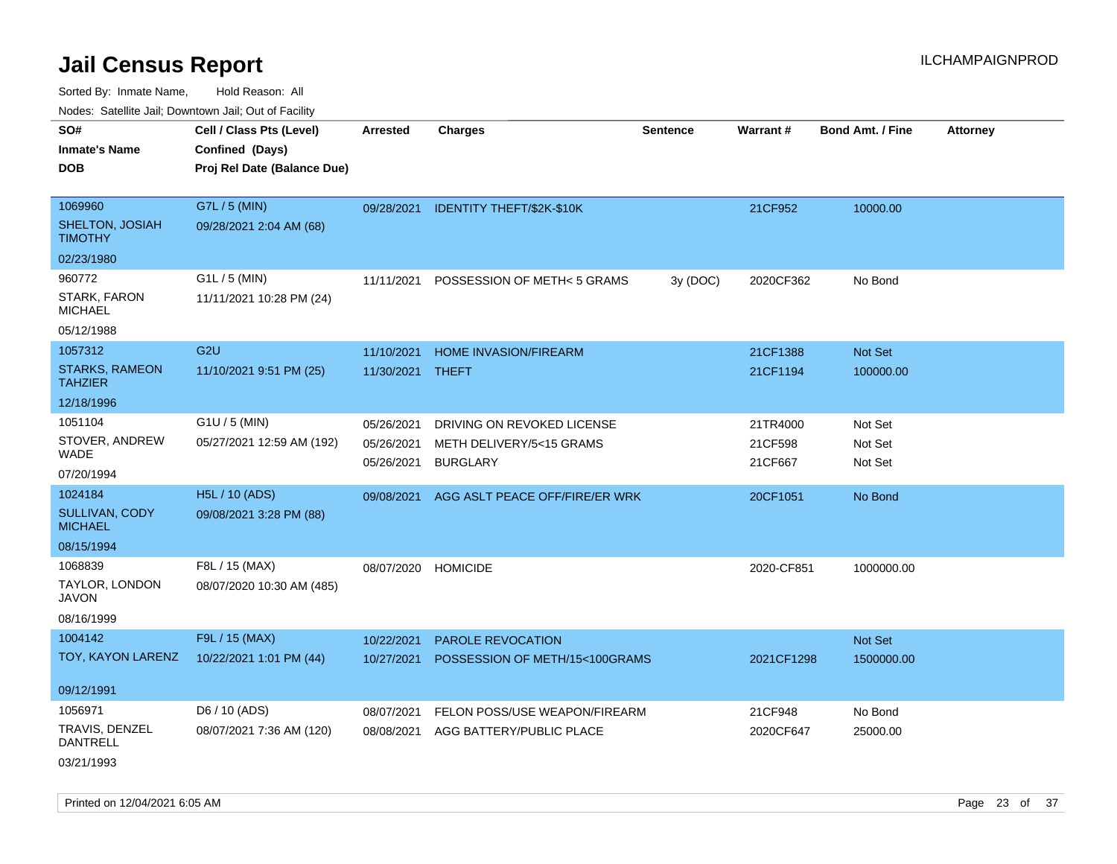Sorted By: Inmate Name, Hold Reason: All Nodes: Satellite Jail; Downtown Jail; Out of Facility

| Youes. Sateme Jan, Downtown Jan, Out of Facility |                             |            |                                |                 |            |                         |                 |
|--------------------------------------------------|-----------------------------|------------|--------------------------------|-----------------|------------|-------------------------|-----------------|
| SO#                                              | Cell / Class Pts (Level)    | Arrested   | <b>Charges</b>                 | <b>Sentence</b> | Warrant#   | <b>Bond Amt. / Fine</b> | <b>Attorney</b> |
| <b>Inmate's Name</b>                             | Confined (Days)             |            |                                |                 |            |                         |                 |
| <b>DOB</b>                                       | Proj Rel Date (Balance Due) |            |                                |                 |            |                         |                 |
|                                                  |                             |            |                                |                 |            |                         |                 |
| 1069960                                          | G7L / 5 (MIN)               | 09/28/2021 | IDENTITY THEFT/\$2K-\$10K      |                 | 21CF952    | 10000.00                |                 |
| SHELTON, JOSIAH<br><b>TIMOTHY</b>                | 09/28/2021 2:04 AM (68)     |            |                                |                 |            |                         |                 |
| 02/23/1980                                       |                             |            |                                |                 |            |                         |                 |
| 960772                                           | G1L / 5 (MIN)               | 11/11/2021 | POSSESSION OF METH<5 GRAMS     | 3y (DOC)        | 2020CF362  | No Bond                 |                 |
| STARK, FARON<br><b>MICHAEL</b>                   | 11/11/2021 10:28 PM (24)    |            |                                |                 |            |                         |                 |
| 05/12/1988                                       |                             |            |                                |                 |            |                         |                 |
| 1057312                                          | G <sub>2U</sub>             | 11/10/2021 | <b>HOME INVASION/FIREARM</b>   |                 | 21CF1388   | Not Set                 |                 |
| <b>STARKS, RAMEON</b><br><b>TAHZIER</b>          | 11/10/2021 9:51 PM (25)     | 11/30/2021 | <b>THEFT</b>                   |                 | 21CF1194   | 100000.00               |                 |
| 12/18/1996                                       |                             |            |                                |                 |            |                         |                 |
| 1051104                                          | $G1U / 5$ (MIN)             | 05/26/2021 | DRIVING ON REVOKED LICENSE     |                 | 21TR4000   | Not Set                 |                 |
| STOVER, ANDREW<br>WADE                           | 05/27/2021 12:59 AM (192)   | 05/26/2021 | METH DELIVERY/5<15 GRAMS       |                 | 21CF598    | Not Set                 |                 |
| 07/20/1994                                       |                             | 05/26/2021 | <b>BURGLARY</b>                |                 | 21CF667    | Not Set                 |                 |
| 1024184                                          | <b>H5L / 10 (ADS)</b>       | 09/08/2021 | AGG ASLT PEACE OFF/FIRE/ER WRK |                 | 20CF1051   | No Bond                 |                 |
| <b>SULLIVAN, CODY</b><br><b>MICHAEL</b>          | 09/08/2021 3:28 PM (88)     |            |                                |                 |            |                         |                 |
| 08/15/1994                                       |                             |            |                                |                 |            |                         |                 |
| 1068839                                          | F8L / 15 (MAX)              | 08/07/2020 | <b>HOMICIDE</b>                |                 | 2020-CF851 | 1000000.00              |                 |
| TAYLOR, LONDON<br><b>JAVON</b>                   | 08/07/2020 10:30 AM (485)   |            |                                |                 |            |                         |                 |
| 08/16/1999                                       |                             |            |                                |                 |            |                         |                 |
| 1004142                                          | F9L / 15 (MAX)              | 10/22/2021 | PAROLE REVOCATION              |                 |            | Not Set                 |                 |
| TOY, KAYON LARENZ                                | 10/22/2021 1:01 PM (44)     | 10/27/2021 | POSSESSION OF METH/15<100GRAMS |                 | 2021CF1298 | 1500000.00              |                 |
|                                                  |                             |            |                                |                 |            |                         |                 |
| 09/12/1991                                       |                             |            |                                |                 |            |                         |                 |
| 1056971                                          | D6 / 10 (ADS)               | 08/07/2021 | FELON POSS/USE WEAPON/FIREARM  |                 | 21CF948    | No Bond                 |                 |
| TRAVIS, DENZEL<br>DANTRELL                       | 08/07/2021 7:36 AM (120)    | 08/08/2021 | AGG BATTERY/PUBLIC PLACE       |                 | 2020CF647  | 25000.00                |                 |
| 03/21/1993                                       |                             |            |                                |                 |            |                         |                 |

Printed on 12/04/2021 6:05 AM **Page 23 of 37**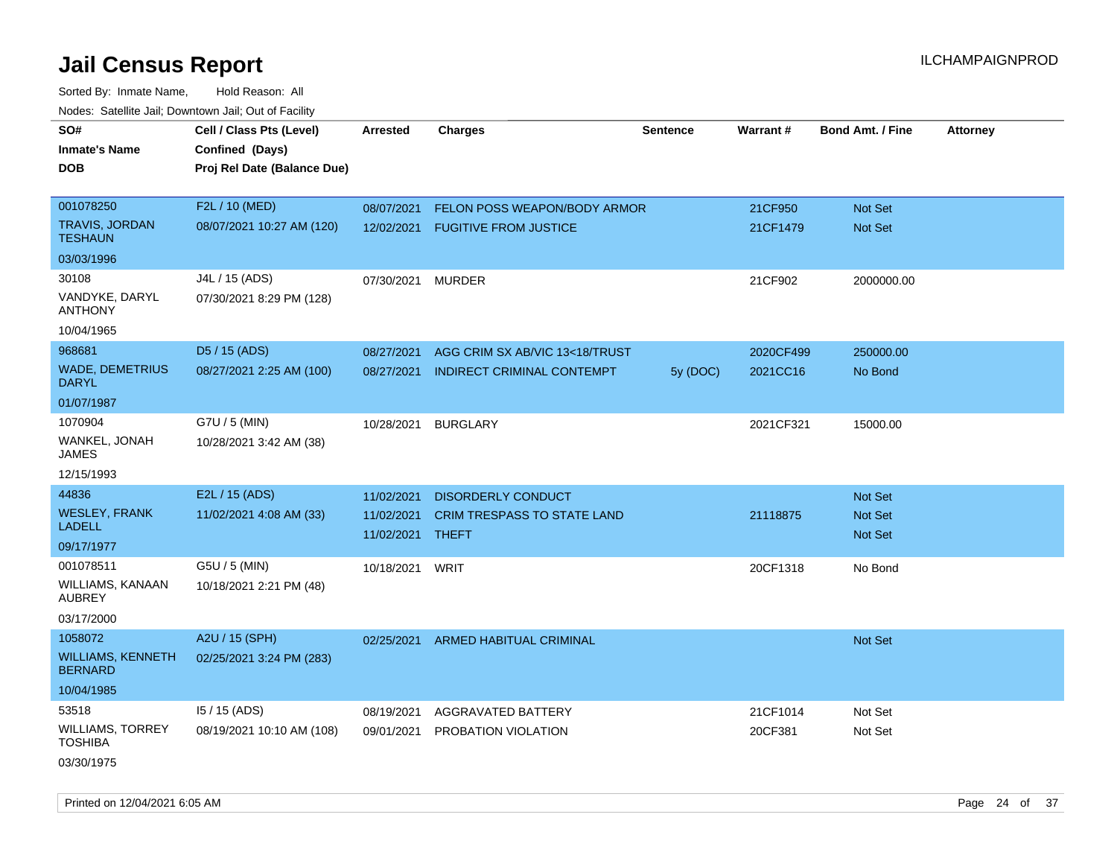Sorted By: Inmate Name, Hold Reason: All Nodes: Satellite Jail; Downtown Jail; Out of Facility

| SO#<br>Inmate's Name<br><b>DOB</b>         | Cell / Class Pts (Level)<br>Confined (Days)<br>Proj Rel Date (Balance Due) | <b>Arrested</b>          | <b>Charges</b>                       | <b>Sentence</b> | Warrant#  | <b>Bond Amt. / Fine</b>          | <b>Attorney</b> |
|--------------------------------------------|----------------------------------------------------------------------------|--------------------------|--------------------------------------|-----------------|-----------|----------------------------------|-----------------|
|                                            |                                                                            |                          |                                      |                 |           |                                  |                 |
| 001078250                                  | F2L / 10 (MED)                                                             | 08/07/2021               | FELON POSS WEAPON/BODY ARMOR         |                 | 21CF950   | Not Set                          |                 |
| TRAVIS, JORDAN<br>TESHAUN                  | 08/07/2021 10:27 AM (120)                                                  | 12/02/2021               | <b>FUGITIVE FROM JUSTICE</b>         |                 | 21CF1479  | <b>Not Set</b>                   |                 |
| 03/03/1996                                 |                                                                            |                          |                                      |                 |           |                                  |                 |
| 30108                                      | J4L / 15 (ADS)                                                             | 07/30/2021               | <b>MURDER</b>                        |                 | 21CF902   | 2000000.00                       |                 |
| VANDYKE, DARYL<br>ANTHONY                  | 07/30/2021 8:29 PM (128)                                                   |                          |                                      |                 |           |                                  |                 |
| 10/04/1965                                 |                                                                            |                          |                                      |                 |           |                                  |                 |
| 968681                                     | D5 / 15 (ADS)                                                              | 08/27/2021               | AGG CRIM SX AB/VIC 13<18/TRUST       |                 | 2020CF499 | 250000.00                        |                 |
| <b>WADE, DEMETRIUS</b><br>DARYL            | 08/27/2021 2:25 AM (100)                                                   | 08/27/2021               | <b>INDIRECT CRIMINAL CONTEMPT</b>    | 5y (DOC)        | 2021CC16  | No Bond                          |                 |
| 01/07/1987                                 |                                                                            |                          |                                      |                 |           |                                  |                 |
| 1070904                                    | G7U / 5 (MIN)                                                              | 10/28/2021               | <b>BURGLARY</b>                      |                 | 2021CF321 | 15000.00                         |                 |
| WANKEL, JONAH<br>JAMES                     | 10/28/2021 3:42 AM (38)                                                    |                          |                                      |                 |           |                                  |                 |
| 12/15/1993                                 |                                                                            |                          |                                      |                 |           |                                  |                 |
| 44836                                      | E2L / 15 (ADS)                                                             | 11/02/2021               | <b>DISORDERLY CONDUCT</b>            |                 |           | <b>Not Set</b>                   |                 |
| <b>WESLEY, FRANK</b><br>LADELL             | 11/02/2021 4:08 AM (33)                                                    | 11/02/2021<br>11/02/2021 | CRIM TRESPASS TO STATE LAND<br>THEFT |                 | 21118875  | <b>Not Set</b><br><b>Not Set</b> |                 |
| 09/17/1977                                 |                                                                            |                          |                                      |                 |           |                                  |                 |
| 001078511                                  | G5U / 5 (MIN)                                                              | 10/18/2021 WRIT          |                                      |                 | 20CF1318  | No Bond                          |                 |
| WILLIAMS, KANAAN<br>AUBREY                 | 10/18/2021 2:21 PM (48)                                                    |                          |                                      |                 |           |                                  |                 |
| 03/17/2000                                 |                                                                            |                          |                                      |                 |           |                                  |                 |
| 1058072                                    | A2U / 15 (SPH)                                                             | 02/25/2021               | <b>ARMED HABITUAL CRIMINAL</b>       |                 |           | <b>Not Set</b>                   |                 |
| <b>WILLIAMS, KENNETH</b><br><b>BERNARD</b> | 02/25/2021 3:24 PM (283)                                                   |                          |                                      |                 |           |                                  |                 |
| 10/04/1985                                 |                                                                            |                          |                                      |                 |           |                                  |                 |
| 53518                                      | 15 / 15 (ADS)                                                              | 08/19/2021               | AGGRAVATED BATTERY                   |                 | 21CF1014  | Not Set                          |                 |
| WILLIAMS, TORREY<br>TOSHIBA                | 08/19/2021 10:10 AM (108)                                                  | 09/01/2021               | PROBATION VIOLATION                  |                 | 20CF381   | Not Set                          |                 |
| 03/30/1975                                 |                                                                            |                          |                                      |                 |           |                                  |                 |

Printed on 12/04/2021 6:05 AM **Page 24 of 37**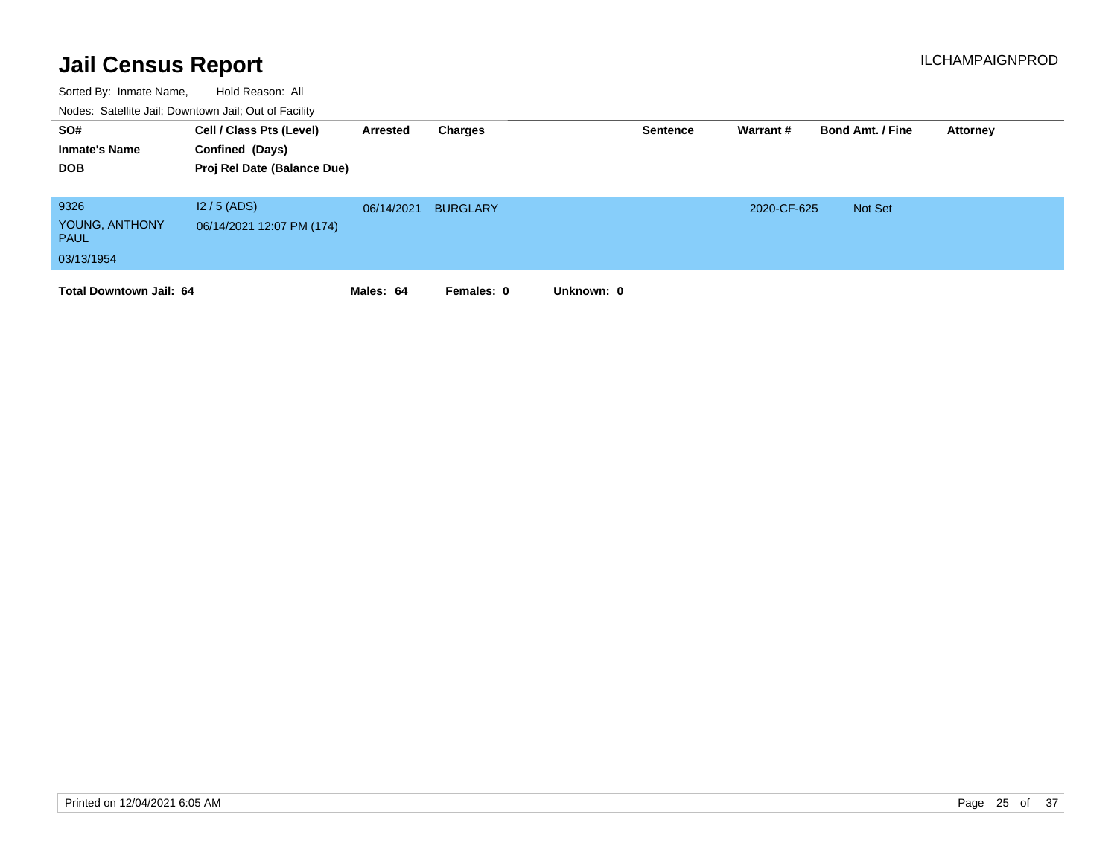| SO#<br><b>Inmate's Name</b><br><b>DOB</b>           | Cell / Class Pts (Level)<br>Confined (Days)<br>Proj Rel Date (Balance Due) | Arrested   | Charges         | <b>Sentence</b> | Warrant#    | <b>Bond Amt. / Fine</b> | Attorney |
|-----------------------------------------------------|----------------------------------------------------------------------------|------------|-----------------|-----------------|-------------|-------------------------|----------|
| 9326<br>YOUNG, ANTHONY<br><b>PAUL</b><br>03/13/1954 | $12/5$ (ADS)<br>06/14/2021 12:07 PM (174)                                  | 06/14/2021 | <b>BURGLARY</b> |                 | 2020-CF-625 | Not Set                 |          |
| <b>Total Downtown Jail: 64</b>                      |                                                                            | Males: 64  | Females: 0      | Unknown: 0      |             |                         |          |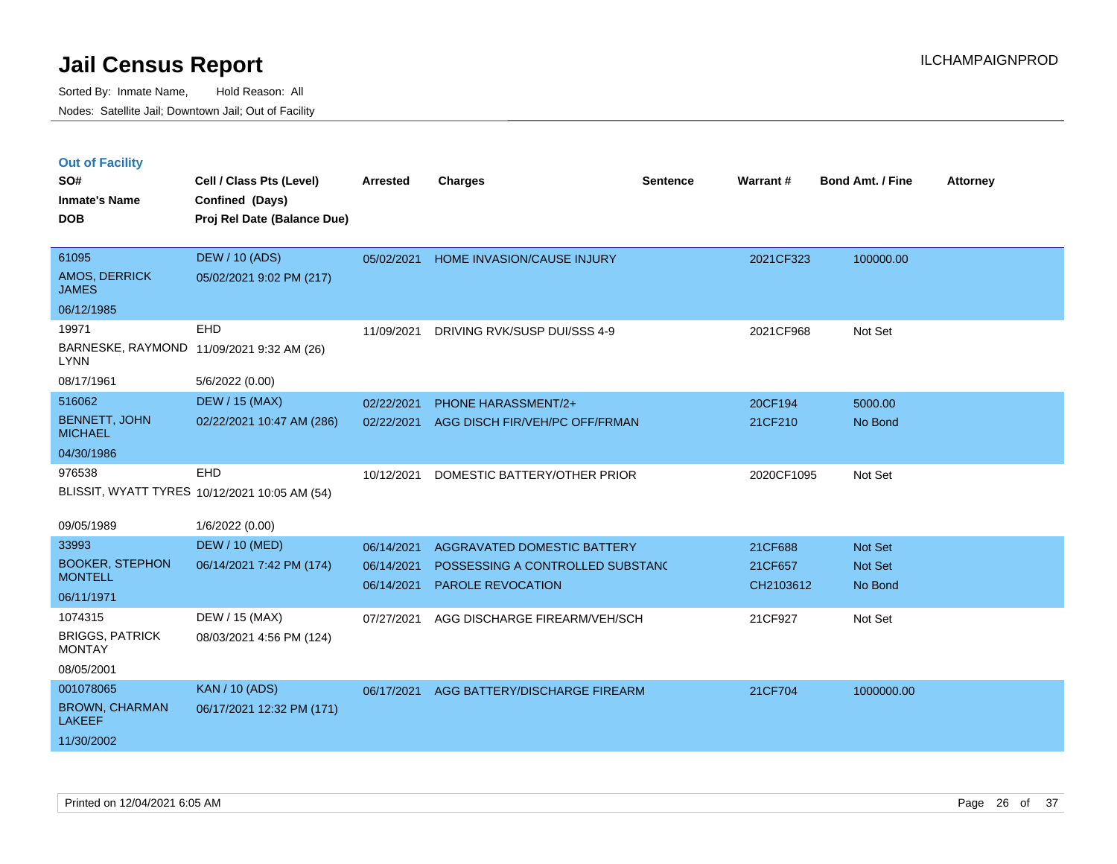| <b>Out of Facility</b> |  |  |
|------------------------|--|--|
|                        |  |  |

| SO#<br><b>Inmate's Name</b><br><b>DOB</b>                         | Cell / Class Pts (Level)<br>Confined (Days)<br>Proj Rel Date (Balance Due) | <b>Arrested</b>                        | <b>Charges</b>                                                                              | <b>Sentence</b> | <b>Warrant#</b>                 | Bond Amt. / Fine              | <b>Attorney</b> |
|-------------------------------------------------------------------|----------------------------------------------------------------------------|----------------------------------------|---------------------------------------------------------------------------------------------|-----------------|---------------------------------|-------------------------------|-----------------|
| 61095<br>AMOS, DERRICK<br><b>JAMES</b>                            | <b>DEW / 10 (ADS)</b><br>05/02/2021 9:02 PM (217)                          | 05/02/2021                             | HOME INVASION/CAUSE INJURY                                                                  |                 | 2021CF323                       | 100000.00                     |                 |
| 06/12/1985<br>19971<br><b>LYNN</b><br>08/17/1961                  | EHD<br>BARNESKE, RAYMOND 11/09/2021 9:32 AM (26)<br>5/6/2022 (0.00)        | 11/09/2021                             | DRIVING RVK/SUSP DUI/SSS 4-9                                                                |                 | 2021CF968                       | Not Set                       |                 |
| 516062<br><b>BENNETT, JOHN</b><br><b>MICHAEL</b><br>04/30/1986    | <b>DEW / 15 (MAX)</b><br>02/22/2021 10:47 AM (286)                         | 02/22/2021<br>02/22/2021               | <b>PHONE HARASSMENT/2+</b><br>AGG DISCH FIR/VEH/PC OFF/FRMAN                                |                 | 20CF194<br>21CF210              | 5000.00<br>No Bond            |                 |
| 976538<br>09/05/1989                                              | EHD<br>BLISSIT, WYATT TYRES 10/12/2021 10:05 AM (54)<br>1/6/2022 (0.00)    | 10/12/2021                             | DOMESTIC BATTERY/OTHER PRIOR                                                                |                 | 2020CF1095                      | Not Set                       |                 |
| 33993<br><b>BOOKER, STEPHON</b><br><b>MONTELL</b><br>06/11/1971   | <b>DEW / 10 (MED)</b><br>06/14/2021 7:42 PM (174)                          | 06/14/2021<br>06/14/2021<br>06/14/2021 | AGGRAVATED DOMESTIC BATTERY<br>POSSESSING A CONTROLLED SUBSTANC<br><b>PAROLE REVOCATION</b> |                 | 21CF688<br>21CF657<br>CH2103612 | Not Set<br>Not Set<br>No Bond |                 |
| 1074315<br><b>BRIGGS, PATRICK</b><br><b>MONTAY</b><br>08/05/2001  | DEW / 15 (MAX)<br>08/03/2021 4:56 PM (124)                                 | 07/27/2021                             | AGG DISCHARGE FIREARM/VEH/SCH                                                               |                 | 21CF927                         | Not Set                       |                 |
| 001078065<br><b>BROWN, CHARMAN</b><br><b>LAKEEF</b><br>11/30/2002 | <b>KAN / 10 (ADS)</b><br>06/17/2021 12:32 PM (171)                         | 06/17/2021                             | AGG BATTERY/DISCHARGE FIREARM                                                               |                 | 21CF704                         | 1000000.00                    |                 |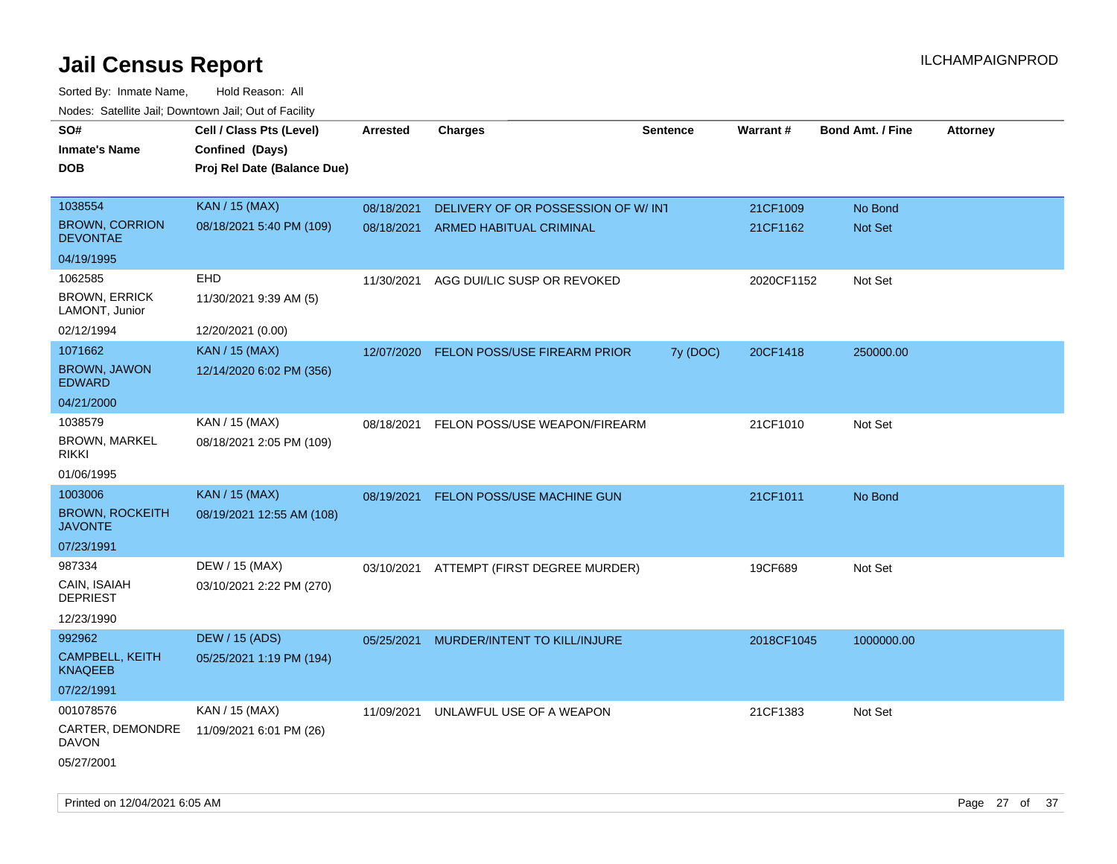| roaco. Catolino cali, Downtown cali, Out of Fability |                             |                 |                                          |                 |            |                         |                 |
|------------------------------------------------------|-----------------------------|-----------------|------------------------------------------|-----------------|------------|-------------------------|-----------------|
| SO#                                                  | Cell / Class Pts (Level)    | <b>Arrested</b> | <b>Charges</b>                           | <b>Sentence</b> | Warrant#   | <b>Bond Amt. / Fine</b> | <b>Attorney</b> |
| <b>Inmate's Name</b>                                 | Confined (Days)             |                 |                                          |                 |            |                         |                 |
| <b>DOB</b>                                           | Proj Rel Date (Balance Due) |                 |                                          |                 |            |                         |                 |
|                                                      |                             |                 |                                          |                 |            |                         |                 |
| 1038554                                              | <b>KAN / 15 (MAX)</b>       | 08/18/2021      | DELIVERY OF OR POSSESSION OF W/INT       |                 | 21CF1009   | No Bond                 |                 |
| <b>BROWN, CORRION</b><br><b>DEVONTAE</b>             | 08/18/2021 5:40 PM (109)    | 08/18/2021      | <b>ARMED HABITUAL CRIMINAL</b>           |                 | 21CF1162   | Not Set                 |                 |
| 04/19/1995                                           |                             |                 |                                          |                 |            |                         |                 |
| 1062585                                              | <b>EHD</b>                  | 11/30/2021      | AGG DUI/LIC SUSP OR REVOKED              |                 | 2020CF1152 | Not Set                 |                 |
| <b>BROWN, ERRICK</b><br>LAMONT, Junior               | 11/30/2021 9:39 AM (5)      |                 |                                          |                 |            |                         |                 |
| 02/12/1994                                           | 12/20/2021 (0.00)           |                 |                                          |                 |            |                         |                 |
| 1071662                                              | <b>KAN / 15 (MAX)</b>       | 12/07/2020      | FELON POSS/USE FIREARM PRIOR             | 7y (DOC)        | 20CF1418   | 250000.00               |                 |
| <b>BROWN, JAWON</b><br><b>EDWARD</b>                 | 12/14/2020 6:02 PM (356)    |                 |                                          |                 |            |                         |                 |
| 04/21/2000                                           |                             |                 |                                          |                 |            |                         |                 |
| 1038579                                              | KAN / 15 (MAX)              | 08/18/2021      | FELON POSS/USE WEAPON/FIREARM            |                 | 21CF1010   | Not Set                 |                 |
| BROWN, MARKEL<br>rikki                               | 08/18/2021 2:05 PM (109)    |                 |                                          |                 |            |                         |                 |
| 01/06/1995                                           |                             |                 |                                          |                 |            |                         |                 |
| 1003006                                              | <b>KAN / 15 (MAX)</b>       | 08/19/2021      | FELON POSS/USE MACHINE GUN               |                 | 21CF1011   | No Bond                 |                 |
| <b>BROWN, ROCKEITH</b><br><b>JAVONTE</b>             | 08/19/2021 12:55 AM (108)   |                 |                                          |                 |            |                         |                 |
| 07/23/1991                                           |                             |                 |                                          |                 |            |                         |                 |
| 987334                                               | DEW / 15 (MAX)              |                 | 03/10/2021 ATTEMPT (FIRST DEGREE MURDER) |                 | 19CF689    | Not Set                 |                 |
| CAIN, ISAIAH<br><b>DEPRIEST</b>                      | 03/10/2021 2:22 PM (270)    |                 |                                          |                 |            |                         |                 |
| 12/23/1990                                           |                             |                 |                                          |                 |            |                         |                 |
| 992962                                               | <b>DEW / 15 (ADS)</b>       | 05/25/2021      | MURDER/INTENT TO KILL/INJURE             |                 | 2018CF1045 | 1000000.00              |                 |
| CAMPBELL, KEITH<br>KNAQEEB                           | 05/25/2021 1:19 PM (194)    |                 |                                          |                 |            |                         |                 |
| 07/22/1991                                           |                             |                 |                                          |                 |            |                         |                 |
| 001078576                                            | KAN / 15 (MAX)              | 11/09/2021      | UNLAWFUL USE OF A WEAPON                 |                 | 21CF1383   | Not Set                 |                 |
| CARTER, DEMONDRE<br>DAVON                            | 11/09/2021 6:01 PM (26)     |                 |                                          |                 |            |                         |                 |
| 05/27/2001                                           |                             |                 |                                          |                 |            |                         |                 |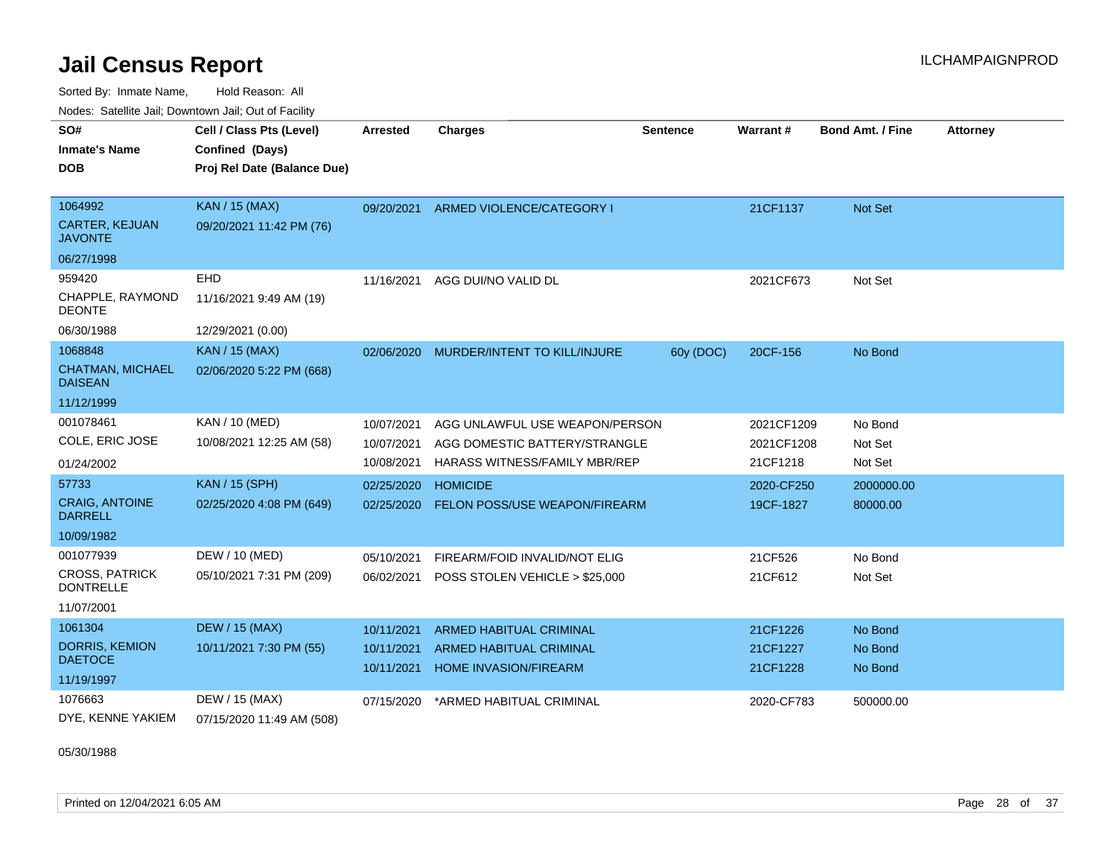Sorted By: Inmate Name, Hold Reason: All Nodes: Satellite Jail; Downtown Jail; Out of Facility

| SO#                                       | Cell / Class Pts (Level)    | <b>Arrested</b> | <b>Charges</b>                 | <b>Sentence</b> | Warrant#   | <b>Bond Amt. / Fine</b> | <b>Attorney</b> |
|-------------------------------------------|-----------------------------|-----------------|--------------------------------|-----------------|------------|-------------------------|-----------------|
| <b>Inmate's Name</b>                      | Confined (Days)             |                 |                                |                 |            |                         |                 |
| DOB                                       | Proj Rel Date (Balance Due) |                 |                                |                 |            |                         |                 |
|                                           |                             |                 |                                |                 |            |                         |                 |
| 1064992                                   | KAN / 15 (MAX)              | 09/20/2021      | ARMED VIOLENCE/CATEGORY I      |                 | 21CF1137   | <b>Not Set</b>          |                 |
| CARTER, KEJUAN<br><b>JAVONTE</b>          | 09/20/2021 11:42 PM (76)    |                 |                                |                 |            |                         |                 |
| 06/27/1998                                |                             |                 |                                |                 |            |                         |                 |
| 959420                                    | EHD                         | 11/16/2021      | AGG DUI/NO VALID DL            |                 | 2021CF673  | Not Set                 |                 |
| <b>CHAPPLE, RAYMOND</b><br><b>DEONTE</b>  | 11/16/2021 9:49 AM (19)     |                 |                                |                 |            |                         |                 |
| 06/30/1988                                | 12/29/2021 (0.00)           |                 |                                |                 |            |                         |                 |
| 1068848                                   | <b>KAN / 15 (MAX)</b>       | 02/06/2020      | MURDER/INTENT TO KILL/INJURE   | 60y (DOC)       | 20CF-156   | No Bond                 |                 |
| CHATMAN, MICHAEL<br><b>DAISEAN</b>        | 02/06/2020 5:22 PM (668)    |                 |                                |                 |            |                         |                 |
| 11/12/1999                                |                             |                 |                                |                 |            |                         |                 |
| 001078461                                 | <b>KAN / 10 (MED)</b>       | 10/07/2021      | AGG UNLAWFUL USE WEAPON/PERSON |                 | 2021CF1209 | No Bond                 |                 |
| COLE, ERIC JOSE                           | 10/08/2021 12:25 AM (58)    | 10/07/2021      | AGG DOMESTIC BATTERY/STRANGLE  |                 | 2021CF1208 | Not Set                 |                 |
| 01/24/2002                                |                             | 10/08/2021      | HARASS WITNESS/FAMILY MBR/REP  |                 | 21CF1218   | Not Set                 |                 |
| 57733                                     | KAN / 15 (SPH)              | 02/25/2020      | <b>HOMICIDE</b>                |                 | 2020-CF250 | 2000000.00              |                 |
| <b>CRAIG, ANTOINE</b><br><b>DARRELL</b>   | 02/25/2020 4:08 PM (649)    | 02/25/2020      | FELON POSS/USE WEAPON/FIREARM  |                 | 19CF-1827  | 80000.00                |                 |
| 10/09/1982                                |                             |                 |                                |                 |            |                         |                 |
| 001077939                                 | DEW / 10 (MED)              | 05/10/2021      | FIREARM/FOID INVALID/NOT ELIG  |                 | 21CF526    | No Bond                 |                 |
| <b>CROSS, PATRICK</b><br><b>DONTRELLE</b> | 05/10/2021 7:31 PM (209)    | 06/02/2021      | POSS STOLEN VEHICLE > \$25,000 |                 | 21CF612    | Not Set                 |                 |
| 11/07/2001                                |                             |                 |                                |                 |            |                         |                 |
| 1061304                                   | <b>DEW / 15 (MAX)</b>       | 10/11/2021      | ARMED HABITUAL CRIMINAL        |                 | 21CF1226   | No Bond                 |                 |
| <b>DORRIS, KEMION</b>                     | 10/11/2021 7:30 PM (55)     | 10/11/2021      | <b>ARMED HABITUAL CRIMINAL</b> |                 | 21CF1227   | No Bond                 |                 |
| <b>DAETOCE</b>                            |                             | 10/11/2021      | <b>HOME INVASION/FIREARM</b>   |                 | 21CF1228   | No Bond                 |                 |
| 11/19/1997                                |                             |                 |                                |                 |            |                         |                 |
| 1076663                                   | DEW / 15 (MAX)              | 07/15/2020      | *ARMED HABITUAL CRIMINAL       |                 | 2020-CF783 | 500000.00               |                 |
| DYE, KENNE YAKIEM                         | 07/15/2020 11:49 AM (508)   |                 |                                |                 |            |                         |                 |

05/30/1988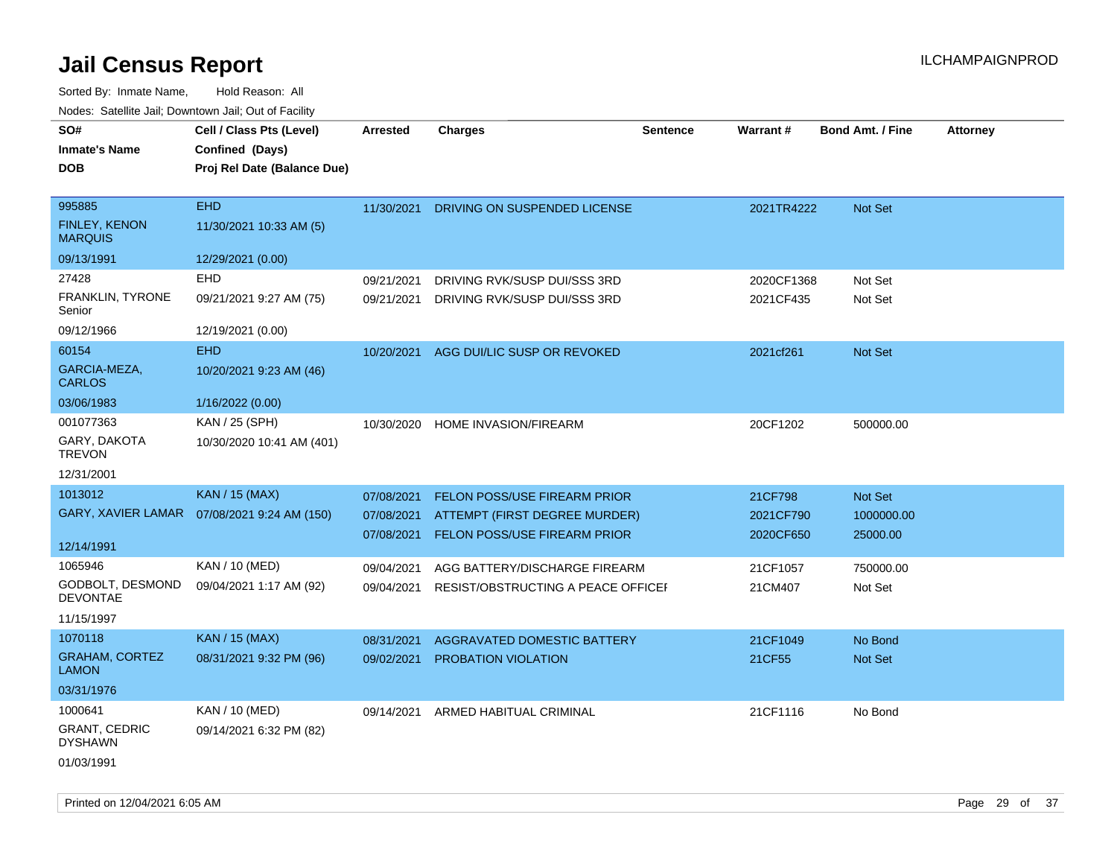| SO#<br><b>Inmate's Name</b><br>DOB               | Cell / Class Pts (Level)<br>Confined (Days)<br>Proj Rel Date (Balance Due) | <b>Arrested</b> | <b>Charges</b>                      | <b>Sentence</b> | Warrant#   | <b>Bond Amt. / Fine</b> | <b>Attorney</b> |
|--------------------------------------------------|----------------------------------------------------------------------------|-----------------|-------------------------------------|-----------------|------------|-------------------------|-----------------|
| 995885<br><b>FINLEY, KENON</b><br><b>MARQUIS</b> | <b>EHD</b><br>11/30/2021 10:33 AM (5)                                      | 11/30/2021      | DRIVING ON SUSPENDED LICENSE        |                 | 2021TR4222 | Not Set                 |                 |
| 09/13/1991                                       | 12/29/2021 (0.00)                                                          |                 |                                     |                 |            |                         |                 |
| 27428                                            | EHD                                                                        | 09/21/2021      | DRIVING RVK/SUSP DUI/SSS 3RD        |                 | 2020CF1368 | Not Set                 |                 |
| FRANKLIN, TYRONE<br>Senior                       | 09/21/2021 9:27 AM (75)                                                    | 09/21/2021      | DRIVING RVK/SUSP DUI/SSS 3RD        |                 | 2021CF435  | Not Set                 |                 |
| 09/12/1966                                       | 12/19/2021 (0.00)                                                          |                 |                                     |                 |            |                         |                 |
| 60154                                            | <b>EHD</b>                                                                 | 10/20/2021      | AGG DUI/LIC SUSP OR REVOKED         |                 | 2021cf261  | <b>Not Set</b>          |                 |
| GARCIA-MEZA,<br><b>CARLOS</b>                    | 10/20/2021 9:23 AM (46)                                                    |                 |                                     |                 |            |                         |                 |
| 03/06/1983                                       | 1/16/2022 (0.00)                                                           |                 |                                     |                 |            |                         |                 |
| 001077363                                        | KAN / 25 (SPH)                                                             | 10/30/2020      | HOME INVASION/FIREARM               |                 | 20CF1202   | 500000.00               |                 |
| GARY, DAKOTA<br><b>TREVON</b>                    | 10/30/2020 10:41 AM (401)                                                  |                 |                                     |                 |            |                         |                 |
| 12/31/2001                                       |                                                                            |                 |                                     |                 |            |                         |                 |
| 1013012                                          | <b>KAN / 15 (MAX)</b>                                                      | 07/08/2021      | <b>FELON POSS/USE FIREARM PRIOR</b> |                 | 21CF798    | Not Set                 |                 |
|                                                  | GARY, XAVIER LAMAR  07/08/2021 9:24 AM (150)                               | 07/08/2021      | ATTEMPT (FIRST DEGREE MURDER)       |                 | 2021CF790  | 1000000.00              |                 |
|                                                  |                                                                            | 07/08/2021      | FELON POSS/USE FIREARM PRIOR        |                 | 2020CF650  | 25000.00                |                 |
| 12/14/1991                                       |                                                                            |                 |                                     |                 |            |                         |                 |
| 1065946                                          | KAN / 10 (MED)                                                             | 09/04/2021      | AGG BATTERY/DISCHARGE FIREARM       |                 | 21CF1057   | 750000.00               |                 |
| GODBOLT, DESMOND<br>DEVONTAE                     | 09/04/2021 1:17 AM (92)                                                    | 09/04/2021      | RESIST/OBSTRUCTING A PEACE OFFICEI  |                 | 21CM407    | Not Set                 |                 |
| 11/15/1997                                       |                                                                            |                 |                                     |                 |            |                         |                 |
| 1070118                                          | <b>KAN / 15 (MAX)</b>                                                      | 08/31/2021      | AGGRAVATED DOMESTIC BATTERY         |                 | 21CF1049   | No Bond                 |                 |
| <b>GRAHAM, CORTEZ</b><br>LAMON                   | 08/31/2021 9:32 PM (96)                                                    | 09/02/2021      | <b>PROBATION VIOLATION</b>          |                 | 21CF55     | <b>Not Set</b>          |                 |
| 03/31/1976                                       |                                                                            |                 |                                     |                 |            |                         |                 |
| 1000641                                          | KAN / 10 (MED)                                                             | 09/14/2021      | ARMED HABITUAL CRIMINAL             |                 | 21CF1116   | No Bond                 |                 |
| <b>GRANT, CEDRIC</b><br>DYSHAWN                  | 09/14/2021 6:32 PM (82)                                                    |                 |                                     |                 |            |                         |                 |
| 01/03/1991                                       |                                                                            |                 |                                     |                 |            |                         |                 |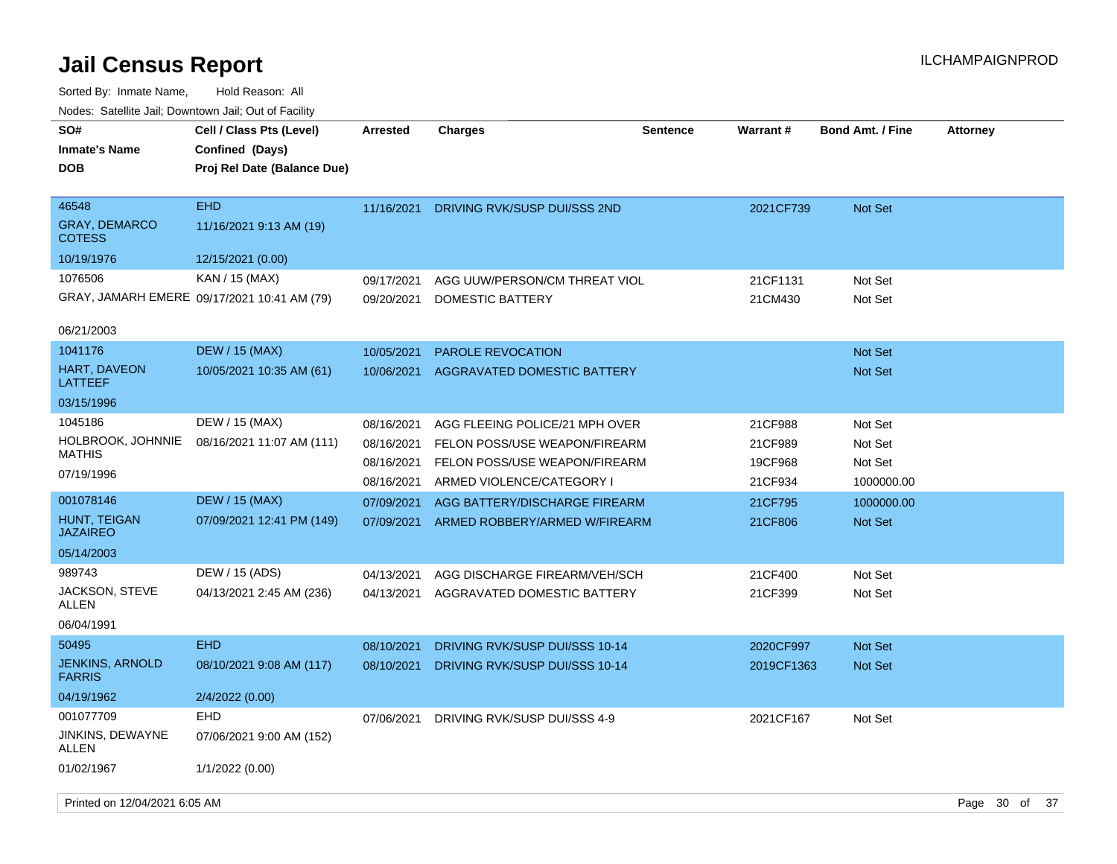| SO#<br><b>Inmate's Name</b><br>DOB             | Cell / Class Pts (Level)<br>Confined (Days)<br>Proj Rel Date (Balance Due) | <b>Arrested</b>          | <b>Charges</b>                                             | <b>Sentence</b> | <b>Warrant#</b>    | <b>Bond Amt. / Fine</b> | <b>Attorney</b> |      |
|------------------------------------------------|----------------------------------------------------------------------------|--------------------------|------------------------------------------------------------|-----------------|--------------------|-------------------------|-----------------|------|
| 46548<br><b>GRAY, DEMARCO</b><br><b>COTESS</b> | <b>EHD</b><br>11/16/2021 9:13 AM (19)                                      | 11/16/2021               | DRIVING RVK/SUSP DUI/SSS 2ND                               |                 | 2021CF739          | <b>Not Set</b>          |                 |      |
| 10/19/1976                                     | 12/15/2021 (0.00)                                                          |                          |                                                            |                 |                    |                         |                 |      |
| 1076506                                        | KAN / 15 (MAX)                                                             | 09/17/2021               | AGG UUW/PERSON/CM THREAT VIOL                              |                 | 21CF1131           | Not Set                 |                 |      |
|                                                | GRAY, JAMARH EMERE 09/17/2021 10:41 AM (79)                                | 09/20/2021               | <b>DOMESTIC BATTERY</b>                                    |                 | 21CM430            | Not Set                 |                 |      |
| 06/21/2003                                     |                                                                            |                          |                                                            |                 |                    |                         |                 |      |
| 1041176                                        | <b>DEW / 15 (MAX)</b>                                                      | 10/05/2021               | PAROLE REVOCATION                                          |                 |                    | <b>Not Set</b>          |                 |      |
| HART, DAVEON<br>LATTEEF                        | 10/05/2021 10:35 AM (61)                                                   | 10/06/2021               | <b>AGGRAVATED DOMESTIC BATTERY</b>                         |                 |                    | <b>Not Set</b>          |                 |      |
| 03/15/1996                                     |                                                                            |                          |                                                            |                 |                    |                         |                 |      |
| 1045186                                        | DEW / 15 (MAX)                                                             | 08/16/2021               | AGG FLEEING POLICE/21 MPH OVER                             |                 | 21CF988            | Not Set                 |                 |      |
| HOLBROOK, JOHNNIE<br><b>MATHIS</b>             | 08/16/2021 11:07 AM (111)                                                  | 08/16/2021               | FELON POSS/USE WEAPON/FIREARM                              |                 | 21CF989            | Not Set                 |                 |      |
| 07/19/1996                                     |                                                                            | 08/16/2021<br>08/16/2021 | FELON POSS/USE WEAPON/FIREARM<br>ARMED VIOLENCE/CATEGORY I |                 | 19CF968<br>21CF934 | Not Set<br>1000000.00   |                 |      |
| 001078146                                      | <b>DEW / 15 (MAX)</b>                                                      | 07/09/2021               | AGG BATTERY/DISCHARGE FIREARM                              |                 | 21CF795            | 1000000.00              |                 |      |
| <b>HUNT, TEIGAN</b><br><b>JAZAIREO</b>         | 07/09/2021 12:41 PM (149)                                                  | 07/09/2021               | ARMED ROBBERY/ARMED W/FIREARM                              |                 | 21CF806            | <b>Not Set</b>          |                 |      |
| 05/14/2003                                     |                                                                            |                          |                                                            |                 |                    |                         |                 |      |
| 989743                                         | DEW / 15 (ADS)                                                             | 04/13/2021               | AGG DISCHARGE FIREARM/VEH/SCH                              |                 | 21CF400            | Not Set                 |                 |      |
| JACKSON, STEVE<br>ALLEN                        | 04/13/2021 2:45 AM (236)                                                   | 04/13/2021               | AGGRAVATED DOMESTIC BATTERY                                |                 | 21CF399            | Not Set                 |                 |      |
| 06/04/1991                                     |                                                                            |                          |                                                            |                 |                    |                         |                 |      |
| 50495                                          | <b>EHD</b>                                                                 | 08/10/2021               | DRIVING RVK/SUSP DUI/SSS 10-14                             |                 | 2020CF997          | <b>Not Set</b>          |                 |      |
| JENKINS, ARNOLD<br><b>FARRIS</b>               | 08/10/2021 9:08 AM (117)                                                   | 08/10/2021               | DRIVING RVK/SUSP DUI/SSS 10-14                             |                 | 2019CF1363         | <b>Not Set</b>          |                 |      |
| 04/19/1962                                     | 2/4/2022 (0.00)                                                            |                          |                                                            |                 |                    |                         |                 |      |
| 001077709                                      | <b>EHD</b>                                                                 | 07/06/2021               | DRIVING RVK/SUSP DUI/SSS 4-9                               |                 | 2021CF167          | Not Set                 |                 |      |
| JINKINS, DEWAYNE<br>ALLEN                      | 07/06/2021 9:00 AM (152)                                                   |                          |                                                            |                 |                    |                         |                 |      |
| 01/02/1967                                     | 1/1/2022 (0.00)                                                            |                          |                                                            |                 |                    |                         |                 |      |
| Printed on 12/04/2021 6:05 AM                  |                                                                            |                          |                                                            |                 |                    |                         | Page 30 of      | - 37 |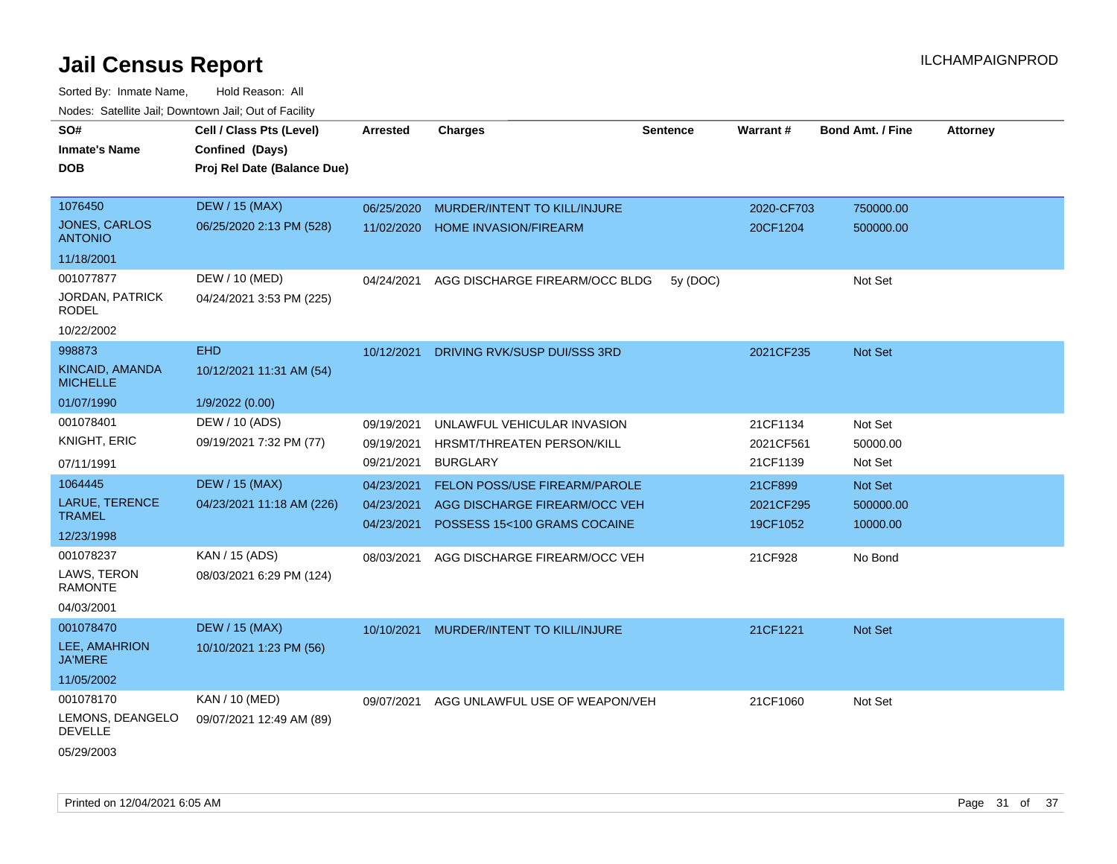| SO#<br><b>Inmate's Name</b>            | Cell / Class Pts (Level)<br>Confined (Days) | <b>Arrested</b>          | <b>Charges</b>                                                | <b>Sentence</b> | <b>Warrant#</b>       | <b>Bond Amt. / Fine</b> | <b>Attorney</b> |
|----------------------------------------|---------------------------------------------|--------------------------|---------------------------------------------------------------|-----------------|-----------------------|-------------------------|-----------------|
| <b>DOB</b>                             | Proj Rel Date (Balance Due)                 |                          |                                                               |                 |                       |                         |                 |
| 1076450                                | <b>DEW / 15 (MAX)</b>                       | 06/25/2020               | MURDER/INTENT TO KILL/INJURE                                  |                 | 2020-CF703            | 750000.00               |                 |
| <b>JONES, CARLOS</b><br><b>ANTONIO</b> | 06/25/2020 2:13 PM (528)                    | 11/02/2020               | <b>HOME INVASION/FIREARM</b>                                  |                 | 20CF1204              | 500000.00               |                 |
| 11/18/2001                             |                                             |                          |                                                               |                 |                       |                         |                 |
| 001077877                              | DEW / 10 (MED)                              | 04/24/2021               | AGG DISCHARGE FIREARM/OCC BLDG                                | 5y (DOC)        |                       | Not Set                 |                 |
| <b>JORDAN, PATRICK</b><br>RODEL        | 04/24/2021 3:53 PM (225)                    |                          |                                                               |                 |                       |                         |                 |
| 10/22/2002                             |                                             |                          |                                                               |                 |                       |                         |                 |
| 998873                                 | <b>EHD</b>                                  | 10/12/2021               | DRIVING RVK/SUSP DUI/SSS 3RD                                  |                 | 2021CF235             | Not Set                 |                 |
| KINCAID, AMANDA<br><b>MICHELLE</b>     | 10/12/2021 11:31 AM (54)                    |                          |                                                               |                 |                       |                         |                 |
| 01/07/1990                             | 1/9/2022 (0.00)                             |                          |                                                               |                 |                       |                         |                 |
| 001078401                              | DEW / 10 (ADS)                              | 09/19/2021               | UNLAWFUL VEHICULAR INVASION                                   |                 | 21CF1134              | Not Set                 |                 |
| KNIGHT, ERIC                           | 09/19/2021 7:32 PM (77)                     | 09/19/2021               | HRSMT/THREATEN PERSON/KILL                                    |                 | 2021CF561             | 50000.00                |                 |
| 07/11/1991                             |                                             | 09/21/2021               | <b>BURGLARY</b>                                               |                 | 21CF1139              | Not Set                 |                 |
| 1064445                                | <b>DEW / 15 (MAX)</b>                       | 04/23/2021               | FELON POSS/USE FIREARM/PAROLE                                 |                 | 21CF899               | Not Set                 |                 |
| LARUE, TERENCE<br><b>TRAMEL</b>        | 04/23/2021 11:18 AM (226)                   | 04/23/2021<br>04/23/2021 | AGG DISCHARGE FIREARM/OCC VEH<br>POSSESS 15<100 GRAMS COCAINE |                 | 2021CF295<br>19CF1052 | 500000.00<br>10000.00   |                 |
| 12/23/1998                             |                                             |                          |                                                               |                 |                       |                         |                 |
| 001078237                              | KAN / 15 (ADS)                              | 08/03/2021               | AGG DISCHARGE FIREARM/OCC VEH                                 |                 | 21CF928               | No Bond                 |                 |
| LAWS, TERON<br><b>RAMONTE</b>          | 08/03/2021 6:29 PM (124)                    |                          |                                                               |                 |                       |                         |                 |
| 04/03/2001                             |                                             |                          |                                                               |                 |                       |                         |                 |
| 001078470                              | <b>DEW / 15 (MAX)</b>                       | 10/10/2021               | MURDER/INTENT TO KILL/INJURE                                  |                 | 21CF1221              | Not Set                 |                 |
| LEE, AMAHRION<br><b>JA'MERE</b>        | 10/10/2021 1:23 PM (56)                     |                          |                                                               |                 |                       |                         |                 |
| 11/05/2002                             |                                             |                          |                                                               |                 |                       |                         |                 |
| 001078170                              | KAN / 10 (MED)                              | 09/07/2021               | AGG UNLAWFUL USE OF WEAPON/VEH                                |                 | 21CF1060              | Not Set                 |                 |
| LEMONS, DEANGELO<br><b>DEVELLE</b>     | 09/07/2021 12:49 AM (89)                    |                          |                                                               |                 |                       |                         |                 |
| 05/29/2003                             |                                             |                          |                                                               |                 |                       |                         |                 |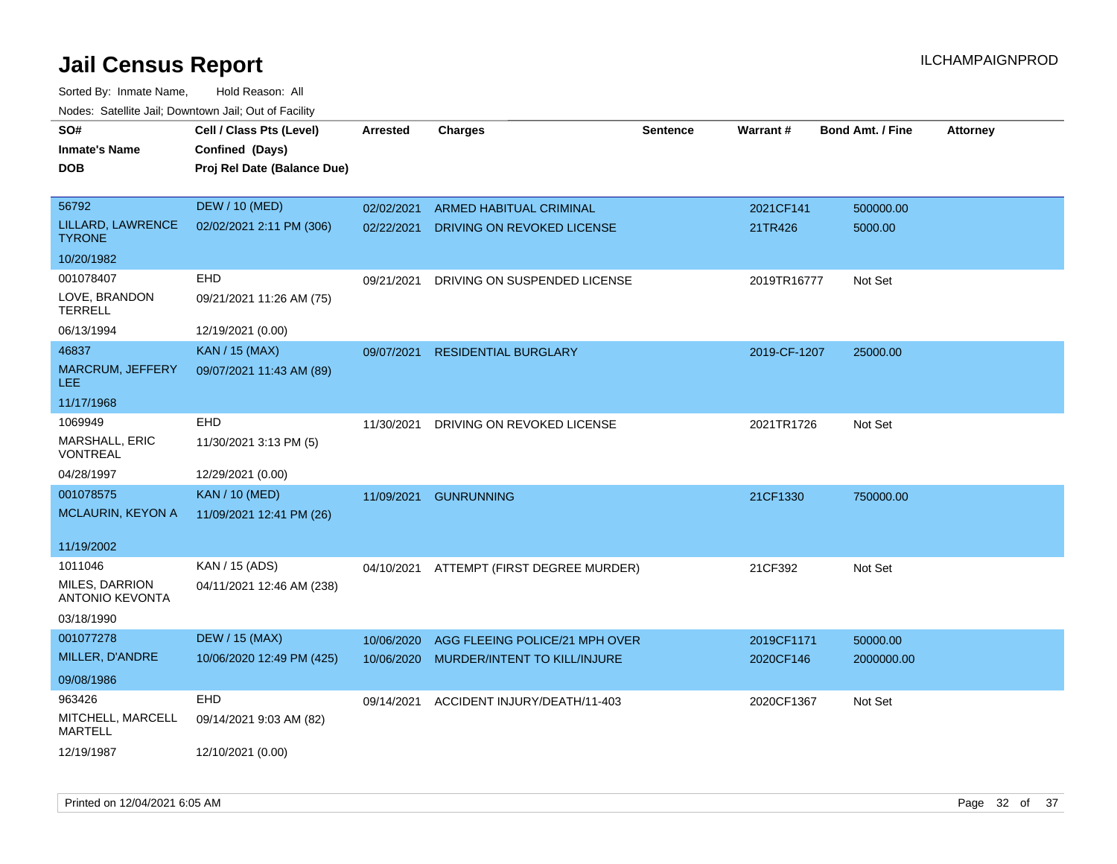| SO#                                      | Cell / Class Pts (Level)    | <b>Arrested</b> | <b>Charges</b>                           | <b>Sentence</b> | Warrant#     | <b>Bond Amt. / Fine</b> | <b>Attorney</b> |
|------------------------------------------|-----------------------------|-----------------|------------------------------------------|-----------------|--------------|-------------------------|-----------------|
| Inmate's Name                            | Confined (Days)             |                 |                                          |                 |              |                         |                 |
| DOB                                      | Proj Rel Date (Balance Due) |                 |                                          |                 |              |                         |                 |
|                                          |                             |                 |                                          |                 |              |                         |                 |
| 56792                                    | <b>DEW / 10 (MED)</b>       | 02/02/2021      | ARMED HABITUAL CRIMINAL                  |                 | 2021CF141    | 500000.00               |                 |
| LILLARD, LAWRENCE<br><b>TYRONE</b>       | 02/02/2021 2:11 PM (306)    | 02/22/2021      | DRIVING ON REVOKED LICENSE               |                 | 21TR426      | 5000.00                 |                 |
| 10/20/1982                               |                             |                 |                                          |                 |              |                         |                 |
| 001078407                                | EHD                         | 09/21/2021      | DRIVING ON SUSPENDED LICENSE             |                 | 2019TR16777  | Not Set                 |                 |
| LOVE, BRANDON<br><b>TERRELL</b>          | 09/21/2021 11:26 AM (75)    |                 |                                          |                 |              |                         |                 |
| 06/13/1994                               | 12/19/2021 (0.00)           |                 |                                          |                 |              |                         |                 |
| 46837                                    | <b>KAN / 15 (MAX)</b>       | 09/07/2021      | <b>RESIDENTIAL BURGLARY</b>              |                 | 2019-CF-1207 | 25000.00                |                 |
| MARCRUM, JEFFERY<br>LEE                  | 09/07/2021 11:43 AM (89)    |                 |                                          |                 |              |                         |                 |
| 11/17/1968                               |                             |                 |                                          |                 |              |                         |                 |
| 1069949                                  | EHD                         | 11/30/2021      | DRIVING ON REVOKED LICENSE               |                 | 2021TR1726   | Not Set                 |                 |
| <b>MARSHALL, ERIC</b><br>VONTREAL        | 11/30/2021 3:13 PM (5)      |                 |                                          |                 |              |                         |                 |
| 04/28/1997                               | 12/29/2021 (0.00)           |                 |                                          |                 |              |                         |                 |
| 001078575                                | <b>KAN / 10 (MED)</b>       | 11/09/2021      | <b>GUNRUNNING</b>                        |                 | 21CF1330     | 750000.00               |                 |
| MCLAURIN, KEYON A                        | 11/09/2021 12:41 PM (26)    |                 |                                          |                 |              |                         |                 |
|                                          |                             |                 |                                          |                 |              |                         |                 |
| 11/19/2002                               |                             |                 |                                          |                 |              |                         |                 |
| 1011046                                  | KAN / 15 (ADS)              |                 | 04/10/2021 ATTEMPT (FIRST DEGREE MURDER) |                 | 21CF392      | Not Set                 |                 |
| MILES, DARRION<br><b>ANTONIO KEVONTA</b> | 04/11/2021 12:46 AM (238)   |                 |                                          |                 |              |                         |                 |
| 03/18/1990                               |                             |                 |                                          |                 |              |                         |                 |
| 001077278                                | <b>DEW / 15 (MAX)</b>       | 10/06/2020      | AGG FLEEING POLICE/21 MPH OVER           |                 | 2019CF1171   | 50000.00                |                 |
| MILLER, D'ANDRE                          | 10/06/2020 12:49 PM (425)   | 10/06/2020      | MURDER/INTENT TO KILL/INJURE             |                 | 2020CF146    | 2000000.00              |                 |
| 09/08/1986                               |                             |                 |                                          |                 |              |                         |                 |
| 963426                                   | EHD                         | 09/14/2021      | ACCIDENT INJURY/DEATH/11-403             |                 | 2020CF1367   | Not Set                 |                 |
| MITCHELL, MARCELL<br><b>MARTELL</b>      | 09/14/2021 9:03 AM (82)     |                 |                                          |                 |              |                         |                 |
| 12/19/1987                               | 12/10/2021 (0.00)           |                 |                                          |                 |              |                         |                 |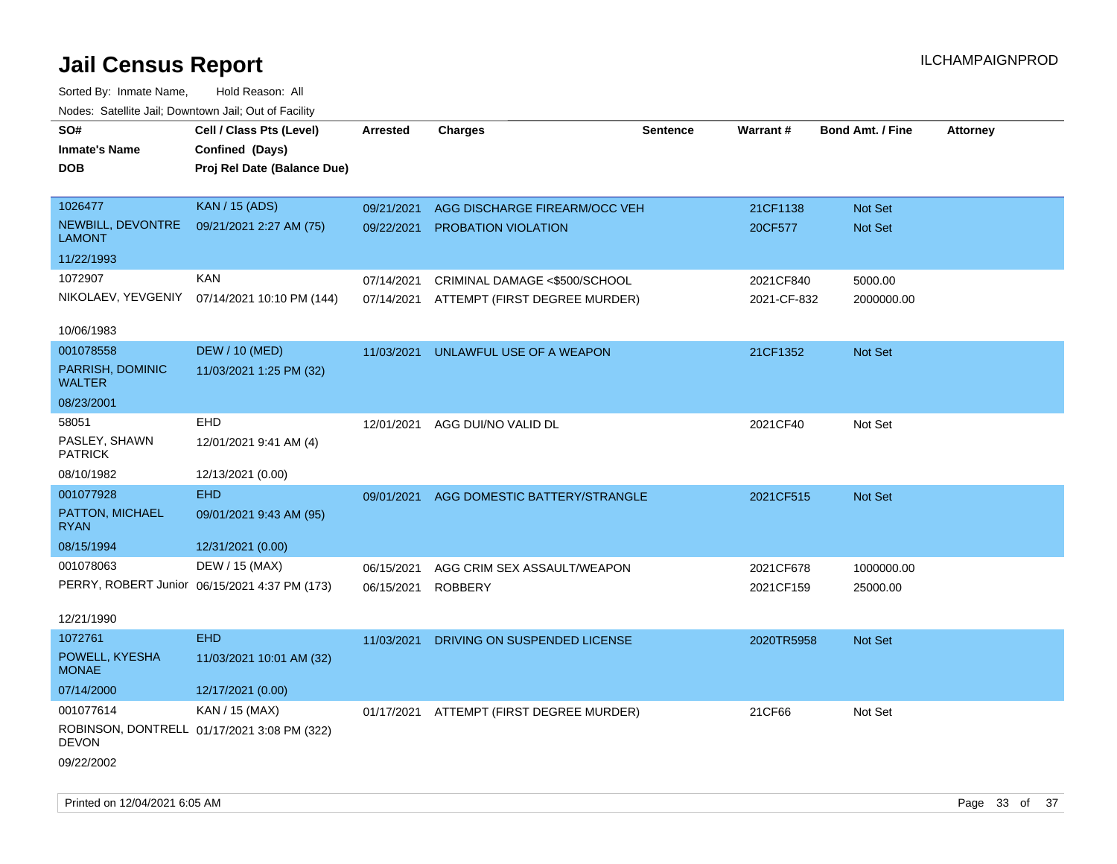| rouco. Calcillo Jali, Downtown Jali, Out of Facility |                                               |                 |                                          |          |             |                         |                 |
|------------------------------------------------------|-----------------------------------------------|-----------------|------------------------------------------|----------|-------------|-------------------------|-----------------|
| SO#<br><b>Inmate's Name</b>                          | Cell / Class Pts (Level)<br>Confined (Days)   | <b>Arrested</b> | <b>Charges</b>                           | Sentence | Warrant#    | <b>Bond Amt. / Fine</b> | <b>Attorney</b> |
| DOB                                                  | Proj Rel Date (Balance Due)                   |                 |                                          |          |             |                         |                 |
|                                                      |                                               |                 |                                          |          |             |                         |                 |
| 1026477                                              | <b>KAN / 15 (ADS)</b>                         | 09/21/2021      | AGG DISCHARGE FIREARM/OCC VEH            |          | 21CF1138    | Not Set                 |                 |
| NEWBILL, DEVONTRE<br><b>LAMONT</b>                   | 09/21/2021 2:27 AM (75)                       | 09/22/2021      | PROBATION VIOLATION                      |          | 20CF577     | Not Set                 |                 |
| 11/22/1993                                           |                                               |                 |                                          |          |             |                         |                 |
| 1072907                                              | KAN                                           | 07/14/2021      | CRIMINAL DAMAGE <\$500/SCHOOL            |          | 2021CF840   | 5000.00                 |                 |
|                                                      | NIKOLAEV, YEVGENIY 07/14/2021 10:10 PM (144)  | 07/14/2021      | ATTEMPT (FIRST DEGREE MURDER)            |          | 2021-CF-832 | 2000000.00              |                 |
| 10/06/1983                                           |                                               |                 |                                          |          |             |                         |                 |
| 001078558                                            | <b>DEW / 10 (MED)</b>                         | 11/03/2021      | UNLAWFUL USE OF A WEAPON                 |          | 21CF1352    | Not Set                 |                 |
| PARRISH, DOMINIC<br><b>WALTER</b>                    | 11/03/2021 1:25 PM (32)                       |                 |                                          |          |             |                         |                 |
| 08/23/2001                                           |                                               |                 |                                          |          |             |                         |                 |
| 58051                                                | <b>EHD</b>                                    | 12/01/2021      | AGG DUI/NO VALID DL                      |          | 2021CF40    | Not Set                 |                 |
| PASLEY, SHAWN<br><b>PATRICK</b>                      | 12/01/2021 9:41 AM (4)                        |                 |                                          |          |             |                         |                 |
| 08/10/1982                                           | 12/13/2021 (0.00)                             |                 |                                          |          |             |                         |                 |
| 001077928                                            | <b>EHD</b>                                    | 09/01/2021      | AGG DOMESTIC BATTERY/STRANGLE            |          | 2021CF515   | <b>Not Set</b>          |                 |
| PATTON, MICHAEL<br><b>RYAN</b>                       | 09/01/2021 9:43 AM (95)                       |                 |                                          |          |             |                         |                 |
| 08/15/1994                                           | 12/31/2021 (0.00)                             |                 |                                          |          |             |                         |                 |
| 001078063                                            | DEW / 15 (MAX)                                | 06/15/2021      | AGG CRIM SEX ASSAULT/WEAPON              |          | 2021CF678   | 1000000.00              |                 |
|                                                      | PERRY, ROBERT Junior 06/15/2021 4:37 PM (173) | 06/15/2021      | <b>ROBBERY</b>                           |          | 2021CF159   | 25000.00                |                 |
|                                                      |                                               |                 |                                          |          |             |                         |                 |
| 12/21/1990                                           |                                               |                 |                                          |          |             |                         |                 |
| 1072761                                              | <b>EHD</b>                                    | 11/03/2021      | DRIVING ON SUSPENDED LICENSE             |          | 2020TR5958  | <b>Not Set</b>          |                 |
| POWELL, KYESHA<br><b>MONAE</b>                       | 11/03/2021 10:01 AM (32)                      |                 |                                          |          |             |                         |                 |
| 07/14/2000                                           | 12/17/2021 (0.00)                             |                 |                                          |          |             |                         |                 |
| 001077614                                            | KAN / 15 (MAX)                                |                 | 01/17/2021 ATTEMPT (FIRST DEGREE MURDER) |          | 21CF66      | Not Set                 |                 |
| DEVON                                                | ROBINSON, DONTRELL 01/17/2021 3:08 PM (322)   |                 |                                          |          |             |                         |                 |
| 09/22/2002                                           |                                               |                 |                                          |          |             |                         |                 |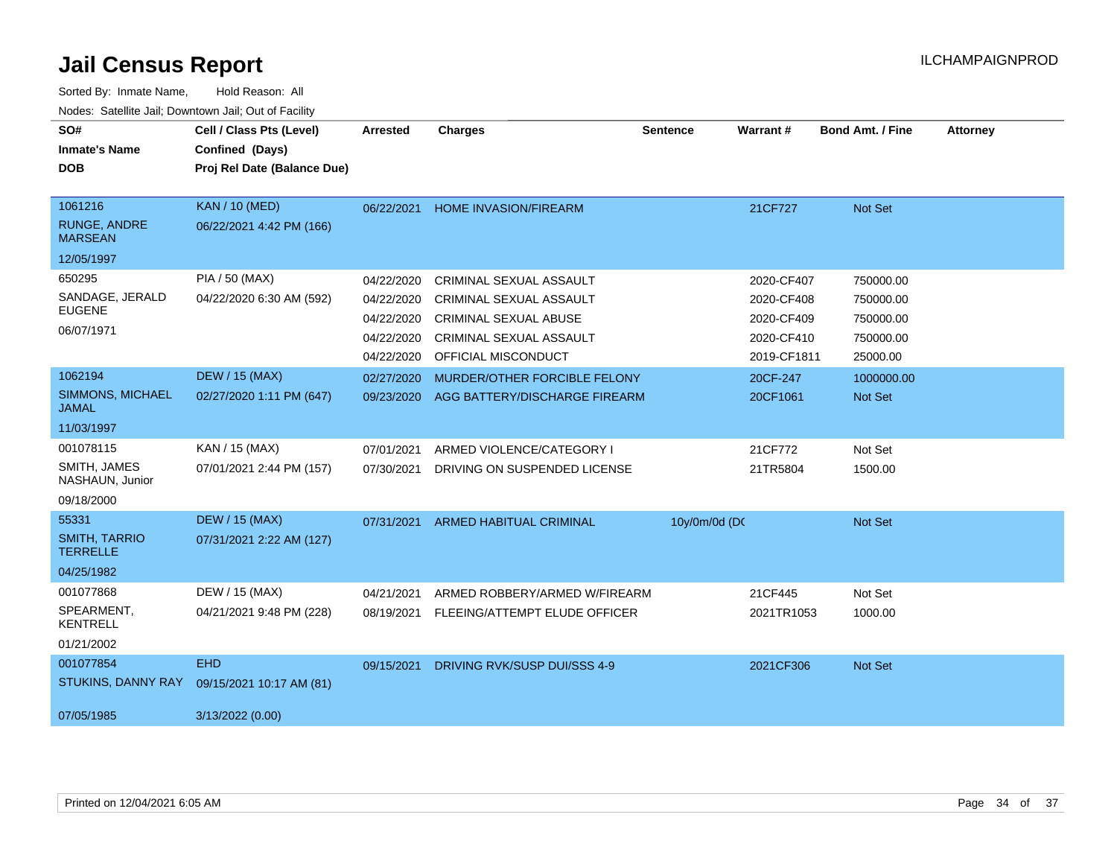| SO#<br><b>Inmate's Name</b><br><b>DOB</b>        | Cell / Class Pts (Level)<br>Confined (Days)<br>Proj Rel Date (Balance Due) | <b>Arrested</b> | <b>Charges</b>                 | <b>Sentence</b> | <b>Warrant#</b> | <b>Bond Amt. / Fine</b> | <b>Attorney</b> |
|--------------------------------------------------|----------------------------------------------------------------------------|-----------------|--------------------------------|-----------------|-----------------|-------------------------|-----------------|
| 1061216<br><b>RUNGE, ANDRE</b><br><b>MARSEAN</b> | <b>KAN / 10 (MED)</b><br>06/22/2021 4:42 PM (166)                          | 06/22/2021      | <b>HOME INVASION/FIREARM</b>   |                 | 21CF727         | Not Set                 |                 |
| 12/05/1997                                       |                                                                            |                 |                                |                 |                 |                         |                 |
| 650295                                           | PIA / 50 (MAX)                                                             | 04/22/2020      | CRIMINAL SEXUAL ASSAULT        |                 | 2020-CF407      | 750000.00               |                 |
| SANDAGE, JERALD<br><b>EUGENE</b>                 | 04/22/2020 6:30 AM (592)                                                   | 04/22/2020      | CRIMINAL SEXUAL ASSAULT        |                 | 2020-CF408      | 750000.00               |                 |
|                                                  |                                                                            | 04/22/2020      | <b>CRIMINAL SEXUAL ABUSE</b>   |                 | 2020-CF409      | 750000.00               |                 |
| 06/07/1971                                       |                                                                            | 04/22/2020      | CRIMINAL SEXUAL ASSAULT        |                 | 2020-CF410      | 750000.00               |                 |
|                                                  |                                                                            | 04/22/2020      | OFFICIAL MISCONDUCT            |                 | 2019-CF1811     | 25000.00                |                 |
| 1062194                                          | <b>DEW / 15 (MAX)</b>                                                      | 02/27/2020      | MURDER/OTHER FORCIBLE FELONY   |                 | 20CF-247        | 1000000.00              |                 |
| SIMMONS, MICHAEL<br><b>JAMAL</b>                 | 02/27/2020 1:11 PM (647)                                                   | 09/23/2020      | AGG BATTERY/DISCHARGE FIREARM  |                 | 20CF1061        | Not Set                 |                 |
| 11/03/1997                                       |                                                                            |                 |                                |                 |                 |                         |                 |
| 001078115                                        | KAN / 15 (MAX)                                                             | 07/01/2021      | ARMED VIOLENCE/CATEGORY I      |                 | 21CF772         | Not Set                 |                 |
| SMITH, JAMES<br>NASHAUN, Junior                  | 07/01/2021 2:44 PM (157)                                                   | 07/30/2021      | DRIVING ON SUSPENDED LICENSE   |                 | 21TR5804        | 1500.00                 |                 |
| 09/18/2000                                       |                                                                            |                 |                                |                 |                 |                         |                 |
| 55331                                            | <b>DEW / 15 (MAX)</b>                                                      | 07/31/2021      | <b>ARMED HABITUAL CRIMINAL</b> | 10y/0m/0d (DC   |                 | Not Set                 |                 |
| <b>SMITH, TARRIO</b><br><b>TERRELLE</b>          | 07/31/2021 2:22 AM (127)                                                   |                 |                                |                 |                 |                         |                 |
| 04/25/1982                                       |                                                                            |                 |                                |                 |                 |                         |                 |
| 001077868                                        | DEW / 15 (MAX)                                                             | 04/21/2021      | ARMED ROBBERY/ARMED W/FIREARM  |                 | 21CF445         | Not Set                 |                 |
| SPEARMENT,<br><b>KENTRELL</b>                    | 04/21/2021 9:48 PM (228)                                                   | 08/19/2021      | FLEEING/ATTEMPT ELUDE OFFICER  |                 | 2021TR1053      | 1000.00                 |                 |
| 01/21/2002                                       |                                                                            |                 |                                |                 |                 |                         |                 |
| 001077854                                        | <b>EHD</b>                                                                 | 09/15/2021      | DRIVING RVK/SUSP DUI/SSS 4-9   |                 | 2021CF306       | Not Set                 |                 |
| STUKINS, DANNY RAY                               | 09/15/2021 10:17 AM (81)                                                   |                 |                                |                 |                 |                         |                 |
| 07/05/1985                                       | 3/13/2022 (0.00)                                                           |                 |                                |                 |                 |                         |                 |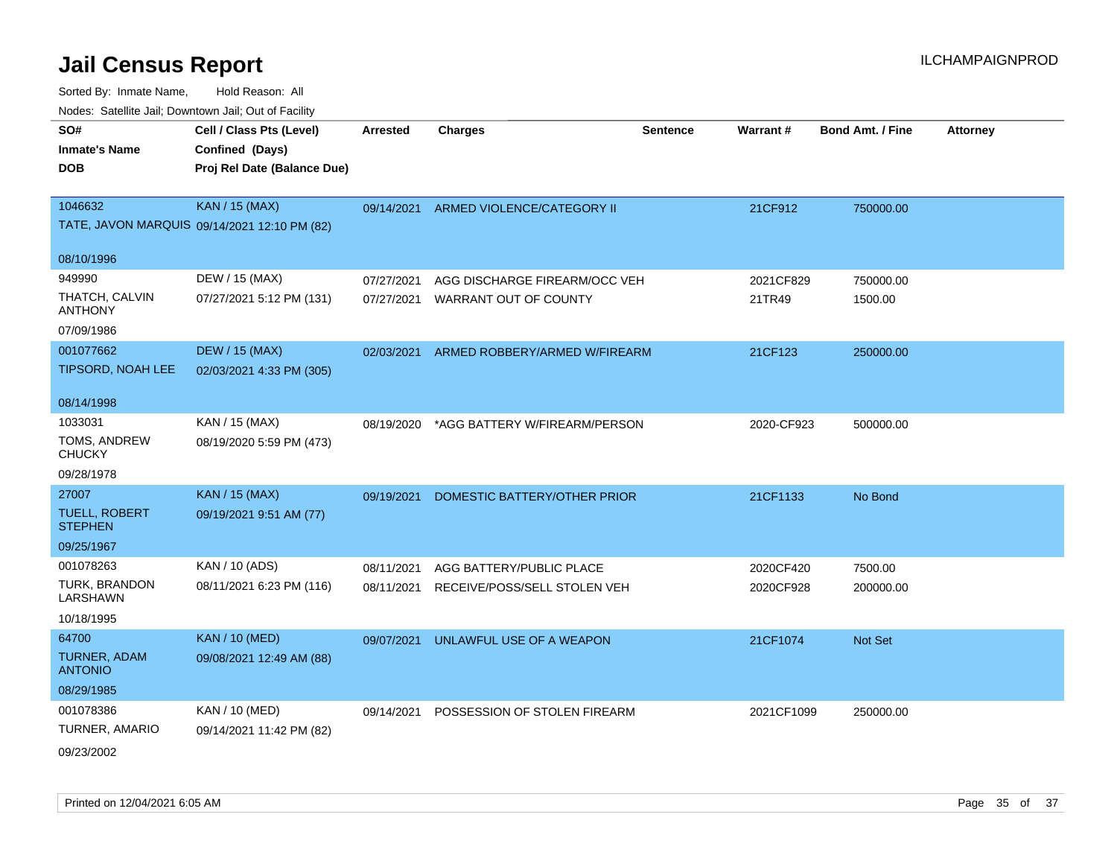| roaco. Catolino dall, Downtown dall, Out of Fability |                                              |                 |                                          |          |            |                         |                 |
|------------------------------------------------------|----------------------------------------------|-----------------|------------------------------------------|----------|------------|-------------------------|-----------------|
| SO#                                                  | Cell / Class Pts (Level)                     | <b>Arrested</b> | <b>Charges</b>                           | Sentence | Warrant#   | <b>Bond Amt. / Fine</b> | <b>Attorney</b> |
| <b>Inmate's Name</b>                                 | Confined (Days)                              |                 |                                          |          |            |                         |                 |
| <b>DOB</b>                                           | Proj Rel Date (Balance Due)                  |                 |                                          |          |            |                         |                 |
|                                                      |                                              |                 |                                          |          |            |                         |                 |
| 1046632                                              | <b>KAN / 15 (MAX)</b>                        |                 | 09/14/2021 ARMED VIOLENCE/CATEGORY II    |          | 21CF912    | 750000.00               |                 |
|                                                      | TATE, JAVON MARQUIS 09/14/2021 12:10 PM (82) |                 |                                          |          |            |                         |                 |
| 08/10/1996                                           |                                              |                 |                                          |          |            |                         |                 |
| 949990                                               | DEW / 15 (MAX)                               | 07/27/2021      | AGG DISCHARGE FIREARM/OCC VEH            |          | 2021CF829  | 750000.00               |                 |
| THATCH, CALVIN<br><b>ANTHONY</b>                     | 07/27/2021 5:12 PM (131)                     | 07/27/2021      | WARRANT OUT OF COUNTY                    |          | 21TR49     | 1500.00                 |                 |
| 07/09/1986                                           |                                              |                 |                                          |          |            |                         |                 |
| 001077662                                            | <b>DEW / 15 (MAX)</b>                        |                 | 02/03/2021 ARMED ROBBERY/ARMED W/FIREARM |          | 21CF123    | 250000.00               |                 |
| TIPSORD, NOAH LEE                                    | 02/03/2021 4:33 PM (305)                     |                 |                                          |          |            |                         |                 |
| 08/14/1998                                           |                                              |                 |                                          |          |            |                         |                 |
| 1033031                                              | KAN / 15 (MAX)                               | 08/19/2020      | *AGG BATTERY W/FIREARM/PERSON            |          | 2020-CF923 | 500000.00               |                 |
| TOMS, ANDREW<br><b>CHUCKY</b>                        | 08/19/2020 5:59 PM (473)                     |                 |                                          |          |            |                         |                 |
| 09/28/1978                                           |                                              |                 |                                          |          |            |                         |                 |
| 27007                                                | <b>KAN</b> / 15 (MAX)                        | 09/19/2021      | DOMESTIC BATTERY/OTHER PRIOR             |          | 21CF1133   | No Bond                 |                 |
| <b>TUELL, ROBERT</b><br><b>STEPHEN</b>               | 09/19/2021 9:51 AM (77)                      |                 |                                          |          |            |                         |                 |
| 09/25/1967                                           |                                              |                 |                                          |          |            |                         |                 |
| 001078263                                            | KAN / 10 (ADS)                               | 08/11/2021      | AGG BATTERY/PUBLIC PLACE                 |          | 2020CF420  | 7500.00                 |                 |
| TURK, BRANDON<br><b>LARSHAWN</b>                     | 08/11/2021 6:23 PM (116)                     | 08/11/2021      | RECEIVE/POSS/SELL STOLEN VEH             |          | 2020CF928  | 200000.00               |                 |
| 10/18/1995                                           |                                              |                 |                                          |          |            |                         |                 |
| 64700                                                | <b>KAN / 10 (MED)</b>                        | 09/07/2021      | UNLAWFUL USE OF A WEAPON                 |          | 21CF1074   | Not Set                 |                 |
| TURNER, ADAM<br><b>ANTONIO</b>                       | 09/08/2021 12:49 AM (88)                     |                 |                                          |          |            |                         |                 |
| 08/29/1985                                           |                                              |                 |                                          |          |            |                         |                 |
| 001078386                                            | KAN / 10 (MED)                               | 09/14/2021      | POSSESSION OF STOLEN FIREARM             |          | 2021CF1099 | 250000.00               |                 |
| TURNER, AMARIO                                       | 09/14/2021 11:42 PM (82)                     |                 |                                          |          |            |                         |                 |
| 09/23/2002                                           |                                              |                 |                                          |          |            |                         |                 |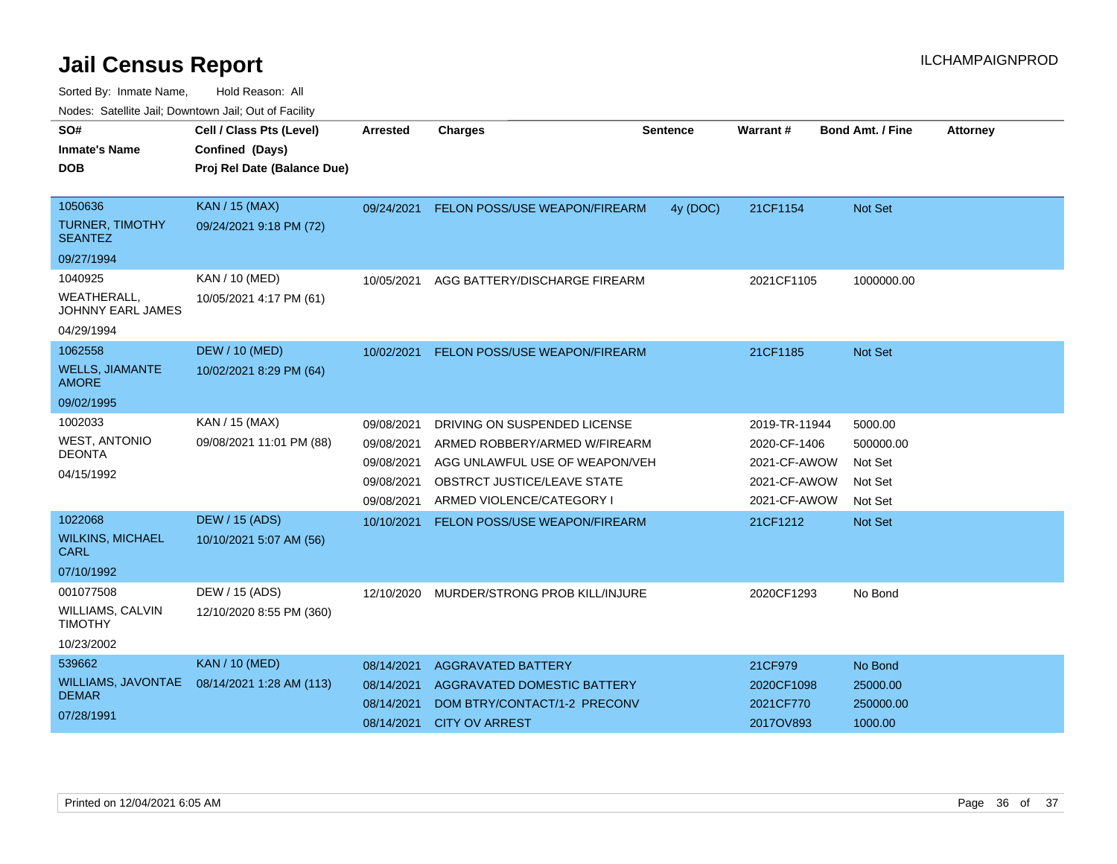| SO#                                           | Cell / Class Pts (Level)    | Arrested   | <b>Charges</b>                       | <b>Sentence</b> | Warrant#      | <b>Bond Amt. / Fine</b> | <b>Attorney</b> |
|-----------------------------------------------|-----------------------------|------------|--------------------------------------|-----------------|---------------|-------------------------|-----------------|
| <b>Inmate's Name</b>                          | Confined (Days)             |            |                                      |                 |               |                         |                 |
|                                               |                             |            |                                      |                 |               |                         |                 |
| DOB                                           | Proj Rel Date (Balance Due) |            |                                      |                 |               |                         |                 |
|                                               |                             |            |                                      |                 |               |                         |                 |
| 1050636                                       | <b>KAN / 15 (MAX)</b>       | 09/24/2021 | <b>FELON POSS/USE WEAPON/FIREARM</b> | 4y (DOC)        | 21CF1154      | <b>Not Set</b>          |                 |
| <b>TURNER, TIMOTHY</b><br><b>SEANTEZ</b>      | 09/24/2021 9:18 PM (72)     |            |                                      |                 |               |                         |                 |
| 09/27/1994                                    |                             |            |                                      |                 |               |                         |                 |
| 1040925                                       | KAN / 10 (MED)              | 10/05/2021 | AGG BATTERY/DISCHARGE FIREARM        |                 | 2021CF1105    | 1000000.00              |                 |
| <b>WEATHERALL</b><br><b>JOHNNY EARL JAMES</b> | 10/05/2021 4:17 PM (61)     |            |                                      |                 |               |                         |                 |
| 04/29/1994                                    |                             |            |                                      |                 |               |                         |                 |
| 1062558                                       | <b>DEW / 10 (MED)</b>       | 10/02/2021 | FELON POSS/USE WEAPON/FIREARM        |                 | 21CF1185      | <b>Not Set</b>          |                 |
| <b>WELLS, JIAMANTE</b><br><b>AMORE</b>        | 10/02/2021 8:29 PM (64)     |            |                                      |                 |               |                         |                 |
| 09/02/1995                                    |                             |            |                                      |                 |               |                         |                 |
| 1002033                                       | KAN / 15 (MAX)              | 09/08/2021 | DRIVING ON SUSPENDED LICENSE         |                 | 2019-TR-11944 | 5000.00                 |                 |
| <b>WEST, ANTONIO</b>                          | 09/08/2021 11:01 PM (88)    | 09/08/2021 | ARMED ROBBERY/ARMED W/FIREARM        |                 | 2020-CF-1406  | 500000.00               |                 |
| <b>DEONTA</b>                                 |                             | 09/08/2021 | AGG UNLAWFUL USE OF WEAPON/VEH       |                 | 2021-CF-AWOW  | Not Set                 |                 |
| 04/15/1992                                    |                             | 09/08/2021 | OBSTRCT JUSTICE/LEAVE STATE          |                 | 2021-CF-AWOW  | Not Set                 |                 |
|                                               |                             | 09/08/2021 | ARMED VIOLENCE/CATEGORY I            |                 | 2021-CF-AWOW  | Not Set                 |                 |
| 1022068                                       | <b>DEW / 15 (ADS)</b>       | 10/10/2021 | FELON POSS/USE WEAPON/FIREARM        |                 | 21CF1212      | <b>Not Set</b>          |                 |
| <b>WILKINS, MICHAEL</b><br><b>CARL</b>        | 10/10/2021 5:07 AM (56)     |            |                                      |                 |               |                         |                 |
| 07/10/1992                                    |                             |            |                                      |                 |               |                         |                 |
| 001077508                                     | DEW / 15 (ADS)              | 12/10/2020 | MURDER/STRONG PROB KILL/INJURE       |                 | 2020CF1293    | No Bond                 |                 |
| WILLIAMS, CALVIN<br><b>TIMOTHY</b>            | 12/10/2020 8:55 PM (360)    |            |                                      |                 |               |                         |                 |
| 10/23/2002                                    |                             |            |                                      |                 |               |                         |                 |
| 539662                                        | <b>KAN / 10 (MED)</b>       | 08/14/2021 | <b>AGGRAVATED BATTERY</b>            |                 | 21CF979       | No Bond                 |                 |
| WILLIAMS, JAVONTAE                            | 08/14/2021 1:28 AM (113)    | 08/14/2021 | AGGRAVATED DOMESTIC BATTERY          |                 | 2020CF1098    | 25000.00                |                 |
| <b>DEMAR</b>                                  |                             | 08/14/2021 | DOM BTRY/CONTACT/1-2 PRECONV         |                 | 2021CF770     | 250000.00               |                 |
| 07/28/1991                                    |                             | 08/14/2021 | <b>CITY OV ARREST</b>                |                 | 2017OV893     | 1000.00                 |                 |